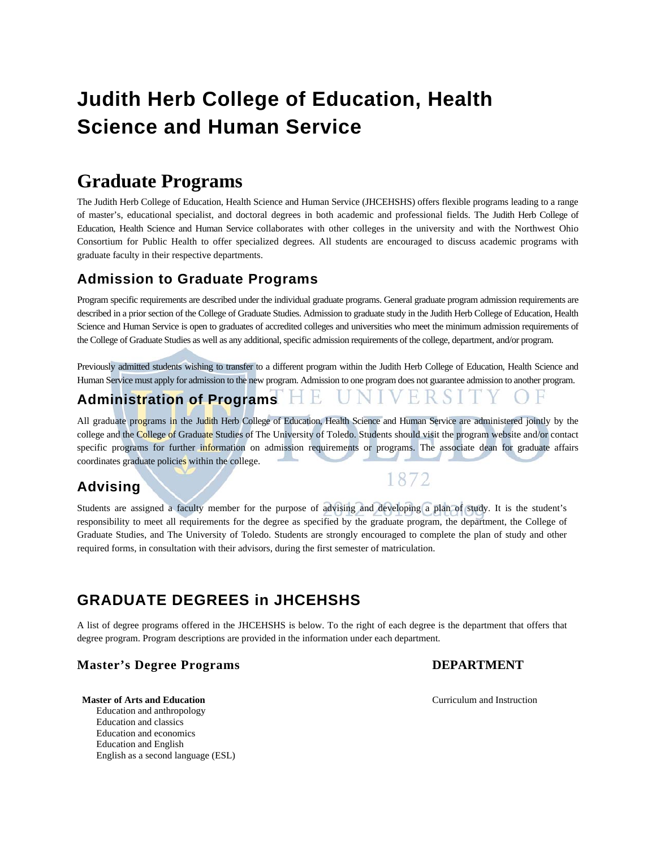# **Judith Herb College of Education, Health Science and Human Service**

# **Graduate Programs**

The Judith Herb College of Education, Health Science and Human Service (JHCEHSHS) offers flexible programs leading to a range of master's, educational specialist, and doctoral degrees in both academic and professional fields. The Judith Herb College of Education, Health Science and Human Service collaborates with other colleges in the university and with the Northwest Ohio Consortium for Public Health to offer specialized degrees. All students are encouraged to discuss academic programs with graduate faculty in their respective departments.

# **Admission to Graduate Programs**

Program specific requirements are described under the individual graduate programs. General graduate program admission requirements are described in a prior section of the College of Graduate Studies. Admission to graduate study in the Judith Herb College of Education, Health Science and Human Service is open to graduates of accredited colleges and universities who meet the minimum admission requirements of the College of Graduate Studies as well as any additional, specific admission requirements of the college, department, and/or program.

Previously admitted students wishing to transfer to a different program within the Judith Herb College of Education, Health Science and Human Service must apply for admission to the new program. Admission to one program does not guarantee admission to another program.

# **Administration of Programs**

All graduate programs in the Judith Herb College of Education, Health Science and Human Service are administered jointly by the college and the College of Graduate Studies of The University of Toledo. Students should visit the program website and/or contact specific programs for further information on admission requirements or programs. The associate dean for graduate affairs coordinates graduate policies within the college.

# **Advising**

Students are assigned a faculty member for the purpose of advising and developing a plan of study. It is the student's responsibility to meet all requirements for the degree as specified by the graduate program, the department, the College of Graduate Studies, and The University of Toledo. Students are strongly encouraged to complete the plan of study and other required forms, in consultation with their advisors, during the first semester of matriculation.

# **GRADUATE DEGREES in JHCEHSHS**

A list of degree programs offered in the JHCEHSHS is below. To the right of each degree is the department that offers that degree program. Program descriptions are provided in the information under each department.

# **Master's Degree Programs DEPARTMENT**

#### **Master of Arts and Education Curriculum and Instruction Curriculum and Instruction**

 Education and anthropology Education and classics Education and economics Education and English English as a second language (ESL)

1872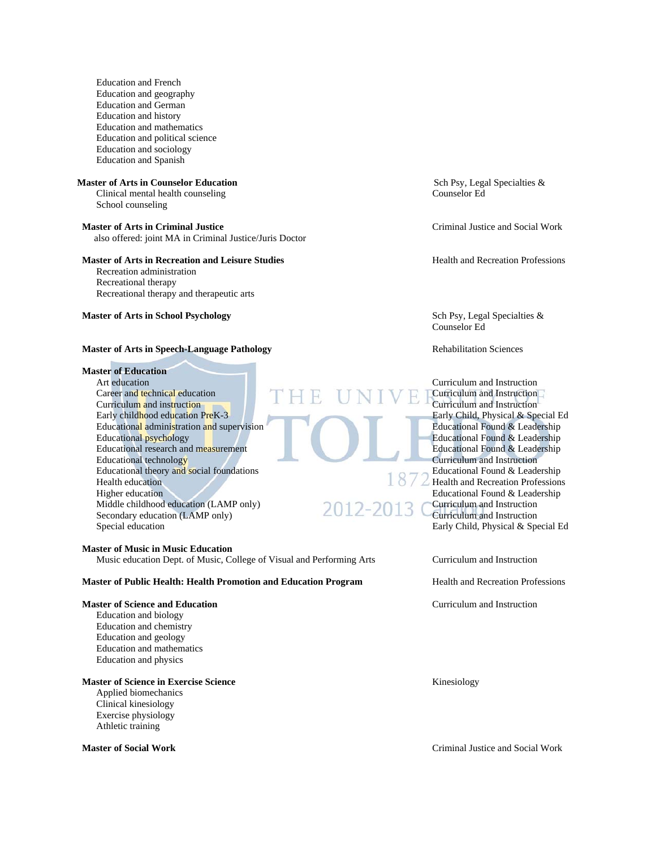Education and French Education and geography Education and German Education and history Education and mathematics Education and political science Education and sociology Education and Spanish

Clinical mental health counseling School counseling

also offered: joint MA in Criminal Justice/Juris Doctor

#### **Master of Arts in Recreation and Leisure Studies and Health and Recreation Professions**

 Recreation administration Recreational therapy Recreational therapy and therapeutic arts

**Master of Arts in School Psychology School Psychology School Psychology School Psychology School Psychology School Psychology School Psychology School Psychology School Psychology School Psychology Sch** 

#### **Master of Arts in Speech-Language Pathology <b>Rehabilitation Sciences** Rehabilitation Sciences

# **Master of Education**

Career and technical education **Career and Instruction** Curriculum and instruction Early childhood education PreK-3 Early Child, Physical & Special Ed Educational administration and supervision Educational Found & Leadership Educational psychology<br>
Educational research and measurement<br>
Educational Found & Leadership<br>
Educational Found & Leadership Educational research and measurement Educational technology<br>
Educational theory and social foundations<br>
Educational Found & Leadership Educational theory and social foundations Health education  $\Box$   $\Box$  Health and Recreation Professions Higher education Education Education Education Education Education Education Education Education Education Education Middle childhood education (LAMP only)  $2012-2012$  Curriculum and Instruction Secondary education (LAMP only)  $\angle$ Special education Early Child, Physical & Special Ed

#### **Master of Music in Music Education**

Music education Dept. of Music, College of Visual and Performing Arts Curriculum and Instruction

#### **Master of Public Health: Health Promotion and Education Program Mealth and Recreation Professions**

#### **Master of Science and Education Curriculum and Instruction Curriculum and Instruction**

 Education and biology Education and chemistry Education and geology Education and mathematics Education and physics

#### **Master of Science in Exercise Science Kinesiology Kinesiology**

 Applied biomechanics Clinical kinesiology Exercise physiology Athletic training

**Master of Arts in Counselor Education** Sch Psy, Legal Specialties & Clinical mental health counseling Counselor Ed

**Master of Arts in Criminal Justice Server Arts in Criminal Justice and Social Work** 

Counselor Ed

Curriculum and Instruction

**Master of Social Work** Criminal Justice and Social Work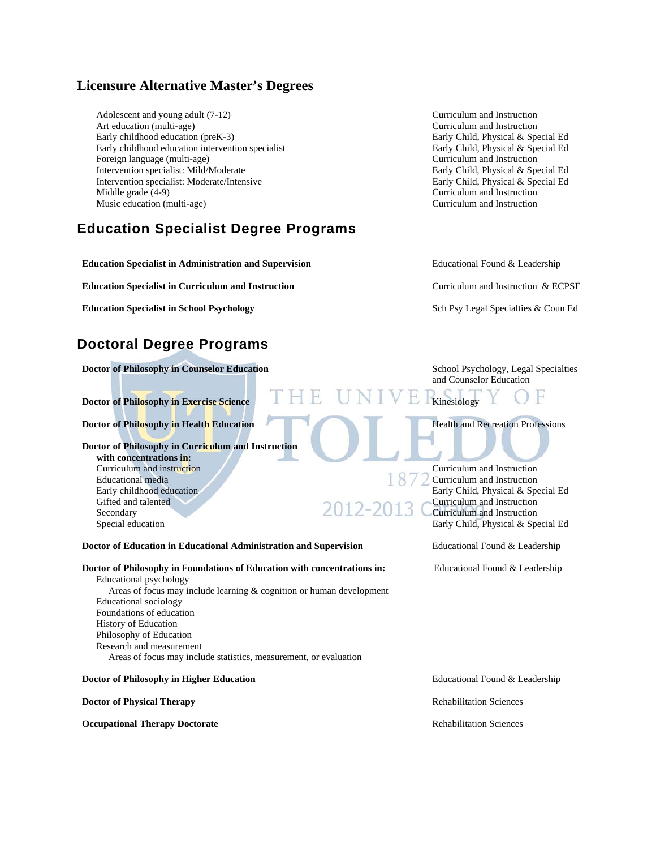# **Licensure Alternative Master's Degrees**

Adolescent and young adult (7-12) Curriculum and Instruction Art education (multi-age) Curriculum and Instruction Early childhood education (preK-3) Early Child, Physical & Special Ed Early childhood education intervention specialist Early Child, Physical & Special Ed Foreign language (multi-age) Curriculum and Instruction Intervention specialist: Mild/Moderate Early Child, Physical & Special Ed Intervention specialist: Moderate/Intensive Early Child, Physical & Special Ed Middle grade (4-9) Curriculum and Instruction Music education (multi-age) Curriculum and Instruction

# **Education Specialist Degree Programs**

**Education Specialist in Administration and Supervision <b>Educational Found & Leadership** 

**Education Specialist in Curriculum and Instruction Curriculum and Instruction Curriculum and Instruction Curriculum and Instruction** 

**Education Specialist in School Psychology School Psychology** Sch Psy Legal Specialties & Coun Ed

# **Doctoral Degree Programs**

**Doctor of Philosophy in Counselor Education** School Psychology, Legal Specialties

**Doctor of Philosophy in Exercise Science Kinesiology Reserves Kinesiology** 

**Doctor of Philosophy in Health Education 1996** Health and Recreation Professions

**Doctor of Philosophy in Curriculum and Instruction with concentrations in:** Curriculum and instruction Curriculum and Instruction Educational media  $\mathbb{R}^n$  Curriculum and Instruction Early childhood education Early Child, Physical & Special Ed Gifted and talented 2012-2013 Curriculum and Instruction Secondary  $\angle \cup \angle \angle \angle \angle$   $\angle \cup \angle$  Curriculum and Instruction

and Counselor Education

Special education **Early Child, Physical & Special Ed** 

**Doctor of Education in Educational Administration and Supervision Franchi Educational Found & Leadership** 

**Doctor of Philosophy in Foundations of Education with concentrations in:** Educational Found & Leadership

 Educational psychology Areas of focus may include learning & cognition or human development

 Educational sociology Foundations of education History of Education Philosophy of Education Research and measurement Areas of focus may include statistics, measurement, or evaluation

**Doctor of Philosophy in Higher Education** Education Educational Found & Leadership

#### **Doctor of Physical Therapy Rehabilitation Sciences Rehabilitation Sciences Rehabilitation Sciences**

**Occupational Therapy Doctorate Rehabilitation Sciences Rehabilitation Sciences**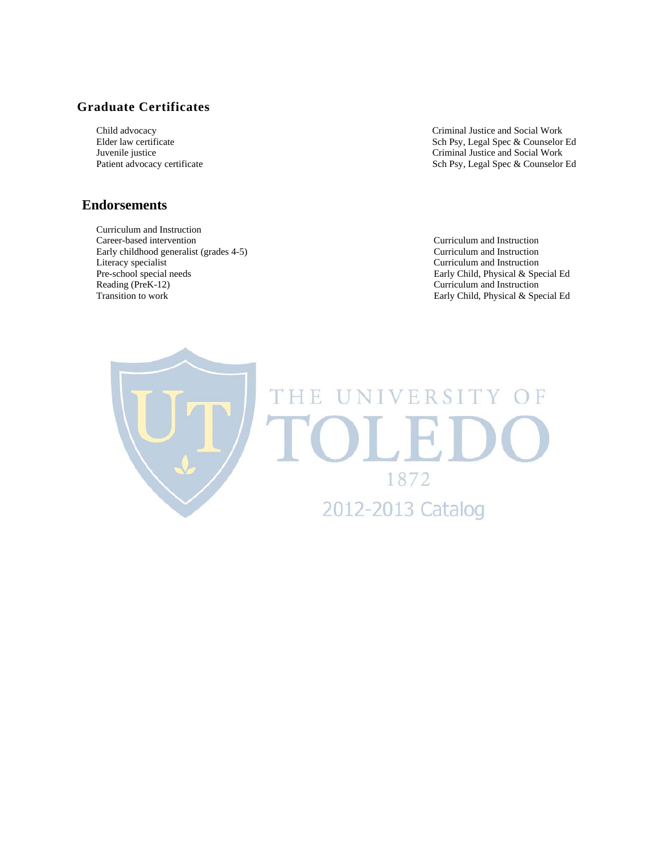# **Graduate Certificates**

# **Endorsements**

 Curriculum and Instruction Career-based intervention Curriculum and Instruction Early childhood generalist (grades 4-5) Curriculum and Instruction Literacy specialist Curriculum and Instruction Pre-school special needs<br>
Reading (PreK-12)<br>
Curriculum and Instruction<br>
Curriculum and Instruction Reading (PreK-12)<br>
Transition to work the contract of the contract of the contract of the contract of the contract of the contract of the contract of the contract of the contract of the contract of the contract of the cont

Child advocacy Criminal Justice and Social Work<br>Elder law certificate and Social Work Elder law certificate and Social Work Elder law certificate Elder law certificate Sch Psy, Legal Spec & Counselor Ed<br>
Invenile justice Sch Psy, Legal Spec & Counselor Ed<br>
Criminal Justice and Social Work Criminal Justice and Social Work Patient advocacy certificate Sch Psy, Legal Spec & Counselor Ed

Early Child, Physical & Special Ed

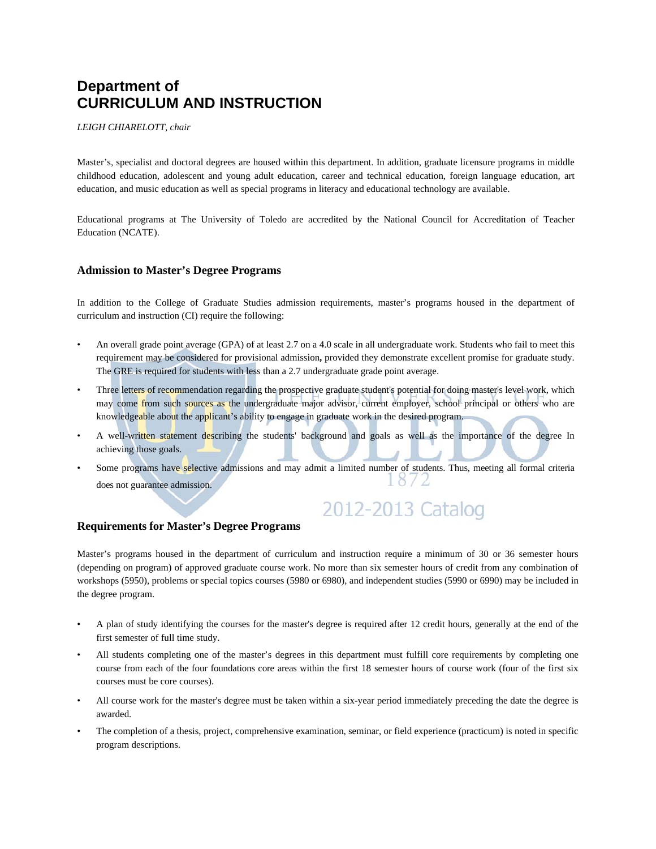# **Department of CURRICULUM AND INSTRUCTION**

*LEIGH CHIARELOTT, chair* 

Master's, specialist and doctoral degrees are housed within this department. In addition, graduate licensure programs in middle childhood education, adolescent and young adult education, career and technical education, foreign language education, art education, and music education as well as special programs in literacy and educational technology are available.

Educational programs at The University of Toledo are accredited by the National Council for Accreditation of Teacher Education (NCATE).

#### **Admission to Master's Degree Programs**

In addition to the College of Graduate Studies admission requirements, master's programs housed in the department of curriculum and instruction (CI) require the following:

- An overall grade point average (GPA) of at least 2.7 on a 4.0 scale in all undergraduate work. Students who fail to meet this requirement may be considered for provisional admission**,** provided they demonstrate excellent promise for graduate study. The GRE is required for students with less than a 2.7 undergraduate grade point average.
- Three letters of recommendation regarding the prospective graduate student's potential for doing master's level work, which may come from such sources as the undergraduate major advisor, current employer, school principal or others who are knowledgeable about the applicant's ability to engage in graduate work in the desired program.
- A well-written statement describing the students' background and goals as well as the importance of the degree In achieving those goals.
- Some programs have selective admissions and may admit a limited number of students. Thus, meeting all formal criteria  $\alpha$  / does not guarantee admission.

# 2012-2013 Catalog

#### **Requirements for Master's Degree Programs**

Master's programs housed in the department of curriculum and instruction require a minimum of 30 or 36 semester hours (depending on program) of approved graduate course work. No more than six semester hours of credit from any combination of workshops (5950), problems or special topics courses (5980 or 6980), and independent studies (5990 or 6990) may be included in the degree program.

- A plan of study identifying the courses for the master's degree is required after 12 credit hours, generally at the end of the first semester of full time study.
- All students completing one of the master's degrees in this department must fulfill core requirements by completing one course from each of the four foundations core areas within the first 18 semester hours of course work (four of the first six courses must be core courses).
- All course work for the master's degree must be taken within a six-year period immediately preceding the date the degree is awarded.
- The completion of a thesis, project, comprehensive examination, seminar, or field experience (practicum) is noted in specific program descriptions.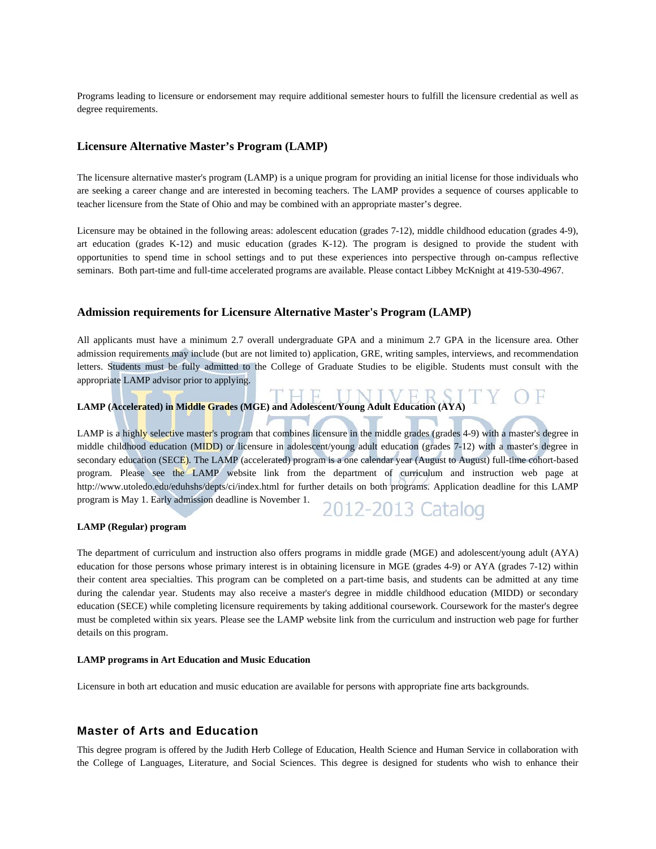Programs leading to licensure or endorsement may require additional semester hours to fulfill the licensure credential as well as degree requirements.

#### **Licensure Alternative Master's Program (LAMP)**

The licensure alternative master's program (LAMP) is a unique program for providing an initial license for those individuals who are seeking a career change and are interested in becoming teachers. The LAMP provides a sequence of courses applicable to teacher licensure from the State of Ohio and may be combined with an appropriate master's degree.

Licensure may be obtained in the following areas: adolescent education (grades 7-12), middle childhood education (grades 4-9), art education (grades K-12) and music education (grades K-12). The program is designed to provide the student with opportunities to spend time in school settings and to put these experiences into perspective through on-campus reflective seminars. Both part-time and full-time accelerated programs are available. Please contact Libbey McKnight at 419-530-4967.

#### **Admission requirements for Licensure Alternative Master's Program (LAMP)**

All applicants must have a minimum 2.7 overall undergraduate GPA and a minimum 2.7 GPA in the licensure area. Other admission requirements may include (but are not limited to) application, GRE, writing samples, interviews, and recommendation letters. Students must be fully admitted to the College of Graduate Studies to be eligible. Students must consult with the appropriate LAMP advisor prior to applying.

#### **LAMP (Accelerated) in Middle Grades (MGE) and Adolescent/Young Adult Education (AYA)**

LAMP is a highly selective master's program that combines licensure in the middle grades (grades 4-9) with a master's degree in middle childhood education (MIDD) or licensure in adolescent/young adult education (grades 7-12) with a master's degree in secondary education (SECE). The LAMP (accelerated) program is a one calendar year (August to August) full-time cohort-based program. Please see the LAMP website link from the department of curriculum and instruction web page at http://www.utoledo.edu/eduhshs/depts/ci/index.html for further details on both programs. Application deadline for this LAMP program is May 1. Early admission deadline is November 1. 2012-2013 Catalog

#### **LAMP (Regular) program**

The department of curriculum and instruction also offers programs in middle grade (MGE) and adolescent/young adult (AYA) education for those persons whose primary interest is in obtaining licensure in MGE (grades 4-9) or AYA (grades 7-12) within their content area specialties. This program can be completed on a part-time basis, and students can be admitted at any time during the calendar year. Students may also receive a master's degree in middle childhood education (MIDD) or secondary education (SECE) while completing licensure requirements by taking additional coursework. Coursework for the master's degree must be completed within six years. Please see the LAMP website link from the curriculum and instruction web page for further details on this program.

#### **LAMP programs in Art Education and Music Education**

Licensure in both art education and music education are available for persons with appropriate fine arts backgrounds.

#### **Master of Arts and Education**

This degree program is offered by the Judith Herb College of Education, Health Science and Human Service in collaboration with the College of Languages, Literature, and Social Sciences. This degree is designed for students who wish to enhance their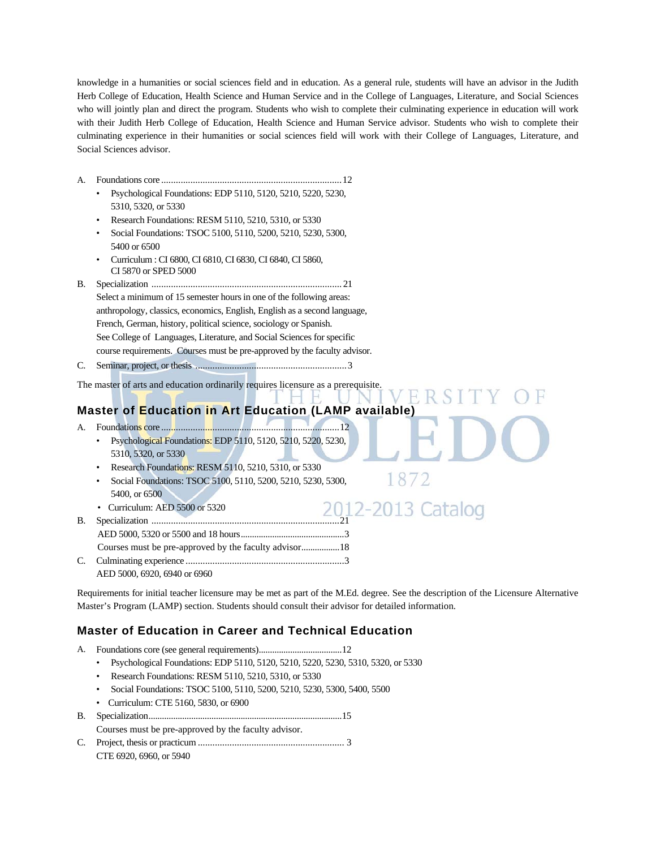knowledge in a humanities or social sciences field and in education. As a general rule, students will have an advisor in the Judith Herb College of Education, Health Science and Human Service and in the College of Languages, Literature, and Social Sciences who will jointly plan and direct the program. Students who wish to complete their culminating experience in education will work with their Judith Herb College of Education, Health Science and Human Service advisor. Students who wish to complete their culminating experience in their humanities or social sciences field will work with their College of Languages, Literature, and Social Sciences advisor.

- A. Foundations core .......................................................................... 12
	- Psychological Foundations: EDP 5110, 5120, 5210, 5220, 5230, 5310, 5320, or 5330
	- Research Foundations: RESM 5110, 5210, 5310, or 5330
	- Social Foundations: TSOC 5100, 5110, 5200, 5210, 5230, 5300, 5400 or 6500
	- Curriculum : CI 6800, CI 6810, CI 6830, CI 6840, CI 5860, CI 5870 or SPED 5000
- B. Specialization .............................................................................. 21 Select a minimum of 15 semester hours in one of the following areas: anthropology, classics, economics, English, English as a second language, French, German, history, political science, sociology or Spanish. See College of Languages, Literature, and Social Sciences for specific course requirements. Courses must be pre-approved by the faculty advisor.
- C. Seminar, project, or thesis .............................................................. 3

The master of arts and education ordinarily requires licensure as a prerequisite.

# **Master of Education in Art Education (LAMP available)**

- A. Foundations core ......................................................................... 12 • Psychological Foundations: EDP 5110, 5120, 5210, 5220, 5230, 5310, 5320, or 5330
	- Research Foundations: RESM 5110, 5210, 5310, or 5330
	- Social Foundations: TSOC 5100, 5110, 5200, 5210, 5230, 5300, 5400, or 6500
	- Curriculum: AED 5500 or 5320
- B. Specialization ............................................................................. 21 AED 5000, 5320 or 5500 and 18 hours .............................................. 3
	- Courses must be pre-approved by the faculty advisor ................. 18
- C. Culminating experience ................................................................. 3 AED 5000, 6920, 6940 or 6960

Requirements for initial teacher licensure may be met as part of the M.Ed. degree. See the description of the Licensure Alternative Master's Program (LAMP) section. Students should consult their advisor for detailed information.

1872

# **Master of Education in Career and Technical Education**

- A. Foundations core (see general requirements) ..................................... 12
	- Psychological Foundations: EDP 5110, 5120, 5210, 5220, 5230, 5310, 5320, or 5330
	- Research Foundations: RESM 5110, 5210, 5310, or 5330
	- Social Foundations: TSOC 5100, 5110, 5200, 5210, 5230, 5300, 5400, 5500
	- Curriculum: CTE 5160, 5830, or 6900
- B. Specialization ...................................................................................... 15

Courses must be pre-approved by the faculty advisor.

C. Project, thesis or practicum ............................................................ 3 CTE 6920, 6960, or 5940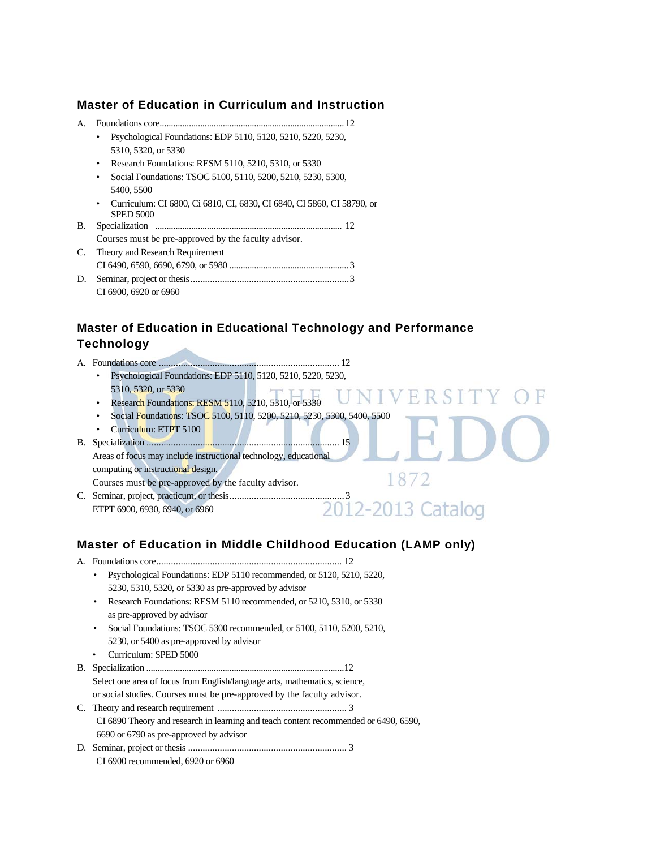## **Master of Education in Curriculum and Instruction**

- A. Foundations core .................................................................................. 12
	- Psychological Foundations: EDP 5110, 5120, 5210, 5220, 5230, 5310, 5320, or 5330
	- Research Foundations: RESM 5110, 5210, 5310, or 5330
	- Social Foundations: TSOC 5100, 5110, 5200, 5210, 5230, 5300, 5400, 5500
	- Curriculum: CI 6800, Ci 6810, CI, 6830, CI 6840, CI 5860, CI 58790, or SPED 5000
- B. Specialization ................................................................................... 12 Courses must be pre-approved by the faculty advisor.
- C. Theory and Research Requirement CI 6490, 6590, 6690, 6790, or 5980 ..................................................... 3
- D. Seminar, project or thesis ................................................................. 3 CI 6900, 6920 or 6960

# **Master of Education in Educational Technology and Performance Technology**

A. Foundations core .......................................................................... 12 • Psychological Foundations: EDP 5110, 5120, 5210, 5220, 5230, 5310, 5320, or 5330 5310, 5320, or 5330<br>• Research Foundations: RESM 5110, 5210, 5310, or 5330 NIV FR. • Social Foundations: TSOC 5100, 5110, 5200, 5210, 5230, 5300, 5400, 5500 • Curriculum: ETPT 5100 B. Specialization ............................................................................... 15 Areas of focus may include instructional technology, educational computing or instructional design. 1872 Courses must be pre-approved by the faculty advisor. C. Seminar, project, practicum, or thesis ............................................... 3 ETPT 6900, 6930, 6940, or 6960

# **Master of Education in Middle Childhood Education (LAMP only)**

| A. |                                                                                      |
|----|--------------------------------------------------------------------------------------|
|    | Psychological Foundations: EDP 5110 recommended, or 5120, 5210, 5220,<br>٠           |
|    | 5230, 5310, 5320, or 5330 as pre-approved by advisor                                 |
|    | Research Foundations: RESM 5110 recommended, or 5210, 5310, or 5330<br>٠             |
|    | as pre-approved by advisor                                                           |
|    | Social Foundations: TSOC 5300 recommended, or 5100, 5110, 5200, 5210,<br>$\bullet$   |
|    | 5230, or 5400 as pre-approved by advisor                                             |
|    | Curriculum: SPED 5000                                                                |
| B. |                                                                                      |
|    | Select one area of focus from English/language arts, mathematics, science,           |
|    | or social studies. Courses must be pre-approved by the faculty advisor.              |
|    |                                                                                      |
|    | CI 6890 Theory and research in learning and teach content recommended or 6490, 6590, |
|    | 6690 or 6790 as pre-approved by advisor                                              |
|    |                                                                                      |
|    | CI 6900 recommended, 6920 or 6960                                                    |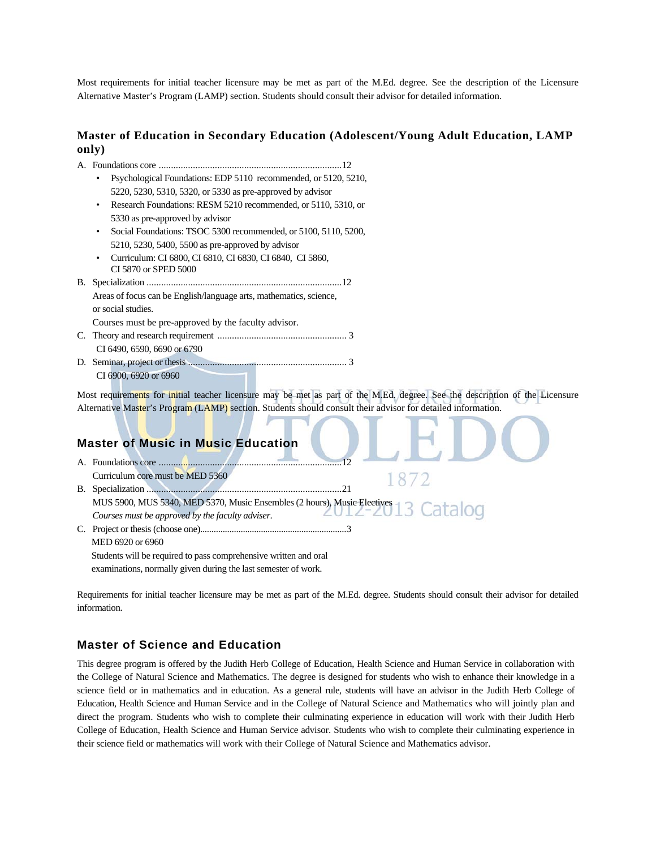Most requirements for initial teacher licensure may be met as part of the M.Ed. degree. See the description of the Licensure Alternative Master's Program (LAMP) section. Students should consult their advisor for detailed information.

#### **Master of Education in Secondary Education (Adolescent/Young Adult Education, LAMP only)**

| Psychological Foundations: EDP 5110 recommended, or 5120, 5210,                                                              |  |
|------------------------------------------------------------------------------------------------------------------------------|--|
| 5220, 5230, 5310, 5320, or 5330 as pre-approved by advisor                                                                   |  |
| Research Foundations: RESM 5210 recommended, or 5110, 5310, or                                                               |  |
| 5330 as pre-approved by advisor                                                                                              |  |
| Social Foundations: TSOC 5300 recommended, or 5100, 5110, 5200,                                                              |  |
| 5210, 5230, 5400, 5500 as pre-approved by advisor                                                                            |  |
| Curriculum: CI 6800, CI 6810, CI 6830, CI 6840, CI 5860,<br>CI 5870 or SPED 5000                                             |  |
|                                                                                                                              |  |
| Areas of focus can be English/language arts, mathematics, science,                                                           |  |
| or social studies.                                                                                                           |  |
| Courses must be pre-approved by the faculty advisor.                                                                         |  |
|                                                                                                                              |  |
| CI 6490, 6590, 6690 or 6790                                                                                                  |  |
|                                                                                                                              |  |
| CI 6900, 6920 or 6960                                                                                                        |  |
| Most requirements for initial teacher licensure may be met as part of the M.Ed, degree. See the description of the Licensure |  |
| Alternative Master's Program (LAMP) section. Students should consult their advisor for detailed information.                 |  |
|                                                                                                                              |  |
|                                                                                                                              |  |
| <b>Master of Music in Music Education</b>                                                                                    |  |
|                                                                                                                              |  |
| Curriculum core must be MED 5360                                                                                             |  |
|                                                                                                                              |  |
| MUS 5900, MUS 5340, MED 5370, Music Ensembles (2 hours), Music Electives                                                     |  |
| Courses must be approved by the faculty adviser.                                                                             |  |
|                                                                                                                              |  |

 MED 6920 or 6960 Students will be required to pass comprehensive written and oral examinations, normally given during the last semester of work.

Requirements for initial teacher licensure may be met as part of the M.Ed. degree. Students should consult their advisor for detailed information.

#### **Master of Science and Education**

This degree program is offered by the Judith Herb College of Education, Health Science and Human Service in collaboration with the College of Natural Science and Mathematics. The degree is designed for students who wish to enhance their knowledge in a science field or in mathematics and in education. As a general rule, students will have an advisor in the Judith Herb College of Education, Health Science and Human Service and in the College of Natural Science and Mathematics who will jointly plan and direct the program. Students who wish to complete their culminating experience in education will work with their Judith Herb College of Education, Health Science and Human Service advisor. Students who wish to complete their culminating experience in their science field or mathematics will work with their College of Natural Science and Mathematics advisor.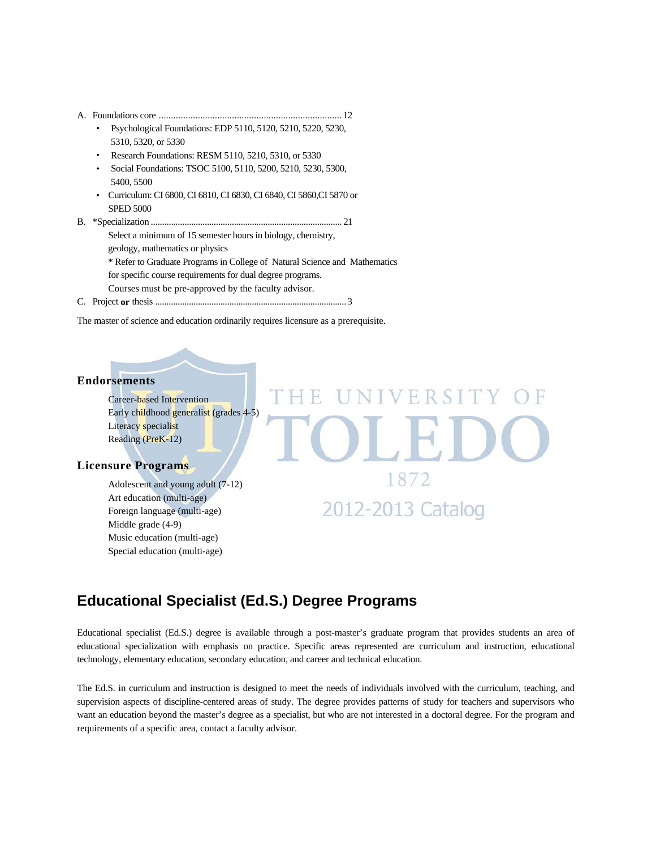- A. Foundations core ........................................................................... 12
	- Psychological Foundations: EDP 5110, 5120, 5210, 5220, 5230, 5310, 5320, or 5330
	- Research Foundations: RESM 5110, 5210, 5310, or 5330
	- Social Foundations: TSOC 5100, 5110, 5200, 5210, 5230, 5300, 5400, 5500
	- Curriculum: CI 6800, CI 6810, CI 6830, CI 6840, CI 5860,CI 5870 or SPED 5000
- B. \*Specialization ..................................................................................... 21 Select a minimum of 15 semester hours in biology, chemistry, geology, mathematics or physics \* Refer to Graduate Programs in College of Natural Science and Mathematics for specific course requirements for dual degree programs. Courses must be pre-approved by the faculty advisor.
- C. Project **or** thesis ..................................................................................... 3

The master of science and education ordinarily requires licensure as a prerequisite.

#### **Endorsements**

 Career-based Intervention Early childhood generalist (grades 4-5) Literacy specialist Reading (PreK-12)

#### **Licensure Programs**

Adolescent and young adult (7-12) Art education (multi-age) Foreign language (multi-age) Middle grade (4-9) Music education (multi-age) Special education (multi-age)

# 1872 2012-2013 Catalog

FRS

# **Educational Specialist (Ed.S.) Degree Programs**

Educational specialist (Ed.S.) degree is available through a post-master's graduate program that provides students an area of educational specialization with emphasis on practice. Specific areas represented are curriculum and instruction, educational technology, elementary education, secondary education, and career and technical education.

The Ed.S. in curriculum and instruction is designed to meet the needs of individuals involved with the curriculum, teaching, and supervision aspects of discipline-centered areas of study. The degree provides patterns of study for teachers and supervisors who want an education beyond the master's degree as a specialist, but who are not interested in a doctoral degree. For the program and requirements of a specific area, contact a faculty advisor.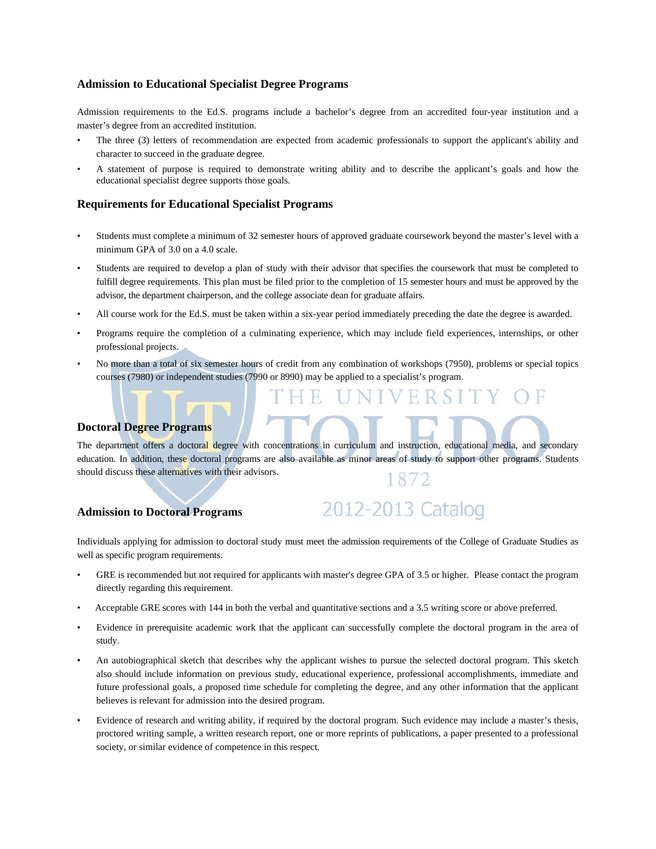#### **Admission to Educational Specialist Degree Programs**

Admission requirements to the Ed.S. programs include a bachelor's degree from an accredited four-year institution and a master's degree from an accredited institution.

- The three (3) letters of recommendation are expected from academic professionals to support the applicant's ability and character to succeed in the graduate degree.
- A statement of purpose is required to demonstrate writing ability and to describe the applicant's goals and how the educational specialist degree supports those goals.

#### **Requirements for Educational Specialist Programs**

- Students must complete a minimum of 32 semester hours of approved graduate coursework beyond the master's level with a minimum GPA of 3.0 on a 4.0 scale.
- Students are required to develop a plan of study with their advisor that specifies the coursework that must be completed to fulfill degree requirements. This plan must be filed prior to the completion of 15 semester hours and must be approved by the advisor, the department chairperson, and the college associate dean for graduate affairs.
- All course work for the Ed.S. must be taken within a six-year period immediately preceding the date the degree is awarded.
- Programs require the completion of a culminating experience, which may include field experiences, internships, or other professional projects.
- No more than a total of six semester hours of credit from any combination of workshops (7950), problems or special topics courses (7980) or independent studies (7990 or 8990) may be applied to a specialist's program.

#### **Doctoral Degree Programs**

The department offers a doctoral degree with concentrations in curriculum and instruction, educational media, and secondary education. In addition, these doctoral programs are also available as minor areas of study to support other programs. Students should discuss these alternatives with their advisors.

#### **Admission to Doctoral Programs**

Individuals applying for admission to doctoral study must meet the admission requirements of the College of Graduate Studies as well as specific program requirements.

2012-2013 Catalog

- GRE is recommended but not required for applicants with master's degree GPA of 3.5 or higher. Please contact the program directly regarding this requirement.
- Acceptable GRE scores with 144 in both the verbal and quantitative sections and a 3.5 writing score or above preferred.
- Evidence in prerequisite academic work that the applicant can successfully complete the doctoral program in the area of study.
- An autobiographical sketch that describes why the applicant wishes to pursue the selected doctoral program. This sketch also should include information on previous study, educational experience, professional accomplishments, immediate and future professional goals, a proposed time schedule for completing the degree, and any other information that the applicant believes is relevant for admission into the desired program.
- Evidence of research and writing ability, if required by the doctoral program. Such evidence may include a master's thesis, proctored writing sample, a written research report, one or more reprints of publications, a paper presented to a professional society, or similar evidence of competence in this respect.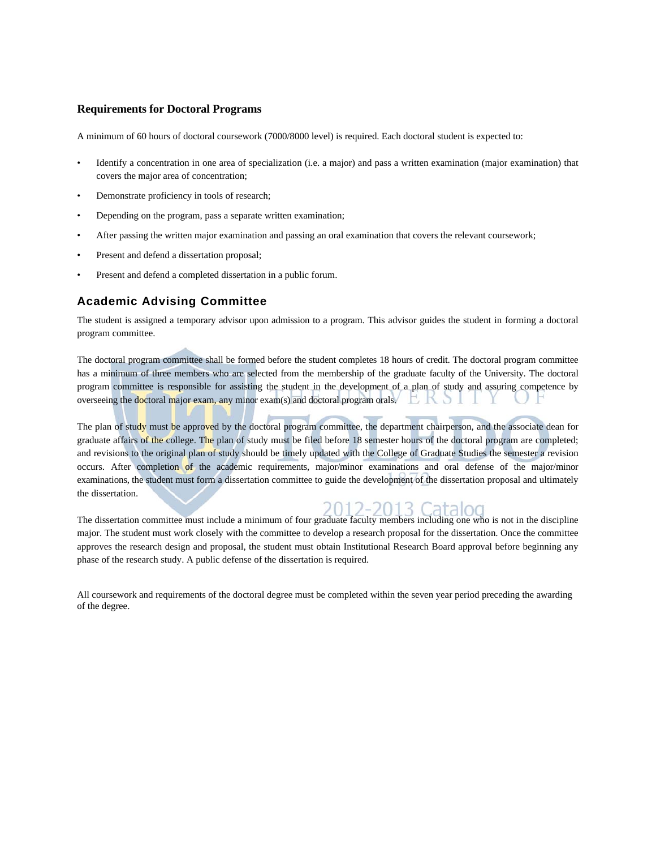#### **Requirements for Doctoral Programs**

A minimum of 60 hours of doctoral coursework (7000/8000 level) is required. Each doctoral student is expected to:

- Identify a concentration in one area of specialization (i.e. a major) and pass a written examination (major examination) that covers the major area of concentration;
- Demonstrate proficiency in tools of research;
- Depending on the program, pass a separate written examination;
- After passing the written major examination and passing an oral examination that covers the relevant coursework;
- Present and defend a dissertation proposal;
- Present and defend a completed dissertation in a public forum.

#### **Academic Advising Committee**

The student is assigned a temporary advisor upon admission to a program. This advisor guides the student in forming a doctoral program committee.

The doctoral program committee shall be formed before the student completes 18 hours of credit. The doctoral program committee has a minimum of three members who are selected from the membership of the graduate faculty of the University. The doctoral program committee is responsible for assisting the student in the development of a plan of study and assuring competence by overseeing the doctoral major exam, any minor exam(s) and doctoral program orals. EKSI

The plan of study must be approved by the doctoral program committee, the department chairperson, and the associate dean for graduate affairs of the college. The plan of study must be filed before 18 semester hours of the doctoral program are completed; and revisions to the original plan of study should be timely updated with the College of Graduate Studies the semester a revision occurs. After completion of the academic requirements, major/minor examinations and oral defense of the major/minor examinations, the student must form a dissertation committee to guide the development of the dissertation proposal and ultimately the dissertation.

The dissertation committee must include a minimum of four graduate faculty members including one who is not in the discipline major. The student must work closely with the committee to develop a research proposal for the dissertation. Once the committee approves the research design and proposal, the student must obtain Institutional Research Board approval before beginning any phase of the research study. A public defense of the dissertation is required.

All coursework and requirements of the doctoral degree must be completed within the seven year period preceding the awarding of the degree.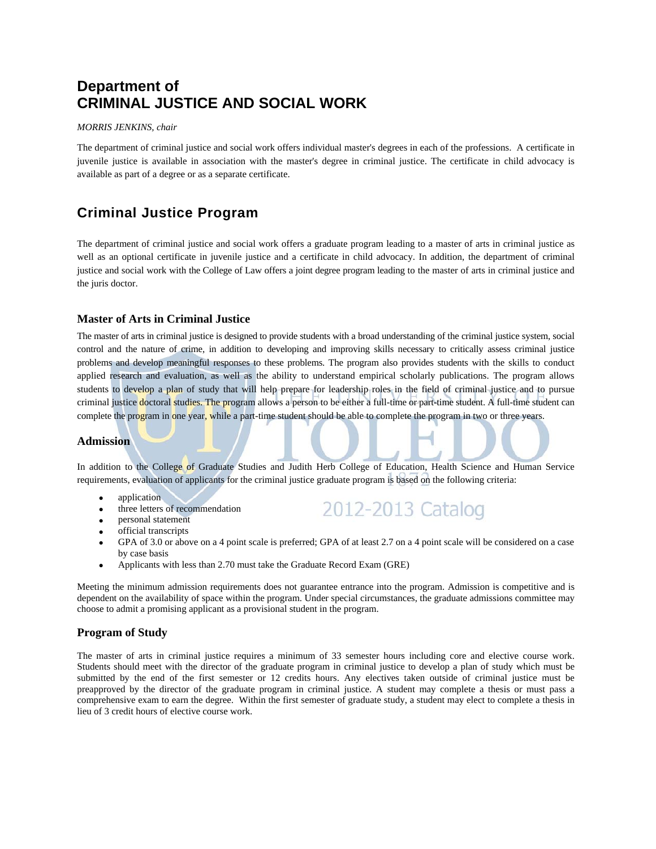# **Department of CRIMINAL JUSTICE AND SOCIAL WORK**

#### *MORRIS JENKINS, chair*

The department of criminal justice and social work offers individual master's degrees in each of the professions. A certificate in juvenile justice is available in association with the master's degree in criminal justice. The certificate in child advocacy is available as part of a degree or as a separate certificate.

# **Criminal Justice Program**

The department of criminal justice and social work offers a graduate program leading to a master of arts in criminal justice as well as an optional certificate in juvenile justice and a certificate in child advocacy. In addition, the department of criminal justice and social work with the College of Law offers a joint degree program leading to the master of arts in criminal justice and the juris doctor.

#### **Master of Arts in Criminal Justice**

The master of arts in criminal justice is designed to provide students with a broad understanding of the criminal justice system, social control and the nature of crime, in addition to developing and improving skills necessary to critically assess criminal justice problems and develop meaningful responses to these problems. The program also provides students with the skills to conduct applied research and evaluation, as well as the ability to understand empirical scholarly publications. The program allows students to develop a plan of study that will help prepare for leadership roles in the field of criminal justice and to pursue criminal justice doctoral studies. The program allows a person to be either a full-time or part-time student. A full-time student can complete the program in one year, while a part-time student should be able to complete the program in two or three years.

#### **Admission**

In addition to the College of Graduate Studies and Judith Herb College of Education, Health Science and Human Service requirements, evaluation of applicants for the criminal justice graduate program is based on the following criteria:

- application
- three letters of recommendation

2012-2013 Catalog

- personal statement official transcripts
- GPA of 3.0 or above on a 4 point scale is preferred; GPA of at least 2.7 on a 4 point scale will be considered on a case by case basis
- Applicants with less than 2.70 must take the Graduate Record Exam (GRE)

Meeting the minimum admission requirements does not guarantee entrance into the program. Admission is competitive and is dependent on the availability of space within the program. Under special circumstances, the graduate admissions committee may choose to admit a promising applicant as a provisional student in the program.

#### **Program of Study**

The master of arts in criminal justice requires a minimum of 33 semester hours including core and elective course work. Students should meet with the director of the graduate program in criminal justice to develop a plan of study which must be submitted by the end of the first semester or 12 credits hours. Any electives taken outside of criminal justice must be preapproved by the director of the graduate program in criminal justice. A student may complete a thesis or must pass a comprehensive exam to earn the degree. Within the first semester of graduate study, a student may elect to complete a thesis in lieu of 3 credit hours of elective course work.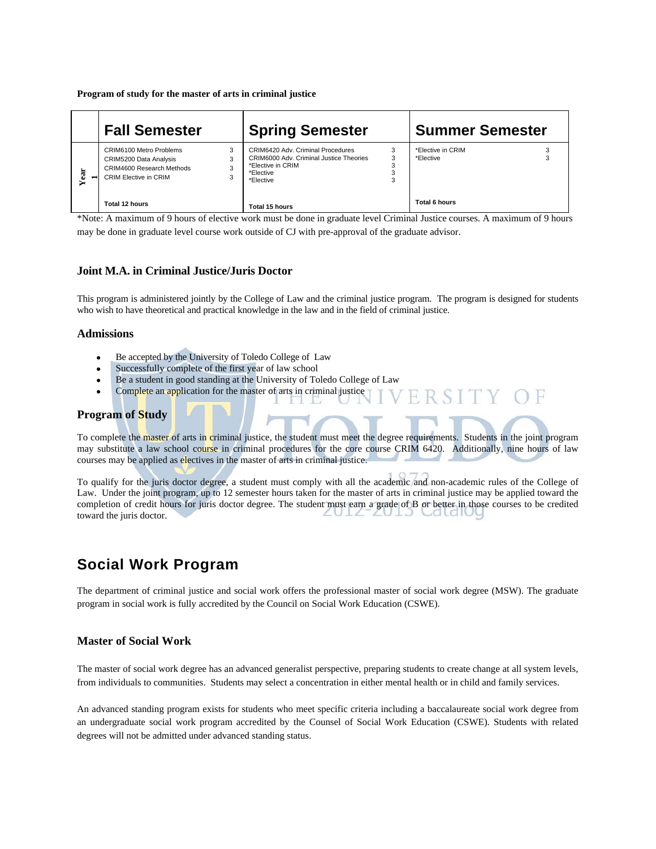**Program of study for the master of arts in criminal justice** 

|   | <b>Fall Semester</b>                                                                                                        | <b>Spring Semester</b>                                                                                                           | <b>Summer Semester</b>         |
|---|-----------------------------------------------------------------------------------------------------------------------------|----------------------------------------------------------------------------------------------------------------------------------|--------------------------------|
| ä | 3<br>CRIM6100 Metro Problems<br>$\sim$<br>CRIM5200 Data Analysis<br>CRIM4600 Research Methods<br>CRIM Elective in CRIM<br>3 | CRIM6420 Adv. Criminal Procedures<br>CRIM6000 Adv. Criminal Justice Theories<br>З<br>*Elective in CRIM<br>*Elective<br>*Elective | *Elective in CRIM<br>*Elective |
|   | Total 12 hours                                                                                                              | Total 15 hours                                                                                                                   | <b>Total 6 hours</b>           |

\*Note: A maximum of 9 hours of elective work must be done in graduate level Criminal Justice courses. A maximum of 9 hours may be done in graduate level course work outside of CJ with pre-approval of the graduate advisor.

#### **Joint M.A. in Criminal Justice/Juris Doctor**

This program is administered jointly by the College of Law and the criminal justice program. The program is designed for students who wish to have theoretical and practical knowledge in the law and in the field of criminal justice.

#### **Admissions**

- Be accepted by the University of Toledo College of Law
- Successfully complete of the first year of law school
- Be a student in good standing at the University of Toledo College of Law
- Complete an application for the master of arts in criminal justice TT D

#### **Program of Study**

To complete the master of arts in criminal justice, the student must meet the degree requirements. Students in the joint program may substitute a law school course in criminal procedures for the core course CRIM 6420. Additionally, nine hours of law courses may be applied as electives in the master of arts in criminal justice.

To qualify for the juris doctor degree, a student must comply with all the academic and non-academic rules of the College of Law. Under the joint program, up to 12 semester hours taken for the master of arts in criminal justice may be applied toward the completion of credit hours for juris doctor degree. The student must earn a grade of B or better in those courses to be credited toward the juris doctor.

# **Social Work Program**

The department of criminal justice and social work offers the professional master of social work degree (MSW). The graduate program in social work is fully accredited by the Council on Social Work Education (CSWE).

#### **Master of Social Work**

The master of social work degree has an advanced generalist perspective, preparing students to create change at all system levels, from individuals to communities. Students may select a concentration in either mental health or in child and family services.

An advanced standing program exists for students who meet specific criteria including a baccalaureate social work degree from an undergraduate social work program accredited by the Counsel of Social Work Education (CSWE). Students with related degrees will not be admitted under advanced standing status.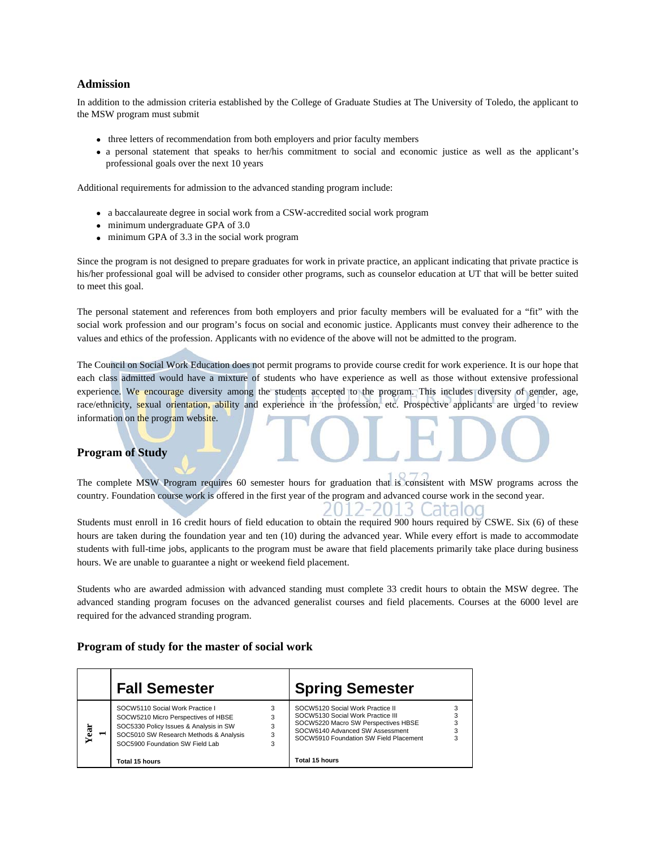#### **Admission**

In addition to the admission criteria established by the College of Graduate Studies at The University of Toledo, the applicant to the MSW program must submit

- three letters of recommendation from both employers and prior faculty members
- a personal statement that speaks to her/his commitment to social and economic justice as well as the applicant's professional goals over the next 10 years

Additional requirements for admission to the advanced standing program include:

- a baccalaureate degree in social work from a CSW-accredited social work program
- minimum undergraduate GPA of 3.0
- minimum GPA of 3.3 in the social work program

Since the program is not designed to prepare graduates for work in private practice, an applicant indicating that private practice is his/her professional goal will be advised to consider other programs, such as counselor education at UT that will be better suited to meet this goal.

The personal statement and references from both employers and prior faculty members will be evaluated for a "fit" with the social work profession and our program's focus on social and economic justice. Applicants must convey their adherence to the values and ethics of the profession. Applicants with no evidence of the above will not be admitted to the program.

The Council on Social Work Education does not permit programs to provide course credit for work experience. It is our hope that each class admitted would have a mixture of students who have experience as well as those without extensive professional experience. We encourage diversity among the students accepted to the program. This includes diversity of gender, age, race/ethnicity, sexual orientation, ability and experience in the profession, etc. Prospective applicants are urged to review information on the program website.

#### **Program of Study**

The complete MSW Program requires 60 semester hours for graduation that is consistent with MSW programs across the country. Foundation course work is offered in the first year of the program and advanced course work in the second year.

 $2 - 20$ 

lis Cataloo

Students must enroll in 16 credit hours of field education to obtain the required 900 hours required by CSWE. Six (6) of these hours are taken during the foundation year and ten (10) during the advanced year. While every effort is made to accommodate students with full-time jobs, applicants to the program must be aware that field placements primarily take place during business hours. We are unable to guarantee a night or weekend field placement.

Students who are awarded admission with advanced standing must complete 33 credit hours to obtain the MSW degree. The advanced standing program focuses on the advanced generalist courses and field placements. Courses at the 6000 level are required for the advanced stranding program.

#### **Program of study for the master of social work**

|      | <b>Fall Semester</b>                                                                                                                                                                                                   |             | <b>Spring Semester</b>                                                                                                                                                                                      |  |
|------|------------------------------------------------------------------------------------------------------------------------------------------------------------------------------------------------------------------------|-------------|-------------------------------------------------------------------------------------------------------------------------------------------------------------------------------------------------------------|--|
| Year | SOCW5110 Social Work Practice I<br>SOCW5210 Micro Perspectives of HBSE<br>SOC5330 Policy Issues & Analysis in SW<br>SOC5010 SW Research Methods & Analysis<br>SOC5900 Foundation SW Field Lab<br><b>Total 15 hours</b> | 3<br>3<br>3 | SOCW5120 Social Work Practice II<br>SOCW5130 Social Work Practice III<br>SOCW5220 Macro SW Perspectives HBSE<br>SOCW6140 Advanced SW Assessment<br>SOCW5910 Foundation SW Field Placement<br>Total 15 hours |  |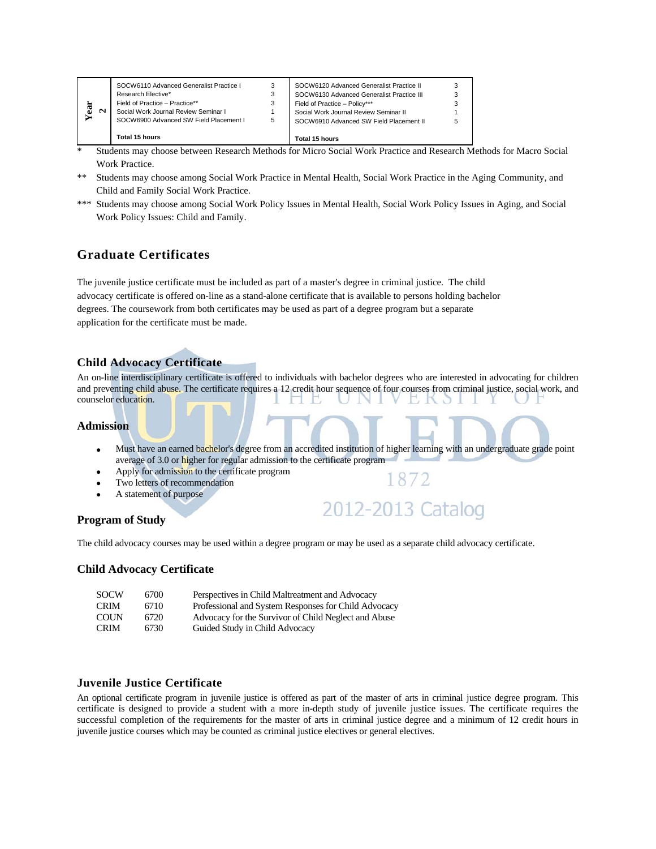- \* Students may choose between Research Methods for Micro Social Work Practice and Research Methods for Macro Social Work Practice.
- \*\* Students may choose among Social Work Practice in Mental Health, Social Work Practice in the Aging Community, and Child and Family Social Work Practice.
- \*\*\* Students may choose among Social Work Policy Issues in Mental Health, Social Work Policy Issues in Aging, and Social Work Policy Issues: Child and Family.

# **Graduate Certificates**

The juvenile justice certificate must be included as part of a master's degree in criminal justice. The child advocacy certificate is offered on-line as a stand-alone certificate that is available to persons holding bachelor degrees. The coursework from both certificates may be used as part of a degree program but a separate application for the certificate must be made.

#### **Child Advocacy Certificate**

An on-line interdisciplinary certificate is offered to individuals with bachelor degrees who are interested in advocating for children and preventing child abuse. The certificate requires a 12 credit hour sequence of four courses from criminal justice, social work, and counselor education.

#### **Admission**

- Must have an earned bachelor's degree from an accredited institution of higher learning with an undergraduate grade point average of 3.0 or higher for regular admission to the certificate program
- Apply for admission to the certificate program
- Two letters of recommendation
- A statement of purpose



1872

#### **Program of Study**

The child advocacy courses may be used within a degree program or may be used as a separate child advocacy certificate.

#### **Child Advocacy Certificate**

| <b>SOCW</b> | 6700 | Perspectives in Child Maltreatment and Advocacy      |
|-------------|------|------------------------------------------------------|
| <b>CRIM</b> | 6710 | Professional and System Responses for Child Advocacy |
| <b>COUN</b> | 6720 | Advocacy for the Survivor of Child Neglect and Abuse |
| <b>CRIM</b> | 6730 | Guided Study in Child Advocacy                       |

#### **Juvenile Justice Certificate**

An optional certificate program in juvenile justice is offered as part of the master of arts in criminal justice degree program. This certificate is designed to provide a student with a more in-depth study of juvenile justice issues. The certificate requires the successful completion of the requirements for the master of arts in criminal justice degree and a minimum of 12 credit hours in juvenile justice courses which may be counted as criminal justice electives or general electives.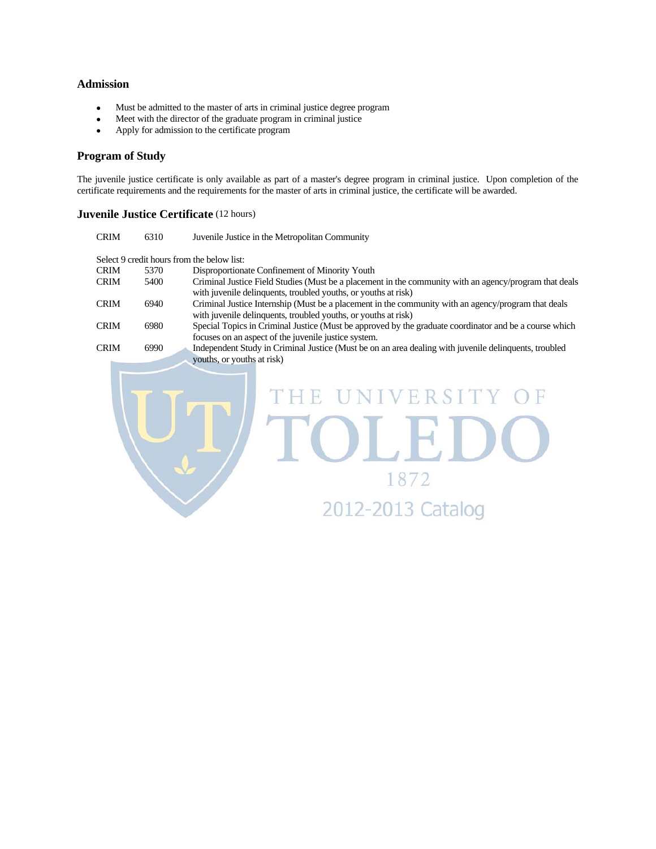#### **Admission**

- Must be admitted to the master of arts in criminal justice degree program
- Meet with the director of the graduate program in criminal justice
- Apply for admission to the certificate program

#### **Program of Study**

The juvenile justice certificate is only available as part of a master's degree program in criminal justice. Upon completion of the certificate requirements and the requirements for the master of arts in criminal justice, the certificate will be awarded.

#### **Juvenile Justice Certificate** (12 hours)

| <b>CRIM</b> | 6310 | Juvenile Justice in the Metropolitan Community                                                                                                                           |
|-------------|------|--------------------------------------------------------------------------------------------------------------------------------------------------------------------------|
|             |      | Select 9 credit hours from the below list:                                                                                                                               |
| <b>CRIM</b> | 5370 | Disproportionate Confinement of Minority Youth                                                                                                                           |
| <b>CRIM</b> | 5400 | Criminal Justice Field Studies (Must be a placement in the community with an agency/program that deals<br>with juvenile delinquents, troubled youths, or youths at risk) |
| <b>CRIM</b> | 6940 | Criminal Justice Internship (Must be a placement in the community with an agency/program that deals<br>with juvenile delinquents, troubled youths, or youths at risk)    |
| <b>CRIM</b> | 6980 | Special Topics in Criminal Justice (Must be approved by the graduate coordinator and be a course which<br>focuses on an aspect of the juvenile justice system.           |
| <b>CRIM</b> | 6990 | Independent Study in Criminal Justice (Must be on an area dealing with juvenile delinquents, troubled                                                                    |
|             |      | youths, or youths at risk)<br>UNIVERSITY O<br>T HIB.<br>2012-2013 Cata                                                                                                   |
|             |      |                                                                                                                                                                          |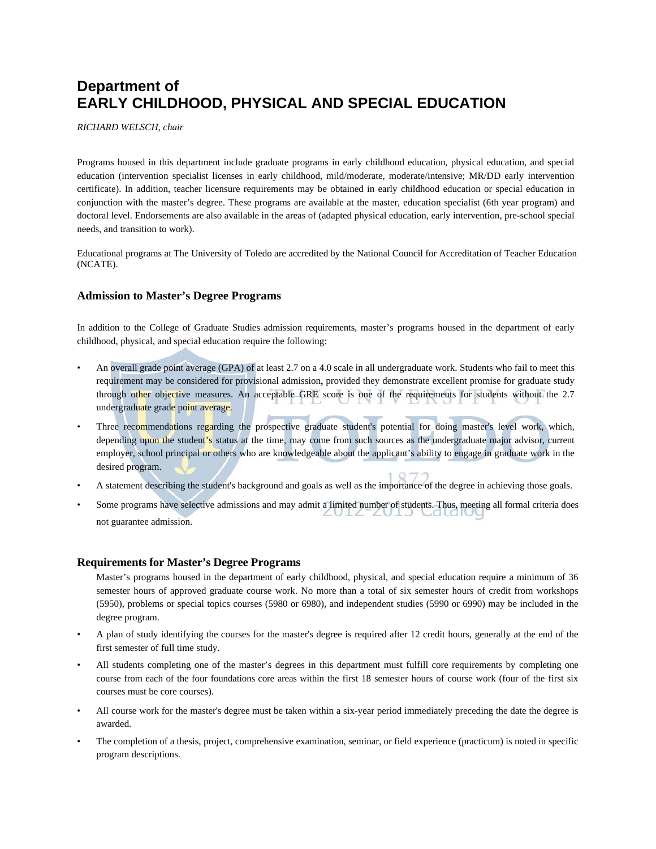# **Department of EARLY CHILDHOOD, PHYSICAL AND SPECIAL EDUCATION**

*RICHARD WELSCH, chair* 

Programs housed in this department include graduate programs in early childhood education, physical education, and special education (intervention specialist licenses in early childhood, mild/moderate, moderate/intensive; MR/DD early intervention certificate). In addition, teacher licensure requirements may be obtained in early childhood education or special education in conjunction with the master's degree. These programs are available at the master, education specialist (6th year program) and doctoral level. Endorsements are also available in the areas of (adapted physical education, early intervention, pre-school special needs, and transition to work).

Educational programs at The University of Toledo are accredited by the National Council for Accreditation of Teacher Education (NCATE).

#### **Admission to Master's Degree Programs**

In addition to the College of Graduate Studies admission requirements, master's programs housed in the department of early childhood, physical, and special education require the following:

- An overall grade point average (GPA) of at least 2.7 on a 4.0 scale in all undergraduate work. Students who fail to meet this requirement may be considered for provisional admission**,** provided they demonstrate excellent promise for graduate study through other objective measures. An acceptable GRE score is one of the requirements for students without the 2.7 undergraduate grade point average.
- Three recommendations regarding the prospective graduate student's potential for doing master's level work, which, depending upon the student's status at the time, may come from such sources as the undergraduate major advisor, current employer, school principal or others who are knowledgeable about the applicant's ability to engage in graduate work in the desired program.
- A statement describing the student's background and goals as well as the importance of the degree in achieving those goals.
- Some programs have selective admissions and may admit a limited number of students. Thus, meeting all formal criteria does not guarantee admission.

#### **Requirements for Master's Degree Programs**

 Master's programs housed in the department of early childhood, physical, and special education require a minimum of 36 semester hours of approved graduate course work. No more than a total of six semester hours of credit from workshops (5950), problems or special topics courses (5980 or 6980), and independent studies (5990 or 6990) may be included in the degree program.

- A plan of study identifying the courses for the master's degree is required after 12 credit hours, generally at the end of the first semester of full time study.
- All students completing one of the master's degrees in this department must fulfill core requirements by completing one course from each of the four foundations core areas within the first 18 semester hours of course work (four of the first six courses must be core courses).
- All course work for the master's degree must be taken within a six-year period immediately preceding the date the degree is awarded.
- The completion of a thesis, project, comprehensive examination, seminar, or field experience (practicum) is noted in specific program descriptions.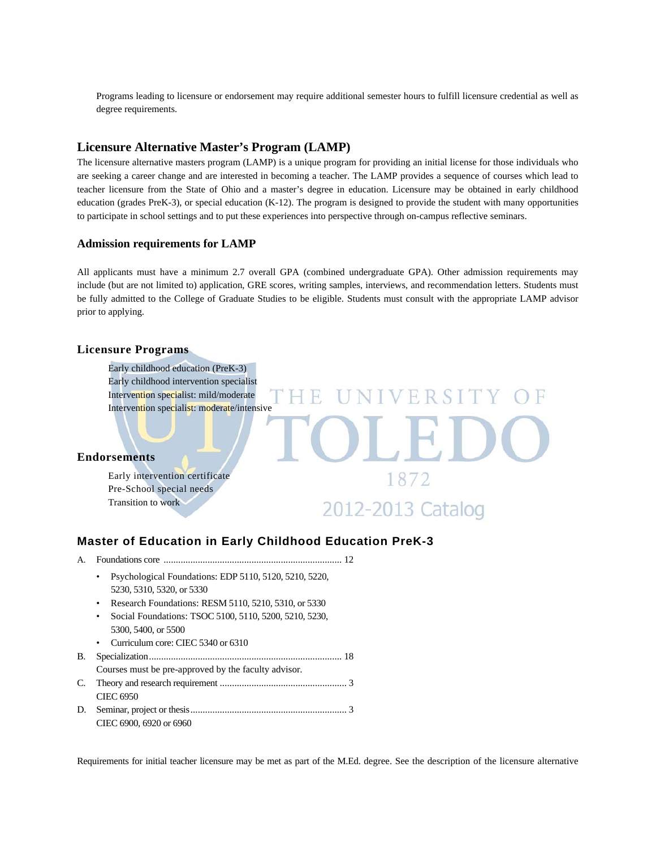Programs leading to licensure or endorsement may require additional semester hours to fulfill licensure credential as well as degree requirements.

#### **Licensure Alternative Master's Program (LAMP)**

The licensure alternative masters program (LAMP) is a unique program for providing an initial license for those individuals who are seeking a career change and are interested in becoming a teacher. The LAMP provides a sequence of courses which lead to teacher licensure from the State of Ohio and a master's degree in education. Licensure may be obtained in early childhood education (grades PreK-3), or special education (K-12). The program is designed to provide the student with many opportunities to participate in school settings and to put these experiences into perspective through on-campus reflective seminars.

#### **Admission requirements for LAMP**

All applicants must have a minimum 2.7 overall GPA (combined undergraduate GPA). Other admission requirements may include (but are not limited to) application, GRE scores, writing samples, interviews, and recommendation letters. Students must be fully admitted to the College of Graduate Studies to be eligible. Students must consult with the appropriate LAMP advisor prior to applying.

#### **Licensure Programs**



#### **Master of Education in Early Childhood Education PreK-3**

- A. Foundations core ......................................................................... 12
	- Psychological Foundations: EDP 5110, 5120, 5210, 5220, 5230, 5310, 5320, or 5330
	- Research Foundations: RESM 5110, 5210, 5310, or 5330
	- Social Foundations: TSOC 5100, 5110, 5200, 5210, 5230, 5300, 5400, or 5500
	- Curriculum core: CIEC 5340 or 6310
- B. Specialization ............................................................................... 18 Courses must be pre-approved by the faculty advisor*.*
- C. Theory and research requirement .................................................... 3 CIEC 6950
- D. Seminar, project or thesis ................................................................ 3 CIEC 6900, 6920 or 6960

Requirements for initial teacher licensure may be met as part of the M.Ed. degree. See the description of the licensure alternative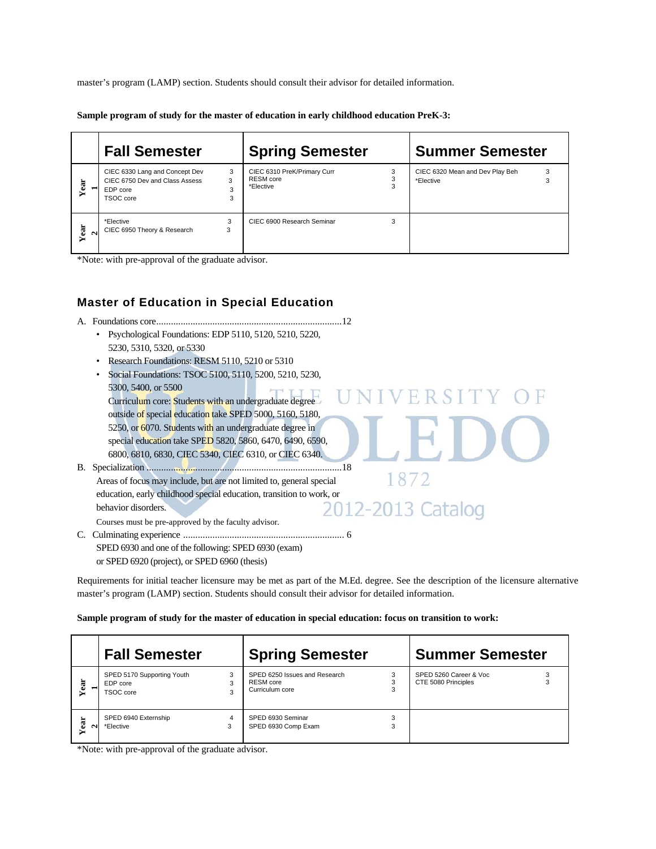master's program (LAMP) section. Students should consult their advisor for detailed information.

**Sample program of study for the master of education in early childhood education PreK-3:** 

|                | <b>Fall Semester</b>                                                                                          | <b>Spring Semester</b>                                               | <b>Summer Semester</b>                                 |
|----------------|---------------------------------------------------------------------------------------------------------------|----------------------------------------------------------------------|--------------------------------------------------------|
| Year           | 3<br>CIEC 6330 Lang and Concept Dev<br>CIEC 6750 Dev and Class Assess<br>3<br>3<br>EDP core<br>3<br>TSOC core | 3<br>CIEC 6310 PreK/Primary Curr<br>3<br>RESM core<br>3<br>*Elective | 3<br>CIEC 6320 Mean and Dev Play Beh<br>3<br>*Elective |
| Year<br>$\sim$ | *Elective<br>3<br>CIEC 6950 Theory & Research<br>3                                                            | CIEC 6900 Research Seminar<br>3                                      |                                                        |

\*Note: with pre-approval of the graduate advisor.

# **Master of Education in Special Education**

A. Foundations core ............................................................................ 12 • Psychological Foundations: EDP 5110, 5120, 5210, 5220, 5230, 5310, 5320, or 5330 • Research Foundations: RESM 5110, 5210 or 5310 • Social Foundations: TSOC 5100, 5110, 5200, 5210, 5230, 5300, 5400, or 5500 S300, 3400, 01 3300<br>Curriculum core: Students with an undergraduate degree outside of special education take SPED 5000, 5160, 5180, 5250, or 6070. Students with an undergraduate degree in special education take SPED 5820, 5860, 6470, 6490, 6590, 6800, 6810, 6830, CIEC 5340, CIEC 6310, or CIEC 6340. B. Specialization ................................................................................ 18 1872 Areas of focus may include, but are not limited to, general special education, early childhood special education, transition to work, or 2-2013 Catalog behavior disorders. 20 Courses must be pre-approved by the faculty advisor*.*  C. Culminating experience .................................................................. 6 SPED 6930 and one of the following: SPED 6930 (exam) or SPED 6920 (project), or SPED 6960 (thesis)

Requirements for initial teacher licensure may be met as part of the M.Ed. degree. See the description of the licensure alternative master's program (LAMP) section. Students should consult their advisor for detailed information.

**Sample program of study for the master of education in special education: focus on transition to work:** 

|      | <b>Fall Semester</b>                                |             | <b>Spring Semester</b>                                               |        | <b>Summer Semester</b>                        |  |
|------|-----------------------------------------------------|-------------|----------------------------------------------------------------------|--------|-----------------------------------------------|--|
| ä    | SPED 5170 Supporting Youth<br>EDP core<br>TSOC core | 3<br>3<br>3 | SPED 6250 Issues and Research<br><b>RESM</b> core<br>Curriculum core | 3      | SPED 5260 Career & Voc<br>CTE 5080 Principles |  |
| Year | SPED 6940 Externship<br>*Elective                   | 4<br>3      | SPED 6930 Seminar<br>SPED 6930 Comp Exam                             | 3<br>3 |                                               |  |

\*Note: with pre-approval of the graduate advisor.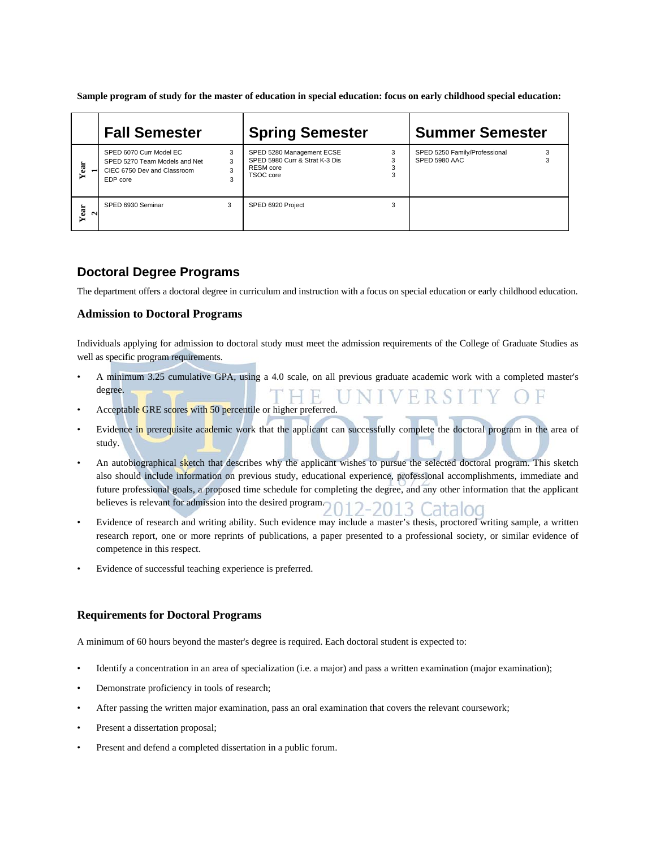**Sample program of study for the master of education in special education: focus on early childhood special education:** 

|                | <b>Fall Semester</b>                                                                                |                  | <b>Spring Semester</b>                                                                |   | <b>Summer Semester</b>                         |  |
|----------------|-----------------------------------------------------------------------------------------------------|------------------|---------------------------------------------------------------------------------------|---|------------------------------------------------|--|
| Year           | SPED 6070 Curr Model EC<br>SPED 5270 Team Models and Net<br>CIEC 6750 Dev and Classroom<br>EDP core | 3<br>3<br>3<br>3 | SPED 5280 Management ECSE<br>SPED 5980 Curr & Strat K-3 Dis<br>RESM core<br>TSOC core | 3 | SPED 5250 Family/Professional<br>SPED 5980 AAC |  |
| Year<br>$\sim$ | SPED 6930 Seminar                                                                                   | 3                | SPED 6920 Project                                                                     | 3 |                                                |  |

#### **Doctoral Degree Programs**

The department offers a doctoral degree in curriculum and instruction with a focus on special education or early childhood education.

#### **Admission to Doctoral Programs**

Individuals applying for admission to doctoral study must meet the admission requirements of the College of Graduate Studies as well as specific program requirements.

- A minimum 3.25 cumulative GPA, using a 4.0 scale, on all previous graduate academic work with a completed master's degree. H R.
- Acceptable GRE scores with 50 percentile or higher preferred.
- Evidence in prerequisite academic work that the applicant can successfully complete the doctoral program in the area of study.
- An autobiographical sketch that describes why the applicant wishes to pursue the selected doctoral program. This sketch also should include information on previous study, educational experience, professional accomplishments, immediate and future professional goals, a proposed time schedule for completing the degree, and any other information that the applicant believes is relevant for admission into the desired program. 012-2013 Catalog
- Evidence of research and writing ability. Such evidence may include a master's thesis, proctored writing sample, a written research report, one or more reprints of publications, a paper presented to a professional society, or similar evidence of competence in this respect.
- Evidence of successful teaching experience is preferred.

#### **Requirements for Doctoral Programs**

A minimum of 60 hours beyond the master's degree is required. Each doctoral student is expected to:

- Identify a concentration in an area of specialization (i.e. a major) and pass a written examination (major examination);
- Demonstrate proficiency in tools of research;
- After passing the written major examination, pass an oral examination that covers the relevant coursework;
- Present a dissertation proposal;
- Present and defend a completed dissertation in a public forum.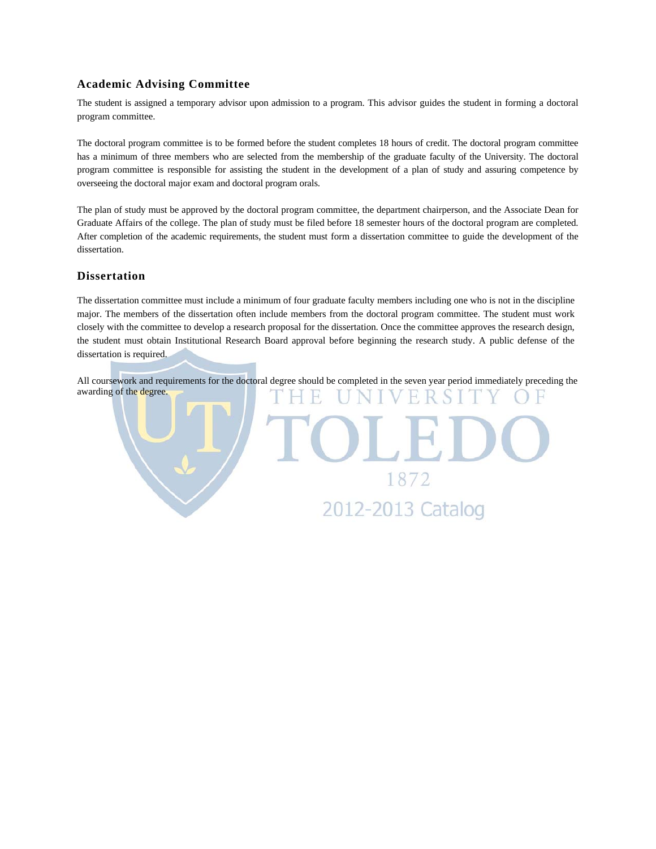#### **Academic Advising Committee**

The student is assigned a temporary advisor upon admission to a program. This advisor guides the student in forming a doctoral program committee.

The doctoral program committee is to be formed before the student completes 18 hours of credit. The doctoral program committee has a minimum of three members who are selected from the membership of the graduate faculty of the University. The doctoral program committee is responsible for assisting the student in the development of a plan of study and assuring competence by overseeing the doctoral major exam and doctoral program orals.

The plan of study must be approved by the doctoral program committee, the department chairperson, and the Associate Dean for Graduate Affairs of the college. The plan of study must be filed before 18 semester hours of the doctoral program are completed. After completion of the academic requirements, the student must form a dissertation committee to guide the development of the dissertation.

#### **Dissertation**

The dissertation committee must include a minimum of four graduate faculty members including one who is not in the discipline major. The members of the dissertation often include members from the doctoral program committee. The student must work closely with the committee to develop a research proposal for the dissertation. Once the committee approves the research design, the student must obtain Institutional Research Board approval before beginning the research study. A public defense of the dissertation is required.

All coursework and requirements for the doctoral degree should be completed in the seven year period immediately preceding the awarding of the degree. UNIVERSI н H.

> 1872 2012-2013 Catalog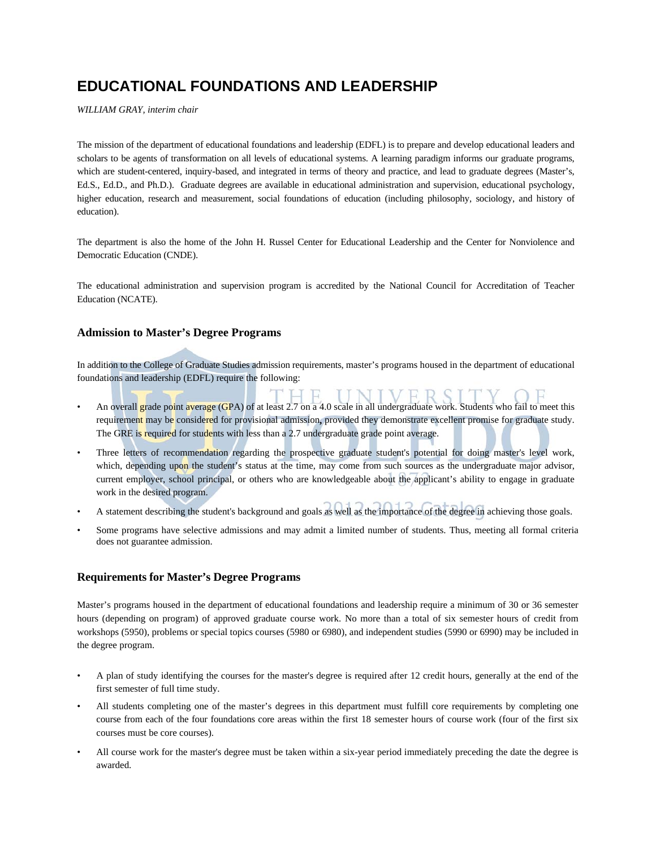# **EDUCATIONAL FOUNDATIONS AND LEADERSHIP**

*WILLIAM GRAY, interim chair* 

The mission of the department of educational foundations and leadership (EDFL) is to prepare and develop educational leaders and scholars to be agents of transformation on all levels of educational systems. A learning paradigm informs our graduate programs, which are student-centered, inquiry-based, and integrated in terms of theory and practice, and lead to graduate degrees (Master's, Ed.S., Ed.D., and Ph.D.). Graduate degrees are available in educational administration and supervision, educational psychology, higher education, research and measurement, social foundations of education (including philosophy, sociology, and history of education).

The department is also the home of the John H. Russel Center for Educational Leadership and the Center for Nonviolence and Democratic Education (CNDE).

The educational administration and supervision program is accredited by the National Council for Accreditation of Teacher Education (NCATE).

#### **Admission to Master's Degree Programs**

In addition to the College of Graduate Studies admission requirements, master's programs housed in the department of educational foundations and leadership (EDFL) require the following:

- An overall grade point average (GPA) of at least 2.7 on a 4.0 scale in all undergraduate work. Students who fail to meet this requirement may be considered for provisional admission**,** provided they demonstrate excellent promise for graduate study. The GRE is required for students with less than a 2.7 undergraduate grade point average.
- Three letters of recommendation regarding the prospective graduate student's potential for doing master's level work, which, depending upon the student's status at the time, may come from such sources as the undergraduate major advisor, current employer, school principal, or others who are knowledgeable about the applicant's ability to engage in graduate work in the desired program.
- A statement describing the student's background and goals as well as the importance of the degree in achieving those goals.
- Some programs have selective admissions and may admit a limited number of students. Thus, meeting all formal criteria does not guarantee admission.

#### **Requirements for Master's Degree Programs**

Master's programs housed in the department of educational foundations and leadership require a minimum of 30 or 36 semester hours (depending on program) of approved graduate course work. No more than a total of six semester hours of credit from workshops (5950), problems or special topics courses (5980 or 6980), and independent studies (5990 or 6990) may be included in the degree program.

- A plan of study identifying the courses for the master's degree is required after 12 credit hours, generally at the end of the first semester of full time study.
- All students completing one of the master's degrees in this department must fulfill core requirements by completing one course from each of the four foundations core areas within the first 18 semester hours of course work (four of the first six courses must be core courses).
- All course work for the master's degree must be taken within a six-year period immediately preceding the date the degree is awarded.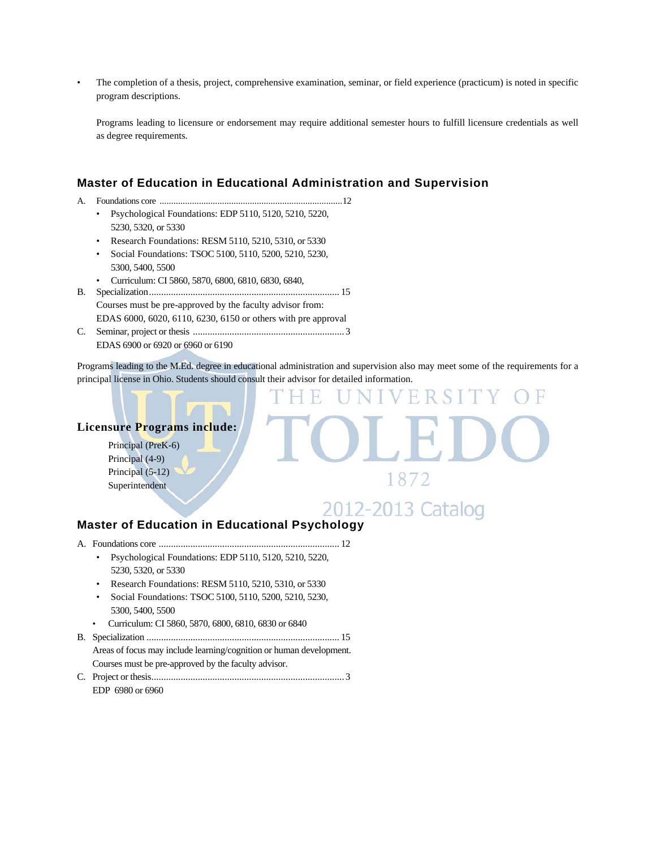• The completion of a thesis, project, comprehensive examination, seminar, or field experience (practicum) is noted in specific program descriptions.

 Programs leading to licensure or endorsement may require additional semester hours to fulfill licensure credentials as well as degree requirements.

#### **Master of Education in Educational Administration and Supervision**

- A. Foundations core ............................................................................... 12
	- Psychological Foundations: EDP 5110, 5120, 5210, 5220, 5230, 5320, or 5330
	- Research Foundations: RESM 5110, 5210, 5310, or 5330
	- Social Foundations: TSOC 5100, 5110, 5200, 5210, 5230, 5300, 5400, 5500
	- Curriculum: CI 5860, 5870, 6800, 6810, 6830, 6840,
- B. Specialization .............................................................................. 15 Courses must be pre-approved by the faculty advisor from: EDAS 6000, 6020, 6110, 6230, 6150 or others with pre approval
- C. Seminar, project or thesis .............................................................. 3 EDAS 6900 or 6920 or 6960 or 6190

Programs leading to the M.Ed. degree in educational administration and supervision also may meet some of the requirements for a principal license in Ohio. Students should consult their advisor for detailed information.

#### **Licensure Programs include:**

Principal (PreK-6) Principal (4-9) Principal (5-12) Superintendent

2012-2013 Catalog

1872

 $\mathbb{R}$ 

# **Master of Education in Educational Psychology**

- A. Foundations core .......................................................................... 12
	- Psychological Foundations: EDP 5110, 5120, 5210, 5220, 5230, 5320, or 5330
	- Research Foundations: RESM 5110, 5210, 5310, or 5330
	- Social Foundations: TSOC 5100, 5110, 5200, 5210, 5230, 5300, 5400, 5500
	- Curriculum: CI 5860, 5870, 6800, 6810, 6830 or 6840
- B. Specialization ............................................................................... 15 Areas of focus may include learning/cognition or human development. Courses must be pre-approved by the faculty advisor. C. Project or thesis ............................................................................... 3
	- EDP 6980 or 6960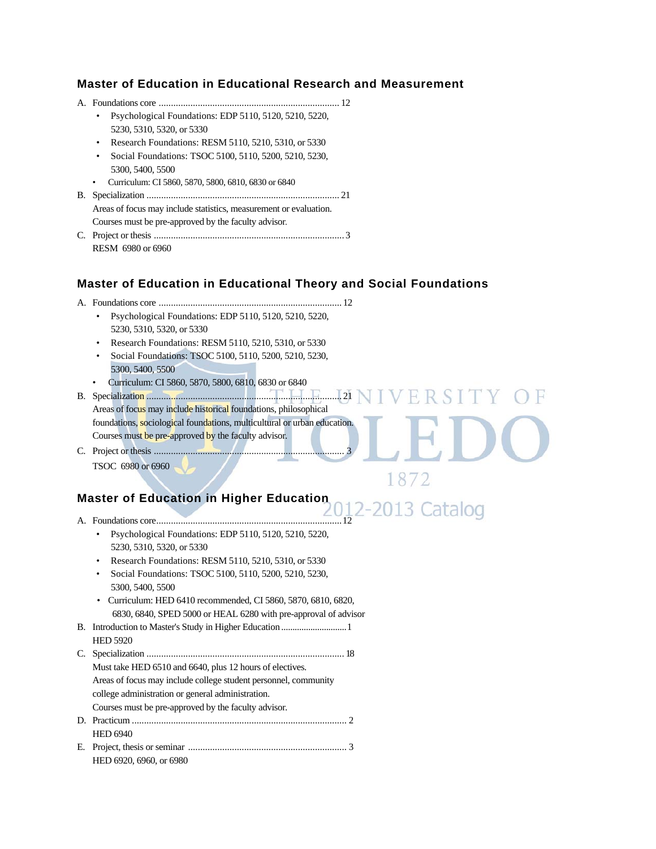#### **Master of Education in Educational Research and Measurement**

A. Foundations core .......................................................................... 12 • Psychological Foundations: EDP 5110, 5120, 5210, 5220, 5230, 5310, 5320, or 5330 • Research Foundations: RESM 5110, 5210, 5310, or 5330 • Social Foundations: TSOC 5100, 5110, 5200, 5210, 5230, 5300, 5400, 5500 • Curriculum: CI 5860, 5870, 5800, 6810, 6830 or 6840 B. Specialization ............................................................................... 21 Areas of focus may include statistics, measurement or evaluation. Courses must be pre-approved by the faculty advisor*.*  C. Project or thesis .............................................................................. 3

# **Master of Education in Educational Theory and Social Foundations**

FR.

1872

- A. Foundations core ........................................................................... 12 • Psychological Foundations: EDP 5110, 5120, 5210, 5220, 5230, 5310, 5320, or 5330
	- Research Foundations: RESM 5110, 5210, 5310, or 5330
	- Social Foundations: TSOC 5100, 5110, 5200, 5210, 5230, 5300, 5400, 5500
	- Curriculum: CI 5860, 5870, 5800, 6810, 6830 or 6840

B. Specialization ................................................................................ 21 Areas of focus may include historical foundations, philosophical foundations, sociological foundations, multicultural or urban education. Courses must be pre-approved by the faculty advisor*.*

C. Project or thesis .............................................................................. 3 TSOC 6980 or 6960

RESM 6980 or 6960

# Master of Education in Higher Education **2012-2013** Catalog

- A. Foundations core ............................................................................ 12
	- Psychological Foundations: EDP 5110, 5120, 5210, 5220, 5230, 5310, 5320, or 5330
	- Research Foundations: RESM 5110, 5210, 5310, or 5330
	- Social Foundations: TSOC 5100, 5110, 5200, 5210, 5230, 5300, 5400, 5500
	- Curriculum: HED 6410 recommended, CI 5860, 5870, 6810, 6820, 6830, 6840, SPED 5000 or HEAL 6280 with pre-approval of advisor
- B. Introduction to Master's Study in Higher Education ............................. 1 HED 5920
- C. Specialization ................................................................................. 18 Must take HED 6510 and 6640, plus 12 hours of electives. Areas of focus may include college student personnel, community college administration or general administration. Courses must be pre-approved by the faculty advisor*.* D. Practicum ........................................................................................ 2 HED 6940
- E. Project, thesis or seminar ................................................................. 3 HED 6920, 6960, or 6980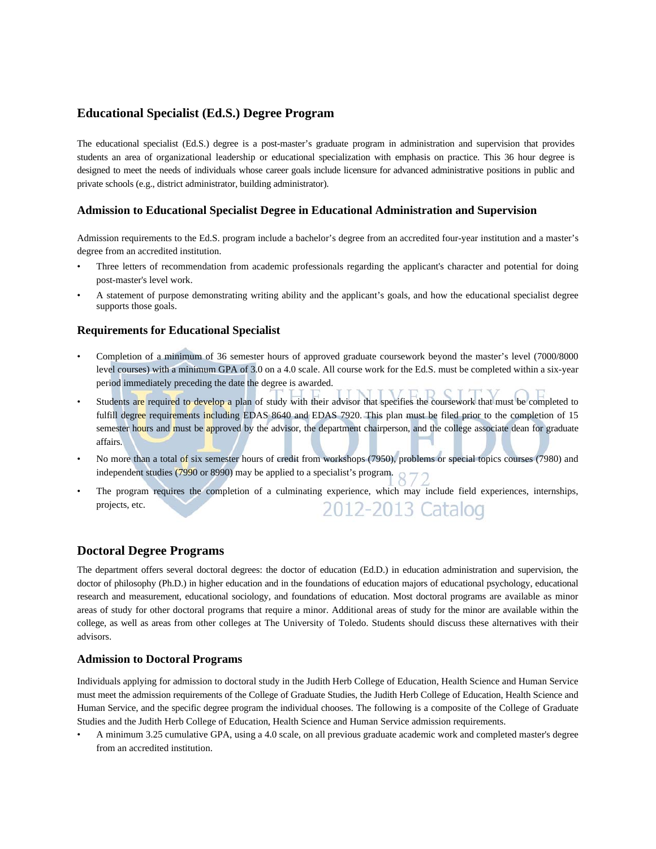#### **Educational Specialist (Ed.S.) Degree Program**

The educational specialist (Ed.S.) degree is a post-master's graduate program in administration and supervision that provides students an area of organizational leadership or educational specialization with emphasis on practice. This 36 hour degree is designed to meet the needs of individuals whose career goals include licensure for advanced administrative positions in public and private schools (e.g., district administrator, building administrator).

#### **Admission to Educational Specialist Degree in Educational Administration and Supervision**

Admission requirements to the Ed.S. program include a bachelor's degree from an accredited four-year institution and a master's degree from an accredited institution.

- Three letters of recommendation from academic professionals regarding the applicant's character and potential for doing post-master's level work.
- A statement of purpose demonstrating writing ability and the applicant's goals, and how the educational specialist degree supports those goals.

#### **Requirements for Educational Specialist**

- Completion of a minimum of 36 semester hours of approved graduate coursework beyond the master's level (7000/8000 level courses) with a minimum GPA of 3.0 on a 4.0 scale. All course work for the Ed.S. must be completed within a six-year period immediately preceding the date the degree is awarded.
- Students are required to develop a plan of study with their advisor that specifies the coursework that must be completed to fulfill degree requirements including EDAS 8640 and EDAS 7920. This plan must be filed prior to the completion of 15 semester hours and must be approved by the advisor, the department chairperson, and the college associate dean for graduate affairs.
- No more than a total of six semester hours of credit from workshops (7950), problems or special topics courses (7980) and independent studies (7990 or 8990) may be applied to a specialist's program.
- The program requires the completion of a culminating experience, which may include field experiences, internships, projects, etc. 2012-2013 Catalog

#### **Doctoral Degree Programs**

The department offers several doctoral degrees: the doctor of education (Ed.D.) in education administration and supervision, the doctor of philosophy (Ph.D.) in higher education and in the foundations of education majors of educational psychology, educational research and measurement, educational sociology, and foundations of education. Most doctoral programs are available as minor areas of study for other doctoral programs that require a minor. Additional areas of study for the minor are available within the college, as well as areas from other colleges at The University of Toledo. Students should discuss these alternatives with their advisors.

#### **Admission to Doctoral Programs**

Individuals applying for admission to doctoral study in the Judith Herb College of Education, Health Science and Human Service must meet the admission requirements of the College of Graduate Studies, the Judith Herb College of Education, Health Science and Human Service, and the specific degree program the individual chooses. The following is a composite of the College of Graduate Studies and the Judith Herb College of Education, Health Science and Human Service admission requirements.

• A minimum 3.25 cumulative GPA, using a 4.0 scale, on all previous graduate academic work and completed master's degree from an accredited institution.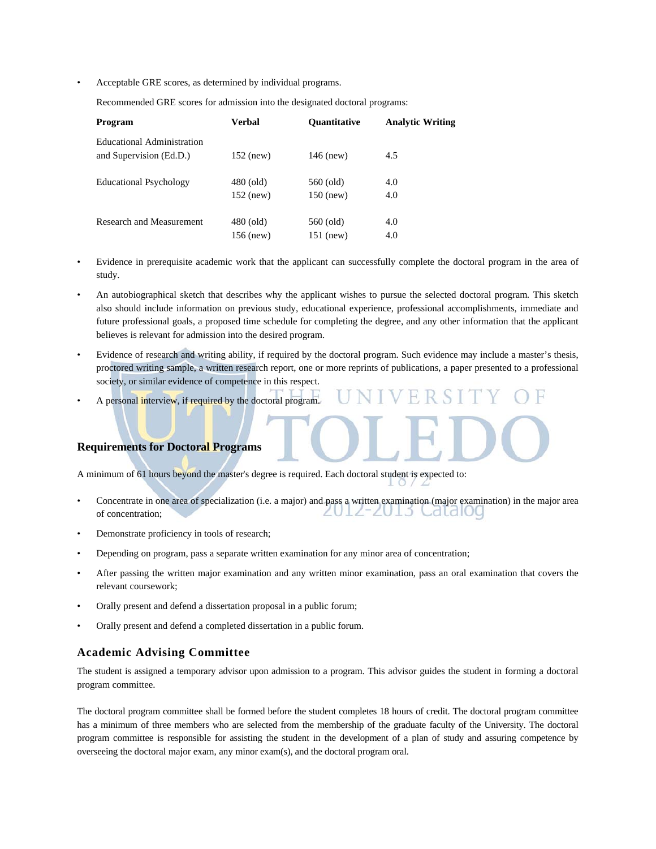• Acceptable GRE scores, as determined by individual programs.

Recommended GRE scores for admission into the designated doctoral programs:

| Program                         | <b>Verbal</b> | <b>Ouantitative</b> | <b>Analytic Writing</b> |
|---------------------------------|---------------|---------------------|-------------------------|
| Educational Administration      |               |                     |                         |
| and Supervision (Ed.D.)         | $152$ (new)   | $146$ (new)         | 4.5                     |
| <b>Educational Psychology</b>   | $480$ (old)   | 560 (old)           | 4.0                     |
|                                 | $152$ (new)   | $150$ (new)         | 4.0                     |
| <b>Research and Measurement</b> | $480$ (old)   | 560 (old)           | 4.0                     |
|                                 | $156$ (new)   | 151 (new)           | 4.0                     |

- Evidence in prerequisite academic work that the applicant can successfully complete the doctoral program in the area of study.
- An autobiographical sketch that describes why the applicant wishes to pursue the selected doctoral program*.* This sketch also should include information on previous study, educational experience, professional accomplishments, immediate and future professional goals, a proposed time schedule for completing the degree, and any other information that the applicant believes is relevant for admission into the desired program.
- Evidence of research and writing ability, if required by the doctoral program. Such evidence may include a master's thesis, proctored writing sample, a written research report, one or more reprints of publications, a paper presented to a professional society, or similar evidence of competence in this respect.
- A personal interview, if required by the doctoral program.

#### **Requirements for Doctoral Programs**

A minimum of 61 hours beyond the master's degree is required. Each doctoral student is expected to:

- Concentrate in one area of specialization (i.e. a major) and pass a written examination (major examination) in the major area UIZ-ZUI3 Cald100 of concentration;
- Demonstrate proficiency in tools of research;
- Depending on program, pass a separate written examination for any minor area of concentration;
- After passing the written major examination and any written minor examination, pass an oral examination that covers the relevant coursework;
- Orally present and defend a dissertation proposal in a public forum;
- Orally present and defend a completed dissertation in a public forum.

#### **Academic Advising Committee**

The student is assigned a temporary advisor upon admission to a program. This advisor guides the student in forming a doctoral program committee.

The doctoral program committee shall be formed before the student completes 18 hours of credit. The doctoral program committee has a minimum of three members who are selected from the membership of the graduate faculty of the University. The doctoral program committee is responsible for assisting the student in the development of a plan of study and assuring competence by overseeing the doctoral major exam, any minor exam(s), and the doctoral program oral.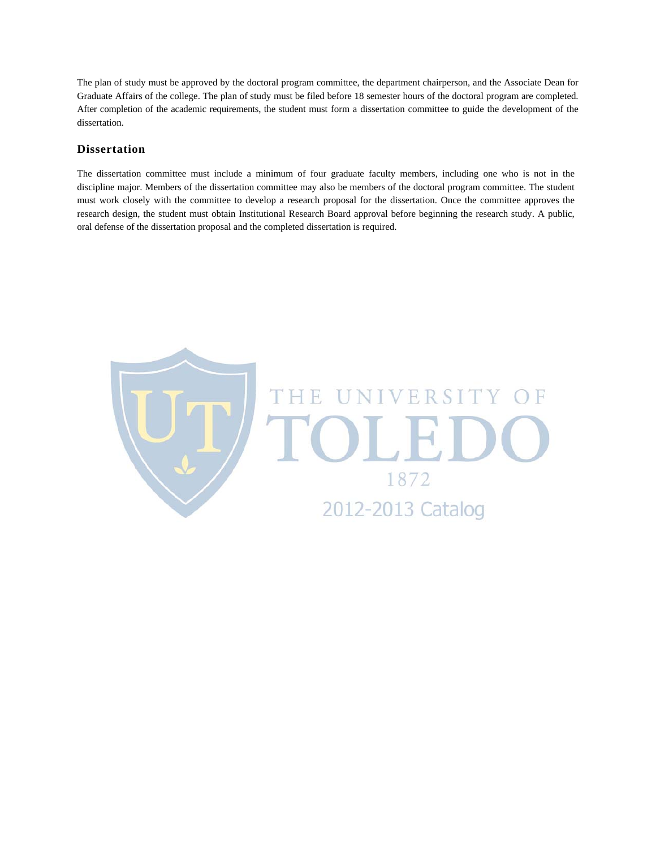The plan of study must be approved by the doctoral program committee, the department chairperson, and the Associate Dean for Graduate Affairs of the college. The plan of study must be filed before 18 semester hours of the doctoral program are completed. After completion of the academic requirements, the student must form a dissertation committee to guide the development of the dissertation.

#### **Dissertation**

The dissertation committee must include a minimum of four graduate faculty members, including one who is not in the discipline major. Members of the dissertation committee may also be members of the doctoral program committee. The student must work closely with the committee to develop a research proposal for the dissertation. Once the committee approves the research design, the student must obtain Institutional Research Board approval before beginning the research study. A public, oral defense of the dissertation proposal and the completed dissertation is required.

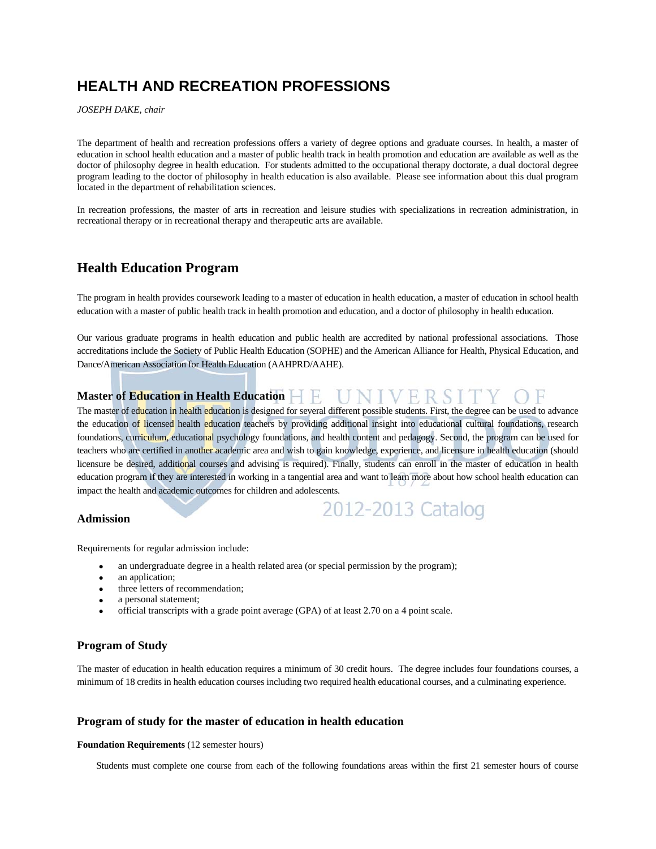# **HEALTH AND RECREATION PROFESSIONS**

*JOSEPH DAKE, chair* 

The department of health and recreation professions offers a variety of degree options and graduate courses. In health, a master of education in school health education and a master of public health track in health promotion and education are available as well as the doctor of philosophy degree in health education. For students admitted to the occupational therapy doctorate, a dual doctoral degree program leading to the doctor of philosophy in health education is also available. Please see information about this dual program located in the department of rehabilitation sciences.

In recreation professions, the master of arts in recreation and leisure studies with specializations in recreation administration, in recreational therapy or in recreational therapy and therapeutic arts are available.

# **Health Education Program**

The program in health provides coursework leading to a master of education in health education, a master of education in school health education with a master of public health track in health promotion and education, and a doctor of philosophy in health education.

Our various graduate programs in health education and public health are accredited by national professional associations. Those accreditations include the Society of Public Health Education (SOPHE) and the American Alliance for Health, Physical Education, and Dance/American Association for Health Education (AAHPRD/AAHE).

#### **Master of Education in Health Education E UNIVERSITY** ( ΤF

The master of education in health education is designed for several different possible students. First, the degree can be used to advance the education of licensed health education teachers by providing additional insight into educational cultural foundations, research foundations, curriculum, educational psychology foundations, and health content and pedagogy. Second, the program can be used for teachers who are certified in another academic area and wish to gain knowledge, experience, and licensure in health education (should licensure be desired, additional courses and advising is required). Finally, students can enroll in the master of education in health education program if they are interested in working in a tangential area and want to learn more about how school health education can impact the health and academic outcomes for children and adolescents.

2012-2013 Catalog

#### **Admission**

- Requirements for regular admission include:
	- an undergraduate degree in a health related area (or special permission by the program);
	- an application;
	- three letters of recommendation;
	- a personal statement;
	- official transcripts with a grade point average (GPA) of at least 2.70 on a 4 point scale.

#### **Program of Study**

The master of education in health education requires a minimum of 30 credit hours. The degree includes four foundations courses, a minimum of 18 credits in health education courses including two required health educational courses, and a culminating experience.

#### **Program of study for the master of education in health education**

#### **Foundation Requirements** (12 semester hours)

Students must complete one course from each of the following foundations areas within the first 21 semester hours of course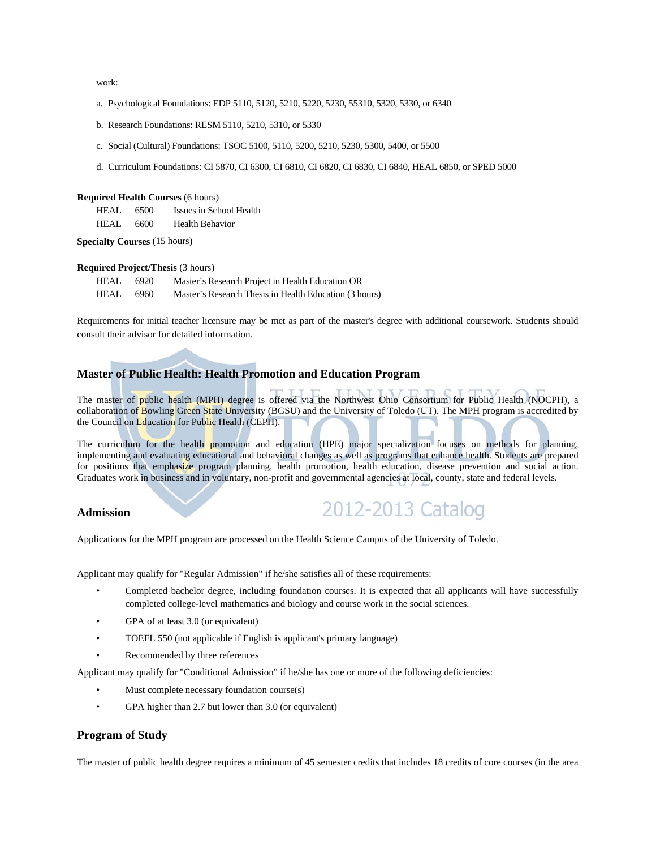work:

- a. Psychological Foundations: EDP 5110, 5120, 5210, 5220, 5230, 55310, 5320, 5330, or 6340
- b. Research Foundations: RESM 5110, 5210, 5310, or 5330
- c. Social (Cultural) Foundations: TSOC 5100, 5110, 5200, 5210, 5230, 5300, 5400, or 5500
- d. Curriculum Foundations: CI 5870, CI 6300, CI 6810, CI 6820, CI 6830, CI 6840, HEAL 6850, or SPED 5000

#### **Required Health Courses** (6 hours)

| HEAL. | 6500 | Issues in School Health |
|-------|------|-------------------------|
| HEAL  | 6600 | Health Behavior         |

**Specialty Courses** (15 hours)

#### **Required Project/Thesis** (3 hours)

| <b>HEAL</b> | 6920 | Master's Research Project in Health Education OR       |
|-------------|------|--------------------------------------------------------|
| <b>HEAL</b> | 6960 | Master's Research Thesis in Health Education (3 hours) |

Requirements for initial teacher licensure may be met as part of the master's degree with additional coursework. Students should consult their advisor for detailed information.

## **Master of Public Health: Health Promotion and Education Program**

The master of public health (MPH) degree is offered via the Northwest Ohio Consortium for Public Health (NOCPH). a collaboration of Bowling Green State University (BGSU) and the University of Toledo (UT). The MPH program is accredited by the Council on Education for Public Health (CEPH).

The curriculum for the health promotion and education (HPE) major specialization focuses on methods for planning, implementing and evaluating educational and behavioral changes as well as programs that enhance health. Students are prepared for positions that emphasize program planning, health promotion, health education, disease prevention and social action. Graduates work in business and in voluntary, non-profit and governmental agencies at local, county, state and federal levels.

#### **Admission**

2012-2013 Catalog

Applications for the MPH program are processed on the Health Science Campus of the University of Toledo.

Applicant may qualify for "Regular Admission" if he/she satisfies all of these requirements:

- Completed bachelor degree, including foundation courses. It is expected that all applicants will have successfully completed college-level mathematics and biology and course work in the social sciences.
- GPA of at least 3.0 (or equivalent)
- TOEFL 550 (not applicable if English is applicant's primary language)
- Recommended by three references

Applicant may qualify for "Conditional Admission" if he/she has one or more of the following deficiencies:

- Must complete necessary foundation course(s)
- GPA higher than 2.7 but lower than 3.0 (or equivalent)

#### **Program of Study**

The master of public health degree requires a minimum of 45 semester credits that includes 18 credits of core courses (in the area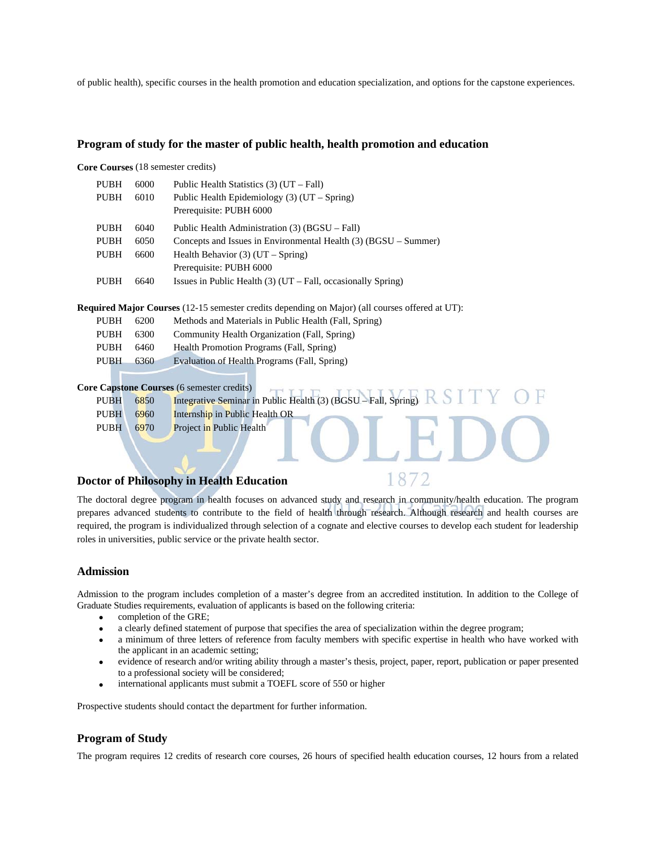of public health), specific courses in the health promotion and education specialization, and options for the capstone experiences.

#### **Program of study for the master of public health, health promotion and education**

**Core Courses** (18 semester credits)

| <b>PUBH</b> | 6000 | Public Health Statistics $(3)$ (UT – Fall)                      |
|-------------|------|-----------------------------------------------------------------|
| <b>PUBH</b> | 6010 | Public Health Epidemiology $(3)$ (UT – Spring)                  |
|             |      | Prerequisite: PUBH 6000                                         |
| <b>PUBH</b> | 6040 | Public Health Administration (3) (BGSU – Fall)                  |
| <b>PUBH</b> | 6050 | Concepts and Issues in Environmental Health (3) (BGSU – Summer) |
| <b>PUBH</b> | 6600 | Health Behavior $(3)$ (UT – Spring)                             |
|             |      | Prerequisite: PUBH 6000                                         |
| PUBH        | 6640 | Issues in Public Health $(3)$ (UT – Fall, occasionally Spring)  |

**Required Major Courses** (12-15 semester credits depending on Major) (all courses offered at UT):

| <b>PUBH</b> | 6200 | Methods and Materials in Public Health (Fall, Spring) |
|-------------|------|-------------------------------------------------------|
| <b>PUBH</b> | 6300 | Community Health Organization (Fall, Spring)          |
| <b>PUBH</b> | 6460 | Health Promotion Programs (Fall, Spring)              |
| <b>PUBH</b> | 6360 | Evaluation of Health Programs (Fall, Spring)          |
|             |      |                                                       |

**Core Capstone Courses** (6 semester credits)

|             |      | Core cupbedne courbes to semicorer erection                    |
|-------------|------|----------------------------------------------------------------|
| <b>PUBH</b> | 6850 | Integrative Seminar in Public Health (3) (BGSU – Fall, Spring) |
| <b>PUBH</b> | 6960 | Internship in Public Health OR                                 |
| <b>PUBH</b> | 6970 | Project in Public Health                                       |
|             |      |                                                                |
|             |      |                                                                |
|             |      |                                                                |

#### **Doctor of Philosophy in Health Education**

1872

The doctoral degree program in health focuses on advanced study and research in community/health education. The program prepares advanced students to contribute to the field of health through research. Although research and health courses are required, the program is individualized through selection of a cognate and elective courses to develop each student for leadership roles in universities, public service or the private health sector.

#### **Admission**

Admission to the program includes completion of a master's degree from an accredited institution. In addition to the College of Graduate Studies requirements, evaluation of applicants is based on the following criteria:

- completion of the GRE;
- a clearly defined statement of purpose that specifies the area of specialization within the degree program;
- a minimum of three letters of reference from faculty members with specific expertise in health who have worked with the applicant in an academic setting;
- evidence of research and/or writing ability through a master's thesis, project, paper, report, publication or paper presented to a professional society will be considered;
- international applicants must submit a TOEFL score of 550 or higher

Prospective students should contact the department for further information.

#### **Program of Study**

The program requires 12 credits of research core courses, 26 hours of specified health education courses, 12 hours from a related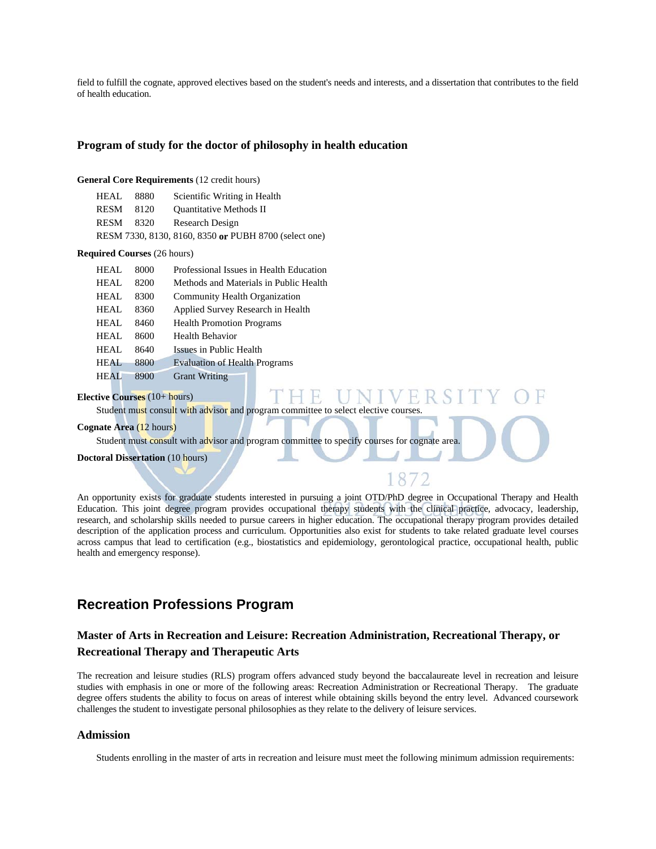field to fulfill the cognate, approved electives based on the student's needs and interests, and a dissertation that contributes to the field of health education.

#### **Program of study for the doctor of philosophy in health education**

#### **General Core Requirements** (12 credit hours)

| HEAL.       | 8880 | Scientific Writing in Health                          |
|-------------|------|-------------------------------------------------------|
| <b>RESM</b> | 8120 | <b>Ouantitative Methods II</b>                        |
| <b>RESM</b> | 8320 | Research Design                                       |
|             |      | RESM 7330, 8130, 8160, 8350 or PUBH 8700 (select one) |

#### **Required Courses** (26 hours)

| HEAL        | 8000 | Professional Issues in Health Education |  |  |  |
|-------------|------|-----------------------------------------|--|--|--|
| HEAL        | 8200 | Methods and Materials in Public Health  |  |  |  |
| HEAL        | 8300 | <b>Community Health Organization</b>    |  |  |  |
| HEAL        | 8360 | Applied Survey Research in Health       |  |  |  |
| HEAL        | 8460 | <b>Health Promotion Programs</b>        |  |  |  |
| HEAL        | 8600 | Health Behavior                         |  |  |  |
| HEAL        | 8640 | Issues in Public Health                 |  |  |  |
| HEAL.       | 8800 | <b>Evaluation of Health Programs</b>    |  |  |  |
| <b>HEAL</b> | 8900 | <b>Grant Writing</b>                    |  |  |  |

#### **Elective Courses** (10+ hours)

Student must consult with advisor and program committee to select elective courses.

#### **Cognate Area** (12 hours)

Student must consult with advisor and program committee to specify courses for cognate area.

**Doctoral Dissertation** (10 hours)

An opportunity exists for graduate students interested in pursuing a joint OTD/PhD degree in Occupational Therapy and Health Education. This joint degree program provides occupational therapy students with the clinical practice, advocacy, leadership, research, and scholarship skills needed to pursue careers in higher education. The occupational therapy program provides detailed description of the application process and curriculum. Opportunities also exist for students to take related graduate level courses across campus that lead to certification (e.g., biostatistics and epidemiology, gerontological practice, occupational health, public health and emergency response).

# **Recreation Professions Program**

# **Master of Arts in Recreation and Leisure: Recreation Administration, Recreational Therapy, or Recreational Therapy and Therapeutic Arts**

The recreation and leisure studies (RLS) program offers advanced study beyond the baccalaureate level in recreation and leisure studies with emphasis in one or more of the following areas: Recreation Administration or Recreational Therapy. The graduate degree offers students the ability to focus on areas of interest while obtaining skills beyond the entry level. Advanced coursework challenges the student to investigate personal philosophies as they relate to the delivery of leisure services.

#### **Admission**

Students enrolling in the master of arts in recreation and leisure must meet the following minimum admission requirements: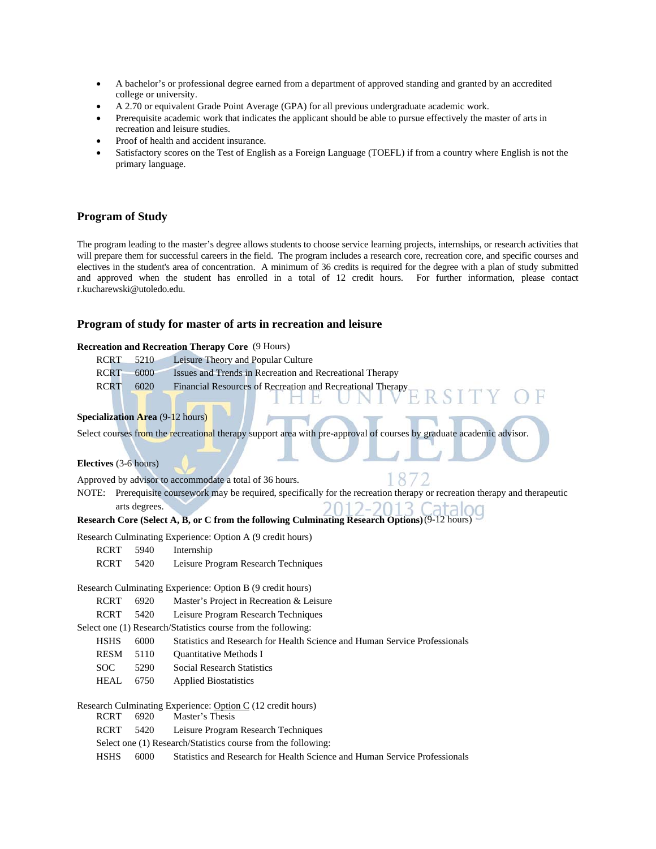- A bachelor's or professional degree earned from a department of approved standing and granted by an accredited college or university.
- A 2.70 or equivalent Grade Point Average (GPA) for all previous undergraduate academic work.
- Prerequisite academic work that indicates the applicant should be able to pursue effectively the master of arts in recreation and leisure studies.
- Proof of health and accident insurance.
- Satisfactory scores on the Test of English as a Foreign Language (TOEFL) if from a country where English is not the primary language.

#### **Program of Study**

The program leading to the master's degree allows students to choose service learning projects, internships, or research activities that will prepare them for successful careers in the field. The program includes a research core, recreation core, and specific courses and electives in the student's area of concentration. A minimum of 36 credits is required for the degree with a plan of study submitted and approved when the student has enrolled in a total of 12 credit hours. For further information, please contact r.kucharewski@utoledo.edu.

#### **Program of study for master of arts in recreation and leisure**

#### **Recreation and Recreation Therapy Core** (9 Hours)

| <b>RCRT</b> | 5210                                    | Leisure Theory and Popular Culture                                                                                     |
|-------------|-----------------------------------------|------------------------------------------------------------------------------------------------------------------------|
| <b>RCRT</b> | 6000                                    | Issues and Trends in Recreation and Recreational Therapy                                                               |
| <b>RCRT</b> | 6020                                    | Financial Resources of Recreation and Recreational Therapy<br>RSITY                                                    |
|             | <b>Specialization Area (9-12 hours)</b> |                                                                                                                        |
|             |                                         | Select courses from the recreational therapy support area with pre-approval of courses by graduate academic advisor.   |
|             | Electives (3-6 hours)                   |                                                                                                                        |
|             |                                         | Approved by advisor to accommodate a total of 36 hours.                                                                |
| NOTE:       |                                         | Prerequisite coursework may be required, specifically for the recreation therapy or recreation therapy and therapeutic |
|             | arts degrees.                           |                                                                                                                        |
|             |                                         | Research Core (Select A, B, or C from the following Culminating Research Options) (9-12 hours)                         |
|             |                                         | Research Culminating Experience: Option A (9 credit hours)                                                             |
| <b>RCRT</b> | 5940                                    | Internship                                                                                                             |
| <b>RCRT</b> | 5420                                    | Leisure Program Research Techniques                                                                                    |
|             |                                         | Research Culminating Experience: Option B (9 credit hours)                                                             |
| <b>RCRT</b> | 6920                                    | Master's Project in Recreation & Leisure                                                                               |
| <b>RCRT</b> | 5420                                    | Leisure Program Research Techniques                                                                                    |
|             |                                         | Select one (1) Research/Statistics course from the following:                                                          |
| <b>HSHS</b> | 6000                                    | Statistics and Research for Health Science and Human Service Professionals                                             |
| <b>RESM</b> | 5110                                    | <b>Ouantitative Methods I</b>                                                                                          |
| <b>SOC</b>  | 5290                                    | <b>Social Research Statistics</b>                                                                                      |
| <b>HEAL</b> | 6750                                    | <b>Applied Biostatistics</b>                                                                                           |
|             |                                         | Research Culminating Experience: Option C (12 credit hours)                                                            |
| <b>RCRT</b> | 6920                                    | Master's Thesis                                                                                                        |
| <b>RCRT</b> | 5420                                    | Leisure Program Research Techniques                                                                                    |
|             |                                         | Select one (1) Research/Statistics course from the following:                                                          |
| <b>HSHS</b> | 6000                                    | Statistics and Research for Health Science and Human Service Professionals                                             |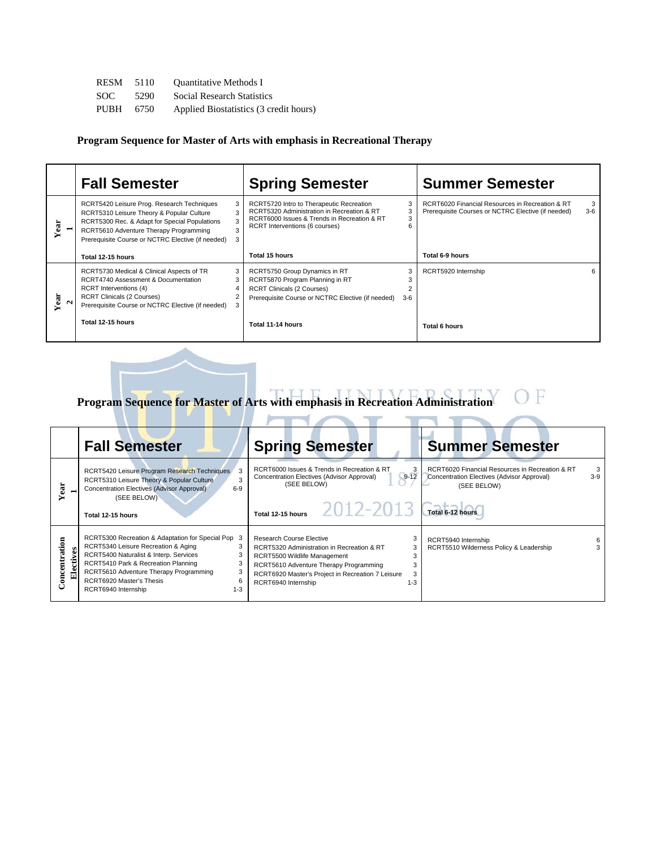| RESM | 5110 | <b>Ouantitative Methods I</b>          |
|------|------|----------------------------------------|
| SOC. | 5290 | <b>Social Research Statistics</b>      |
| PUBH | 6750 | Applied Biostatistics (3 credit hours) |

**Program Sequence for Master of Arts with emphasis in Recreational Therapy** 

|                      | <b>Fall Semester</b>                                                                                                                                                                                                                    | <b>Spring Semester</b>                                                                                                                                                  |                                   | <b>Summer Semester</b>                                                                                |            |
|----------------------|-----------------------------------------------------------------------------------------------------------------------------------------------------------------------------------------------------------------------------------------|-------------------------------------------------------------------------------------------------------------------------------------------------------------------------|-----------------------------------|-------------------------------------------------------------------------------------------------------|------------|
| E                    | RCRT5420 Leisure Prog. Research Techniques<br>RCRT5310 Leisure Theory & Popular Culture<br>RCRT5300 Rec. & Adapt for Special Populations<br>RCRT5610 Adventure Therapy Programming<br>Prerequisite Course or NCTRC Elective (if needed) | RCRT5720 Intro to Therapeutic Recreation<br>RCRT5320 Administration in Recreation & RT<br>RCRT6000 Issues & Trends in Recreation & RT<br>RCRT Interventions (6 courses) | 3<br>3                            | RCRT6020 Financial Resources in Recreation & RT<br>Prerequisite Courses or NCTRC Elective (if needed) | 3<br>$3-6$ |
|                      | Total 12-15 hours                                                                                                                                                                                                                       | Total 15 hours                                                                                                                                                          |                                   | Total 6-9 hours                                                                                       |            |
| Year<br>$\mathbf{N}$ | RCRT5730 Medical & Clinical Aspects of TR<br>RCRT4740 Assessment & Documentation<br><b>RCRT</b> Interventions (4)<br><b>RCRT Clinicals (2 Courses)</b><br>Prerequisite Course or NCTRC Elective (if needed)                             | RCRT5750 Group Dynamics in RT<br>RCRT5870 Program Planning in RT<br><b>RCRT Clinicals (2 Courses)</b><br>Prerequisite Course or NCTRC Elective (if needed)              | 3<br>3<br>$\overline{2}$<br>$3-6$ | RCRT5920 Internship                                                                                   | 6          |
|                      | Total 12-15 hours                                                                                                                                                                                                                       | Total 11-14 hours                                                                                                                                                       |                                   | Total 6 hours                                                                                         |            |

**Program Sequence for Master of Arts with emphasis in Recreation Administration**  F

 $\overline{\phantom{a}}$ 

|                   | <b>Fall Semester</b>                                                                                                                                                                                                                                                                         | <b>Spring Semester</b>                                                                                                                                                                                                                                 | <b>Summer Semester</b>                                                                                                     |
|-------------------|----------------------------------------------------------------------------------------------------------------------------------------------------------------------------------------------------------------------------------------------------------------------------------------------|--------------------------------------------------------------------------------------------------------------------------------------------------------------------------------------------------------------------------------------------------------|----------------------------------------------------------------------------------------------------------------------------|
| Year              | RCRT5420 Leisure Program Research Techniques<br>3<br>RCRT5310 Leisure Theory & Popular Culture<br>3<br>Concentration Electives (Advisor Approval)<br>$6-9$<br>(SEE BELOW)<br>Total 12-15 hours                                                                                               | RCRT6000 Issues & Trends in Recreation & RT<br>3<br>$9 - 12$<br>Concentration Electives (Advisor Approval)<br>(SEE BELOW)<br>Total 12-15 hours $2012 - 2013$ $\sqrt{7}$ Total 6-12 hours                                                               | RCRT6020 Financial Resources in Recreation & RT<br>3<br>$3-9$<br>Concentration Electives (Advisor Approval)<br>(SEE BELOW) |
| oncentration<br>ನ | RCRT5300 Recreation & Adaptation for Special Pop 3<br>RCRT5340 Leisure Recreation & Aging<br>RCRT5400 Naturalist & Interp. Services<br>3<br>RCRT5410 Park & Recreation Planning<br>RCRT5610 Adventure Therapy Programming<br>RCRT6920 Master's Thesis<br>6<br>RCRT6940 Internship<br>$1 - 3$ | Research Course Elective<br>RCRT5320 Administration in Recreation & RT<br>3<br>RCRT5500 Wildlife Management<br>Э<br>RCRT5610 Adventure Therapy Programming<br>3<br>RCRT6920 Master's Project in Recreation 7 Leisure<br>RCRT6940 Internship<br>$1 - 3$ | RCRT5940 Internship<br>RCRT5510 Wilderness Policy & Leadership                                                             |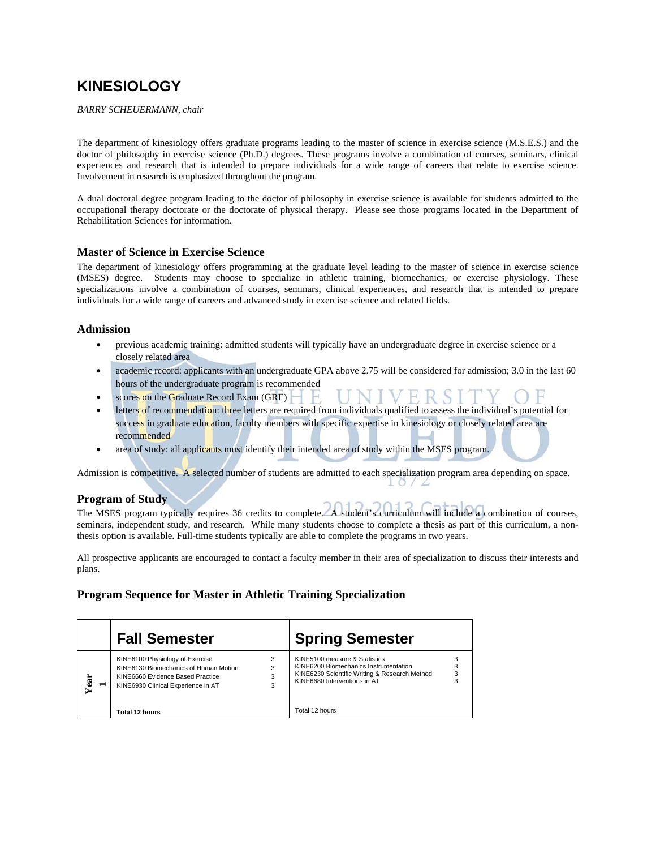# **KINESIOLOGY**

*BARRY SCHEUERMANN, chair* 

The department of kinesiology offers graduate programs leading to the master of science in exercise science (M.S.E.S.) and the doctor of philosophy in exercise science (Ph.D.) degrees. These programs involve a combination of courses, seminars, clinical experiences and research that is intended to prepare individuals for a wide range of careers that relate to exercise science. Involvement in research is emphasized throughout the program.

A dual doctoral degree program leading to the doctor of philosophy in exercise science is available for students admitted to the occupational therapy doctorate or the doctorate of physical therapy. Please see those programs located in the Department of Rehabilitation Sciences for information.

#### **Master of Science in Exercise Science**

The department of kinesiology offers programming at the graduate level leading to the master of science in exercise science (MSES) degree. Students may choose to specialize in athletic training, biomechanics, or exercise physiology. These specializations involve a combination of courses, seminars, clinical experiences, and research that is intended to prepare individuals for a wide range of careers and advanced study in exercise science and related fields.

#### **Admission**

- previous academic training: admitted students will typically have an undergraduate degree in exercise science or a closely related area
- academic record: applicants with an undergraduate GPA above 2.75 will be considered for admission; 3.0 in the last 60 hours of the undergraduate program is recommended
- scores on the Graduate Record Exam (GRE)
- letters of recommendation: three letters are required from individuals qualified to assess the individual's potential for success in graduate education, faculty members with specific expertise in kinesiology or closely related area are recommended
- area of study: all applicants must identify their intended area of study within the MSES program.

Admission is competitive. A selected number of students are admitted to each specialization program area depending on space.

#### **Program of Study**

The MSES program typically requires 36 credits to complete. A student's curriculum will include a combination of courses, seminars, independent study, and research. While many students choose to complete a thesis as part of this curriculum, a nonthesis option is available. Full-time students typically are able to complete the programs in two years.

All prospective applicants are encouraged to contact a faculty member in their area of specialization to discuss their interests and plans.

#### **Program Sequence for Master in Athletic Training Specialization**

|      | <b>Fall Semester</b>                                                                                                                               | <b>Spring Semester</b>                                                                                                                                  |   |
|------|----------------------------------------------------------------------------------------------------------------------------------------------------|---------------------------------------------------------------------------------------------------------------------------------------------------------|---|
| Year | KINE6100 Physiology of Exercise<br>KINE6130 Biomechanics of Human Motion<br>KINE6660 Evidence Based Practice<br>KINE6930 Clinical Experience in AT | KINE5100 measure & Statistics<br>KINE6200 Biomechanics Instrumentation<br>KINE6230 Scientific Writing & Research Method<br>KINE6680 Interventions in AT | 3 |
|      | Total 12 hours                                                                                                                                     | Total 12 hours                                                                                                                                          |   |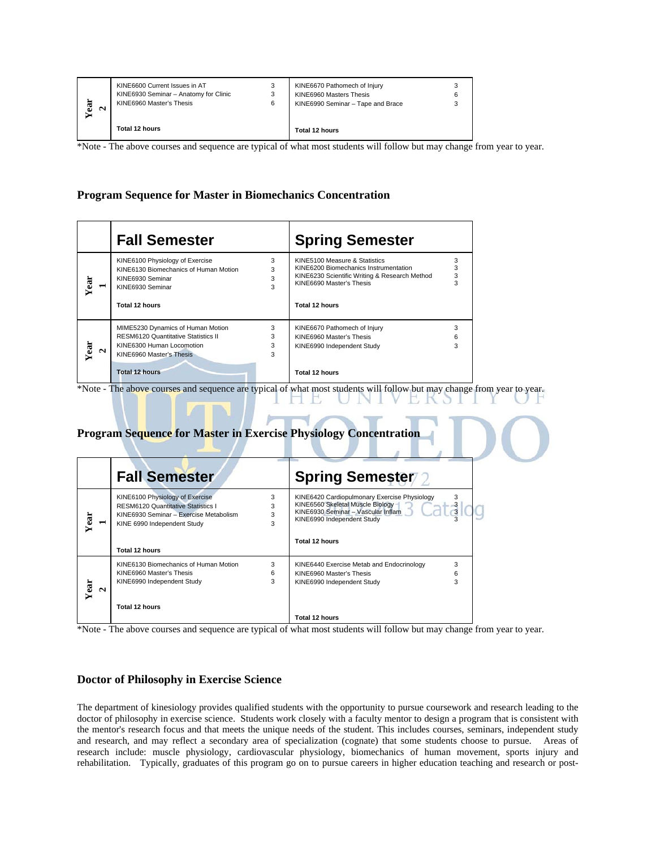| ч<br>욞<br>$\sim$ | KINE6600 Current Issues in AT<br>KINE6930 Seminar - Anatomy for Clinic<br>KINE6960 Master's Thesis | 6 | KINE6670 Pathomech of Injury<br>KINE6960 Masters Thesis<br>KINE6990 Seminar - Tape and Brace |  |
|------------------|----------------------------------------------------------------------------------------------------|---|----------------------------------------------------------------------------------------------|--|
|                  | Total 12 hours                                                                                     |   | Total 12 hours                                                                               |  |

\*Note - The above courses and sequence are typical of what most students will follow but may change from year to year.

#### **Program Sequence for Master in Biomechanics Concentration**

|           | <b>Fall Semester</b>                                                                                                                     |                  | <b>Spring Semester</b>                                                                                                                                                |                  |
|-----------|------------------------------------------------------------------------------------------------------------------------------------------|------------------|-----------------------------------------------------------------------------------------------------------------------------------------------------------------------|------------------|
| Year      | KINE6100 Physiology of Exercise<br>KINE6130 Biomechanics of Human Motion<br>KINE6930 Seminar<br>KINE6930 Seminar<br>Total 12 hours       | 3<br>3<br>3<br>3 | KINE5100 Measure & Statistics<br>KINE6200 Biomechanics Instrumentation<br>KINE6230 Scientific Writing & Research Method<br>KINE6690 Master's Thesis<br>Total 12 hours | 3<br>3<br>3<br>3 |
| Year<br>N | MIME5230 Dynamics of Human Motion<br><b>RESM6120 Quantitative Statistics II</b><br>KINE6300 Human Locomotion<br>KINE6960 Master's Thesis | 3<br>3<br>3<br>3 | KINE6670 Pathomech of Injury<br>KINE6960 Master's Thesis<br>KINE6990 Independent Study                                                                                | 3<br>6<br>3      |
|           | <b>Total 12 hours</b>                                                                                                                    |                  | Total 12 hours                                                                                                                                                        |                  |

\*Note - The above courses and sequence are typical of what most students will follow but may change from year to year.

|  |  |  | <b>Program Sequence for Master in Exercise Physiology Concentration</b> |
|--|--|--|-------------------------------------------------------------------------|
|  |  |  |                                                                         |
|  |  |  |                                                                         |

|           | <b>Fall Semester</b>                                                                                                                                                    |                  | <b>Spring Semester</b>                                                                                                                                                 |               |
|-----------|-------------------------------------------------------------------------------------------------------------------------------------------------------------------------|------------------|------------------------------------------------------------------------------------------------------------------------------------------------------------------------|---------------|
| ä<br>⊣    | KINE6100 Physiology of Exercise<br><b>RESM6120 Quantitative Statistics I</b><br>KINE6930 Seminar - Exercise Metabolism<br>KINE 6990 Independent Study<br>Total 12 hours | 3<br>3<br>3<br>3 | KINE6420 Cardiopulmonary Exercise Physiology<br>KINE6560 Skeletal Muscle Biology<br>KINE6930 Seminar - Vascular Inflam<br>KINE6990 Independent Study<br>Total 12 hours | $\frac{3}{3}$ |
|           | KINE6130 Biomechanics of Human Motion                                                                                                                                   | 3                | KINE6440 Exercise Metab and Endocrinology                                                                                                                              | 3             |
|           | KINE6960 Master's Thesis                                                                                                                                                | 6                | KINE6960 Master's Thesis                                                                                                                                               | 6             |
| Year<br>N | KINE6990 Independent Study                                                                                                                                              | 3                | KINE6990 Independent Study                                                                                                                                             | 3             |
|           | <b>Total 12 hours</b>                                                                                                                                                   |                  |                                                                                                                                                                        |               |
|           |                                                                                                                                                                         |                  | Total 12 hours                                                                                                                                                         |               |

\*Note - The above courses and sequence are typical of what most students will follow but may change from year to year.

#### **Doctor of Philosophy in Exercise Science**

The department of kinesiology provides qualified students with the opportunity to pursue coursework and research leading to the doctor of philosophy in exercise science. Students work closely with a faculty mentor to design a program that is consistent with the mentor's research focus and that meets the unique needs of the student. This includes courses, seminars, independent study and research, and may reflect a secondary area of specialization (cognate) that some students choose to pursue. Areas of research include: muscle physiology, cardiovascular physiology, biomechanics of human movement, sports injury and rehabilitation. Typically, graduates of this program go on to pursue careers in higher education teaching and research or post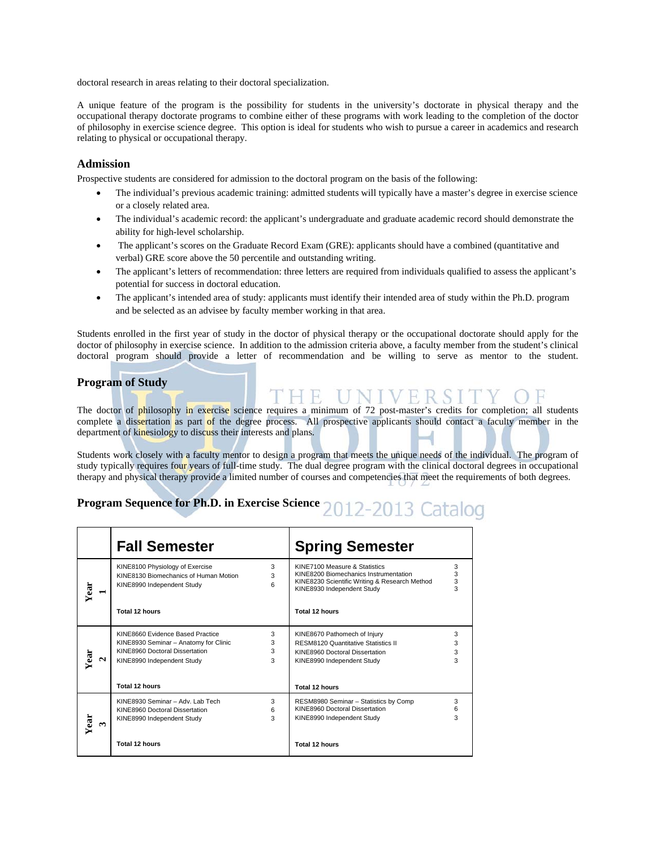doctoral research in areas relating to their doctoral specialization.

A unique feature of the program is the possibility for students in the university's doctorate in physical therapy and the occupational therapy doctorate programs to combine either of these programs with work leading to the completion of the doctor of philosophy in exercise science degree. This option is ideal for students who wish to pursue a career in academics and research relating to physical or occupational therapy.

#### **Admission**

Prospective students are considered for admission to the doctoral program on the basis of the following:

- The individual's previous academic training: admitted students will typically have a master's degree in exercise science or a closely related area.
- The individual's academic record: the applicant's undergraduate and graduate academic record should demonstrate the ability for high-level scholarship.
- The applicant's scores on the Graduate Record Exam (GRE): applicants should have a combined (quantitative and verbal) GRE score above the 50 percentile and outstanding writing.
- The applicant's letters of recommendation: three letters are required from individuals qualified to assess the applicant's potential for success in doctoral education.
- The applicant's intended area of study: applicants must identify their intended area of study within the Ph.D. program and be selected as an advisee by faculty member working in that area.

Students enrolled in the first year of study in the doctor of physical therapy or the occupational doctorate should apply for the doctor of philosophy in exercise science. In addition to the admission criteria above, a faculty member from the student's clinical doctoral program should provide a letter of recommendation and be willing to serve as mentor to the student.

#### **Program of Study**

The doctor of philosophy in exercise science requires a minimum of 72 post-master's credits for completion; all students complete a dissertation as part of the degree process. All prospective applicants should contact a faculty member in the department of kinesiology to discuss their interests and plans.

THE UNIVERSIT

Students work closely with a faculty mentor to design a program that meets the unique needs of the individual. The program of study typically requires four years of full-time study. The dual degree program with the clinical doctoral degrees in occupational therapy and physical therapy provide a limited number of courses and competencies that meet the requirements of both degrees.

# **Program Sequence for Ph.D. in Exercise Science 2012-2013 Catalog**

|           | <b>Fall Semester</b>                                                                                                                                          | <b>Spring Semester</b>                                                                                                                                                    |
|-----------|---------------------------------------------------------------------------------------------------------------------------------------------------------------|---------------------------------------------------------------------------------------------------------------------------------------------------------------------------|
| Year      | 3<br>KINE8100 Physiology of Exercise<br>KINE8130 Biomechanics of Human Motion<br>3<br>6<br>KINE8990 Independent Study                                         | KINE7100 Measure & Statistics<br>3<br>3<br>KINE8200 Biomechanics Instrumentation<br>3<br>KINE8230 Scientific Writing & Research Method<br>3<br>KINE8930 Independent Study |
|           | Total 12 hours                                                                                                                                                | Total 12 hours                                                                                                                                                            |
| Year<br>N | KINE8660 Evidence Based Practice<br>3<br>3<br>KINE8930 Seminar - Anatomy for Clinic<br>KINE8960 Doctoral Dissertation<br>3<br>3<br>KINE8990 Independent Study | KINE8670 Pathomech of Injury<br>3<br><b>RESM8120 Quantitative Statistics II</b><br>3<br>KINE8960 Doctoral Dissertation<br>3<br>3<br>KINE8990 Independent Study            |
|           | Total 12 hours                                                                                                                                                | Total 12 hours                                                                                                                                                            |
| Year<br>ొ | 3<br>KINE8930 Seminar - Adv. Lab Tech<br>6<br>KINE8960 Doctoral Dissertation<br>3<br>KINE8990 Independent Study                                               | RESM8980 Seminar - Statistics by Comp<br>3<br>KINE8960 Doctoral Dissertation<br>6<br>3<br>KINE8990 Independent Study                                                      |
|           | Total 12 hours                                                                                                                                                | Total 12 hours                                                                                                                                                            |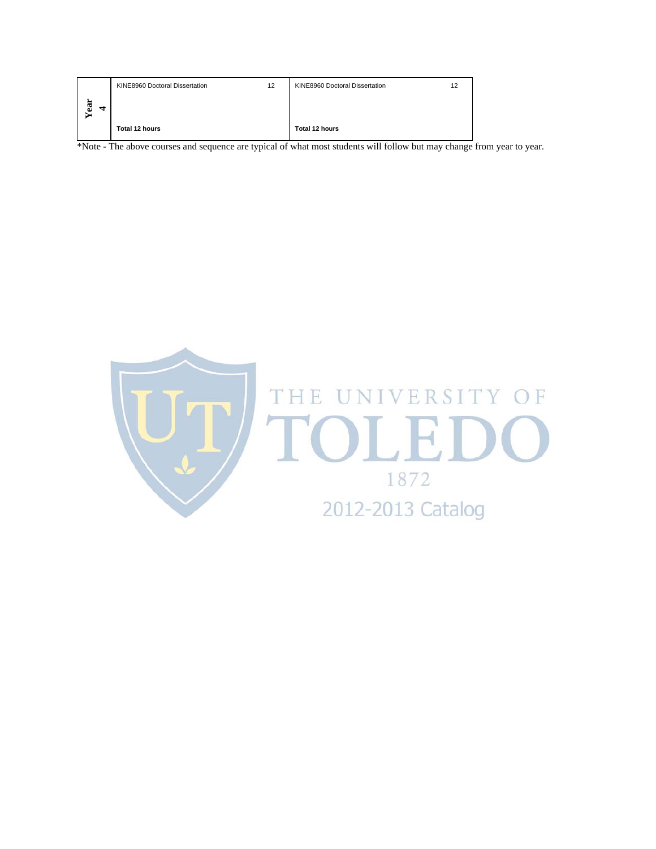|        | KINE8960 Doctoral Dissertation | 12 | KINE8960 Doctoral Dissertation | 1 2 |
|--------|--------------------------------|----|--------------------------------|-----|
| ä<br>₹ |                                |    |                                |     |
|        | Total 12 hours                 |    | Total 12 hours                 |     |

\*Note - The above courses and sequence are typical of what most students will follow but may change from year to year.

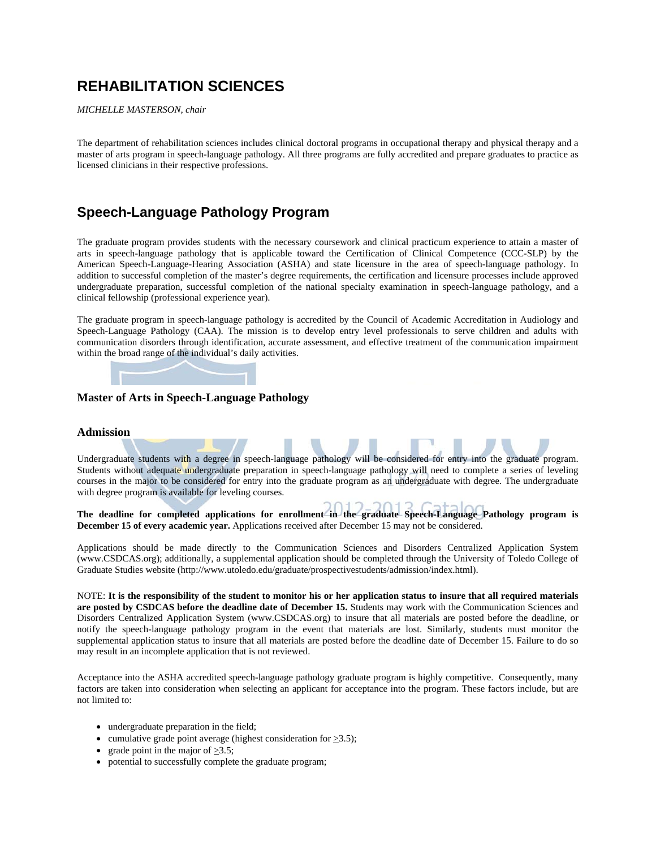# **REHABILITATION SCIENCES**

*MICHELLE MASTERSON, chair* 

The department of rehabilitation sciences includes clinical doctoral programs in occupational therapy and physical therapy and a master of arts program in speech-language pathology. All three programs are fully accredited and prepare graduates to practice as licensed clinicians in their respective professions.

# **Speech-Language Pathology Program**

The graduate program provides students with the necessary coursework and clinical practicum experience to attain a master of arts in speech-language pathology that is applicable toward the Certification of Clinical Competence (CCC-SLP) by the American Speech-Language-Hearing Association (ASHA) and state licensure in the area of speech-language pathology. In addition to successful completion of the master's degree requirements, the certification and licensure processes include approved undergraduate preparation, successful completion of the national specialty examination in speech-language pathology, and a clinical fellowship (professional experience year).

The graduate program in speech-language pathology is accredited by the Council of Academic Accreditation in Audiology and Speech-Language Pathology (CAA). The mission is to develop entry level professionals to serve children and adults with communication disorders through identification, accurate assessment, and effective treatment of the communication impairment within the broad range of the individual's daily activities.



#### **Master of Arts in Speech-Language Pathology**

#### **Admission**

Undergraduate students with a degree in speech-language pathology will be considered for entry into the graduate program. Students without adequate undergraduate preparation in speech-language pathology will need to complete a series of leveling courses in the major to be considered for entry into the graduate program as an undergraduate with degree. The undergraduate with degree program is available for leveling courses.

**The deadline for completed applications for enrollment in the graduate Speech-Language Pathology program is December 15 of every academic year.** Applications received after December 15 may not be considered.

Applications should be made directly to the Communication Sciences and Disorders Centralized Application System (www.CSDCAS.org); additionally, a supplemental application should be completed through the University of Toledo College of Graduate Studies website (http://www.utoledo.edu/graduate/prospectivestudents/admission/index.html).

NOTE: **It is the responsibility of the student to monitor his or her application status to insure that all required materials are posted by CSDCAS before the deadline date of December 15.** Students may work with the Communication Sciences and Disorders Centralized Application System (www.CSDCAS.org) to insure that all materials are posted before the deadline, or notify the speech-language pathology program in the event that materials are lost. Similarly, students must monitor the supplemental application status to insure that all materials are posted before the deadline date of December 15. Failure to do so may result in an incomplete application that is not reviewed.

Acceptance into the ASHA accredited speech-language pathology graduate program is highly competitive. Consequently, many factors are taken into consideration when selecting an applicant for acceptance into the program. These factors include, but are not limited to:

- undergraduate preparation in the field;
- cumulative grade point average (highest consideration for  $\geq 3.5$ );
- grade point in the major of  $>3.5$ ;
- potential to successfully complete the graduate program;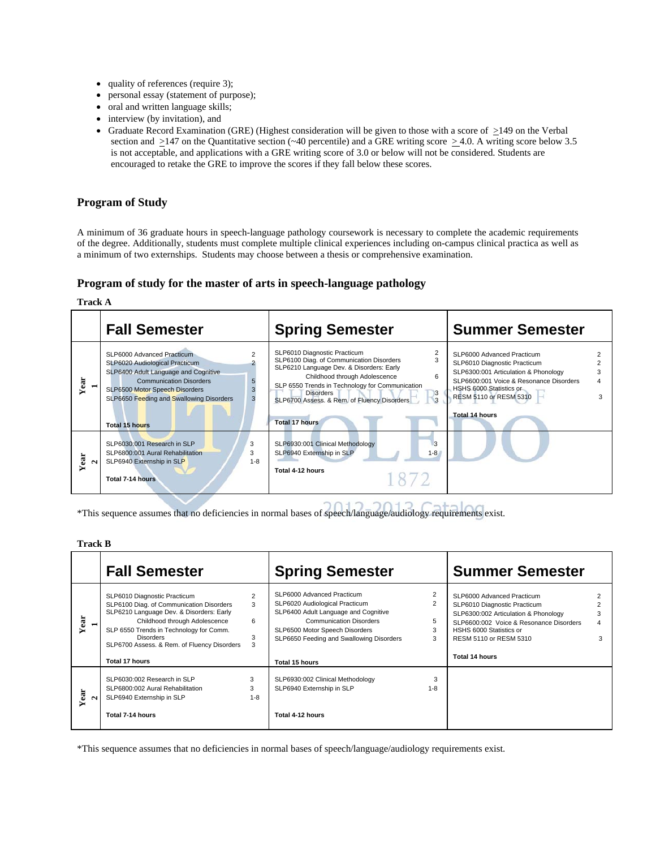- quality of references (require 3);
- personal essay (statement of purpose);
- oral and written language skills;
- interview (by invitation), and
- Graduate Record Examination (GRE) (Highest consideration will be given to those with a score of  $\geq$ 149 on the Verbal section and  $\geq$ 147 on the Quantitative section (~40 percentile) and a GRE writing score  $\geq$ 4.0. A writing score below 3.5 is not acceptable, and applications with a GRE writing score of 3.0 or below will not be considered. Students are encouraged to retake the GRE to improve the scores if they fall below these scores.

#### **Program of Study**

A minimum of 36 graduate hours in speech-language pathology coursework is necessary to complete the academic requirements of the degree. Additionally, students must complete multiple clinical experiences including on-campus clinical practica as well as a minimum of two externships. Students may choose between a thesis or comprehensive examination.

#### **Program of study for the master of arts in speech-language pathology**

**Track A** 

|                      | <b>Fall Semester</b>                                                                                                                                                                                                                | <b>Spring Semester</b>                                                                                                                                                                                                                                                                                                           | <b>Summer Semester</b>                                                                                                                                                                                               |
|----------------------|-------------------------------------------------------------------------------------------------------------------------------------------------------------------------------------------------------------------------------------|----------------------------------------------------------------------------------------------------------------------------------------------------------------------------------------------------------------------------------------------------------------------------------------------------------------------------------|----------------------------------------------------------------------------------------------------------------------------------------------------------------------------------------------------------------------|
| Year                 | SLP6000 Advanced Practicum<br>SLP6020 Audiological Practicum<br>SLP6400 Adult Language and Cognitive<br><b>Communication Disorders</b><br>5<br>SLP6500 Motor Speech Disorders<br>3<br>SLP6650 Feeding and Swallowing Disorders<br>3 | SLP6010 Diagnostic Practicum<br>SLP6100 Diag. of Communication Disorders<br>SLP6210 Language Dev. & Disorders: Early<br>Childhood through Adolescence<br>6<br>SLP 6550 Trends in Technology for Communication<br><b>Disorders</b><br>$\overline{3}$<br>SLP6700 Assess. & Rem. of Fluency Disorders<br>3<br><b>Total 17 hours</b> | SLP6000 Advanced Practicum<br>SLP6010 Diagnostic Practicum<br>SLP6300:001 Articulation & Phonology<br>SLP6600:001 Voice & Resonance Disorders<br>HSHS 6000 Statistics or<br>RESM 5110 or RESM 5310<br>Total 14 hours |
| Year<br>$\mathbf{N}$ | <b>Total 15 hours</b><br>SLP6030:001 Research in SLP<br>3<br>SLP6800:001 Aural Rehabilitation<br>3<br>SLP6940 Externship in SLP<br>$1 - 8$<br>Total 7-14 hours                                                                      | 3<br>SLP6930:001 Clinical Methodology<br>SLP6940 Externship in SLP<br>$1 - 8$<br>Total 4-12 hours                                                                                                                                                                                                                                |                                                                                                                                                                                                                      |

\*This sequence assumes that no deficiencies in normal bases of speech/language/audiology requirements exist.

**Track B** 

|                      | <b>Fall Semester</b>                                                                                                                                                                                                                                                                  |                               | <b>Spring Semester</b>                                                                                                                                                                                                                        |                               | <b>Summer Semester</b>                                                                                                                                                                                               |  |
|----------------------|---------------------------------------------------------------------------------------------------------------------------------------------------------------------------------------------------------------------------------------------------------------------------------------|-------------------------------|-----------------------------------------------------------------------------------------------------------------------------------------------------------------------------------------------------------------------------------------------|-------------------------------|----------------------------------------------------------------------------------------------------------------------------------------------------------------------------------------------------------------------|--|
| Year                 | SLP6010 Diagnostic Practicum<br>SLP6100 Diag. of Communication Disorders<br>SLP6210 Language Dev. & Disorders: Early<br>Childhood through Adolescence<br>SLP 6550 Trends in Technology for Comm.<br><b>Disorders</b><br>SLP6700 Assess. & Rem. of Fluency Disorders<br>Total 17 hours | $\overline{2}$<br>3<br>6<br>3 | SLP6000 Advanced Practicum<br>SLP6020 Audiological Practicum<br>SLP6400 Adult Language and Cognitive<br><b>Communication Disorders</b><br>SLP6500 Motor Speech Disorders<br>SLP6650 Feeding and Swallowing Disorders<br><b>Total 15 hours</b> | $\overline{2}$<br>5<br>3<br>3 | SLP6000 Advanced Practicum<br>SLP6010 Diagnostic Practicum<br>SLP6300:002 Articulation & Phonology<br>SLP6600:002 Voice & Resonance Disorders<br>HSHS 6000 Statistics or<br>RESM 5110 or RESM 5310<br>Total 14 hours |  |
| Year<br>$\mathbf{N}$ | SLP6030:002 Research in SLP<br>SLP6800:002 Aural Rehabilitation<br>SLP6940 Externship in SLP<br>Total 7-14 hours                                                                                                                                                                      | 3<br>3<br>$1 - 8$             | SLP6930:002 Clinical Methodology<br>SLP6940 Externship in SLP<br>Total 4-12 hours                                                                                                                                                             | 3<br>$1 - 8$                  |                                                                                                                                                                                                                      |  |

\*This sequence assumes that no deficiencies in normal bases of speech/language/audiology requirements exist.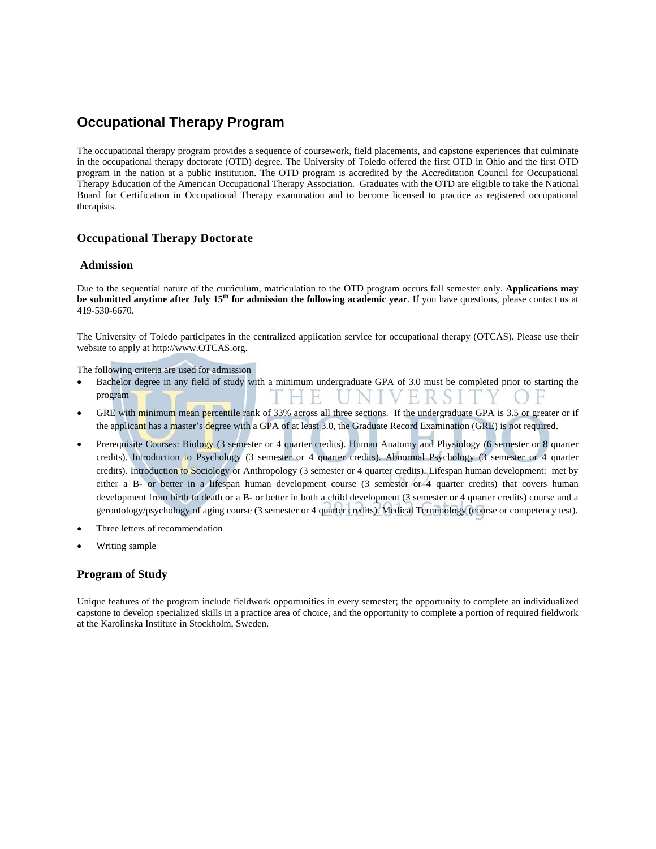# **Occupational Therapy Program**

The occupational therapy program provides a sequence of coursework, field placements, and capstone experiences that culminate in the occupational therapy doctorate (OTD) degree. The University of Toledo offered the first OTD in Ohio and the first OTD program in the nation at a public institution. The OTD program is accredited by the Accreditation Council for Occupational Therapy Education of the American Occupational Therapy Association. Graduates with the OTD are eligible to take the National Board for Certification in Occupational Therapy examination and to become licensed to practice as registered occupational therapists.

#### **Occupational Therapy Doctorate**

#### **Admission**

Due to the sequential nature of the curriculum, matriculation to the OTD program occurs fall semester only. **Applications may be submitted anytime after July 15<sup>th</sup> for admission the following academic year**. If you have questions, please contact us at 419-530-6670.

The University of Toledo participates in the centralized application service for occupational therapy (OTCAS). Please use their website to apply at http://www.OTCAS.org.

The following criteria are used for admission

- Bachelor degree in any field of study with a minimum undergraduate GPA of 3.0 must be completed prior to starting the UNIVERSITY OF program T H E
- GRE with minimum mean percentile rank of 33% across all three sections. If the undergraduate GPA is 3.5 or greater or if the applicant has a master's degree with a GPA of at least 3.0, the Graduate Record Examination (GRE) is not required.
- Prerequisite Courses: Biology (3 semester or 4 quarter credits). Human Anatomy and Physiology (6 semester or 8 quarter credits). Introduction to Psychology (3 semester or 4 quarter credits). Abnormal Psychology (3 semester or 4 quarter credits). Introduction to Sociology or Anthropology (3 semester or 4 quarter credits). Lifespan human development: met by either a B- or better in a lifespan human development course (3 semester or 4 quarter credits) that covers human development from birth to death or a B- or better in both a child development (3 semester or 4 quarter credits) course and a gerontology/psychology of aging course (3 semester or 4 quarter credits). Medical Terminology (course or competency test).
- Three letters of recommendation
- Writing sample

#### **Program of Study**

Unique features of the program include fieldwork opportunities in every semester; the opportunity to complete an individualized capstone to develop specialized skills in a practice area of choice, and the opportunity to complete a portion of required fieldwork at the Karolinska Institute in Stockholm, Sweden.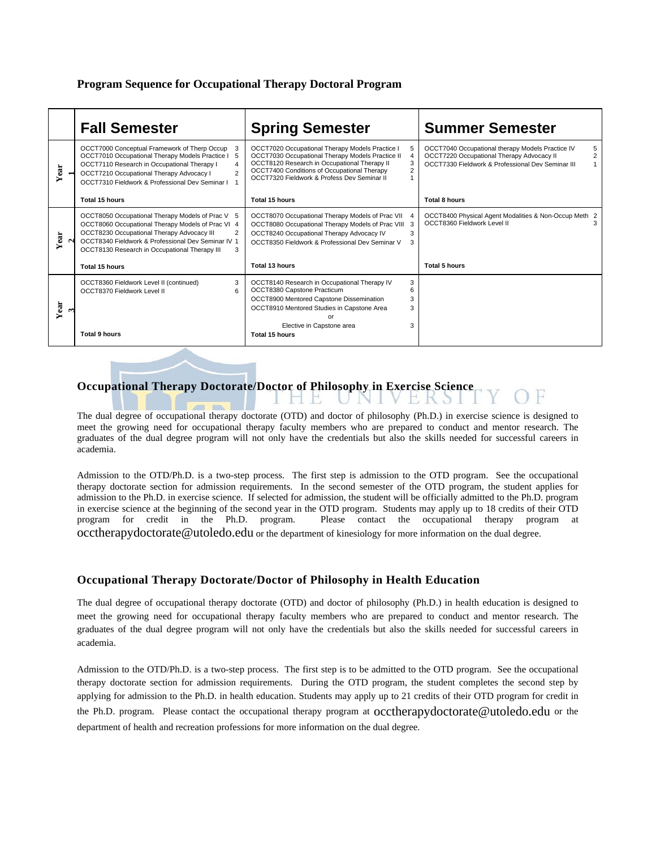#### **Program Sequence for Occupational Therapy Doctoral Program**

|      | <b>Fall Semester</b>                                                                                                                                                                                                                                                           | <b>Spring Semester</b>                                                                                                                                                                                                                            | <b>Summer Semester</b>                                                                                                                                                    |
|------|--------------------------------------------------------------------------------------------------------------------------------------------------------------------------------------------------------------------------------------------------------------------------------|---------------------------------------------------------------------------------------------------------------------------------------------------------------------------------------------------------------------------------------------------|---------------------------------------------------------------------------------------------------------------------------------------------------------------------------|
| Year | OCCT7000 Conceptual Framework of Therp Occup<br>3<br>OCCT7010 Occupational Therapy Models Practice I<br>5<br>OCCT7110 Research in Occupational Therapy I<br>4<br>OCCT7210 Occupational Therapy Advocacy I<br>$\overline{2}$<br>OCCT7310 Fieldwork & Professional Dev Seminar I | OCCT7020 Occupational Therapy Models Practice I<br>OCCT7030 Occupational Therapy Models Practice II<br>OCCT8120 Research in Occupational Therapy II<br>OCCT7400 Conditions of Occupational Therapy<br>OCCT7320 Fieldwork & Profess Dev Seminar II | OCCT7040 Occupational therapy Models Practice IV<br>5<br>$\overline{2}$<br>OCCT7220 Occupational Therapy Advocacy II<br>OCCT7330 Fieldwork & Professional Dev Seminar III |
|      | Total 15 hours                                                                                                                                                                                                                                                                 | Total 15 hours                                                                                                                                                                                                                                    | Total 8 hours                                                                                                                                                             |
| Year | OCCT8050 Occupational Therapy Models of Prac V 5<br>OCCT8060 Occupational Therapy Models of Prac VI 4<br>OCCT8230 Occupational Therapy Advocacy III<br>OCCT8340 Fieldwork & Professional Dev Seminar IV 1<br>OCCT8130 Research in Occupational Therapy III<br>3                | OCCT8070 Occupational Therapy Models of Prac VII<br>OCCT8080 Occupational Therapy Models of Prac VIII 3<br>OCCT8240 Occupational Therapy Advocacy IV<br>OCCT8350 Fieldwork & Professional Dev Seminar V<br>З                                      | OCCT8400 Physical Agent Modalities & Non-Occup Meth 2<br>OCCT8360 Fieldwork Level II<br>3                                                                                 |
|      | Total 15 hours                                                                                                                                                                                                                                                                 | <b>Total 13 hours</b>                                                                                                                                                                                                                             | <b>Total 5 hours</b>                                                                                                                                                      |
| Year | 3<br>OCCT8360 Fieldwork Level II (continued)<br>OCCT8370 Fieldwork Level II<br>6<br><b>Total 9 hours</b>                                                                                                                                                                       | OCCT8140 Research in Occupational Therapy IV<br>3<br>OCCT8380 Capstone Practicum<br>OCCT8900 Mentored Capstone Dissemination<br>3<br>OCCT8910 Mentored Studies in Capstone Area<br>3<br>or<br>Elective in Capstone area<br>3<br>Total 15 hours    |                                                                                                                                                                           |

# **Occupational Therapy Doctorate/Doctor of Philosophy in Exercise Science**

**County Street** 

HB.

The dual degree of occupational therapy doctorate (OTD) and doctor of philosophy (Ph.D.) in exercise science is designed to meet the growing need for occupational therapy faculty members who are prepared to conduct and mentor research. The graduates of the dual degree program will not only have the credentials but also the skills needed for successful careers in academia.

EKS

F

Admission to the OTD/Ph.D. is a two-step process. The first step is admission to the OTD program. See the occupational therapy doctorate section for admission requirements. In the second semester of the OTD program, the student applies for admission to the Ph.D. in exercise science. If selected for admission, the student will be officially admitted to the Ph.D. program in exercise science at the beginning of the second year in the OTD program. Students may apply up to 18 credits of their OTD program for credit in the Ph.D. program. Please contact the occupational therapy program at occtherapydoctorate@utoledo.edu or the department of kinesiology for more information on the dual degree.

#### **Occupational Therapy Doctorate/Doctor of Philosophy in Health Education**

The dual degree of occupational therapy doctorate (OTD) and doctor of philosophy (Ph.D.) in health education is designed to meet the growing need for occupational therapy faculty members who are prepared to conduct and mentor research. The graduates of the dual degree program will not only have the credentials but also the skills needed for successful careers in academia.

Admission to the OTD/Ph.D. is a two-step process. The first step is to be admitted to the OTD program. See the occupational therapy doctorate section for admission requirements. During the OTD program, the student completes the second step by applying for admission to the Ph.D. in health education. Students may apply up to 21 credits of their OTD program for credit in the Ph.D. program. Please contact the occupational therapy program at occtherapydoctorate@utoledo.edu or the department of health and recreation professions for more information on the dual degree.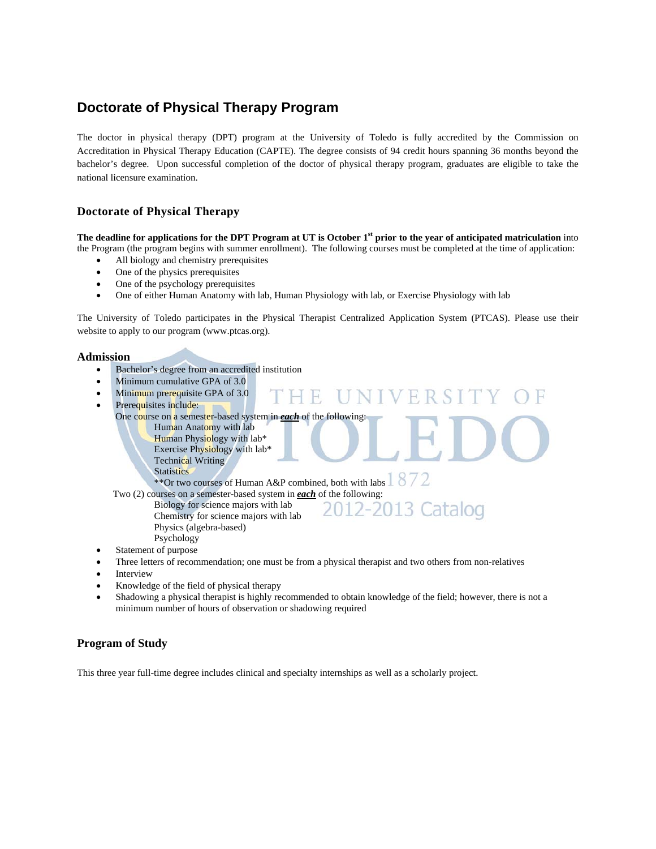# **Doctorate of Physical Therapy Program**

The doctor in physical therapy (DPT) program at the University of Toledo is fully accredited by the Commission on Accreditation in Physical Therapy Education (CAPTE). The degree consists of 94 credit hours spanning 36 months beyond the bachelor's degree. Upon successful completion of the doctor of physical therapy program, graduates are eligible to take the national licensure examination.

#### **Doctorate of Physical Therapy**

**The deadline for applications for the DPT Program at UT is October 1<sup>st</sup> prior to the year of anticipated matriculation into** the Program (the program begins with summer enrollment). The following courses must be completed at the time of application:

- All biology and chemistry prerequisites
- One of the physics prerequisites
- One of the psychology prerequisites
- One of either Human Anatomy with lab, Human Physiology with lab, or Exercise Physiology with lab

The University of Toledo participates in the Physical Therapist Centralized Application System (PTCAS). Please use their website to apply to our program (www.ptcas.org).

#### **Admission**

- Bachelor's degree from an accredited institution
- Minimum cumulative GPA of 3.0
- Minimum prerequisite GPA of 3.0
- Prerequisites include:

One course on a semester-based system in *each* of the following:

- Human Anatomy with lab
- Human Physiology with lab\* Exercise Physiology with lab\*
- Technical Writing **Statistics**

\*\*Or two courses of Human A&P combined, both with labs  $1872$ 

 Biology for science majors with lab Chemistry for science majors with lab Physics (algebra-based) Psychology

# Two (2) courses on a semester-based system in **each** of the following:<br>Biology for science majors with lab<br>
Chamistan for acisans majors with lab<br>
Chamistan for acisans majors with lab

R

- 
- Statement of purpose
- Three letters of recommendation; one must be from a physical therapist and two others from non-relatives
- Interview
- Knowledge of the field of physical therapy
- Shadowing a physical therapist is highly recommended to obtain knowledge of the field; however, there is not a minimum number of hours of observation or shadowing required

#### **Program of Study**

This three year full-time degree includes clinical and specialty internships as well as a scholarly project.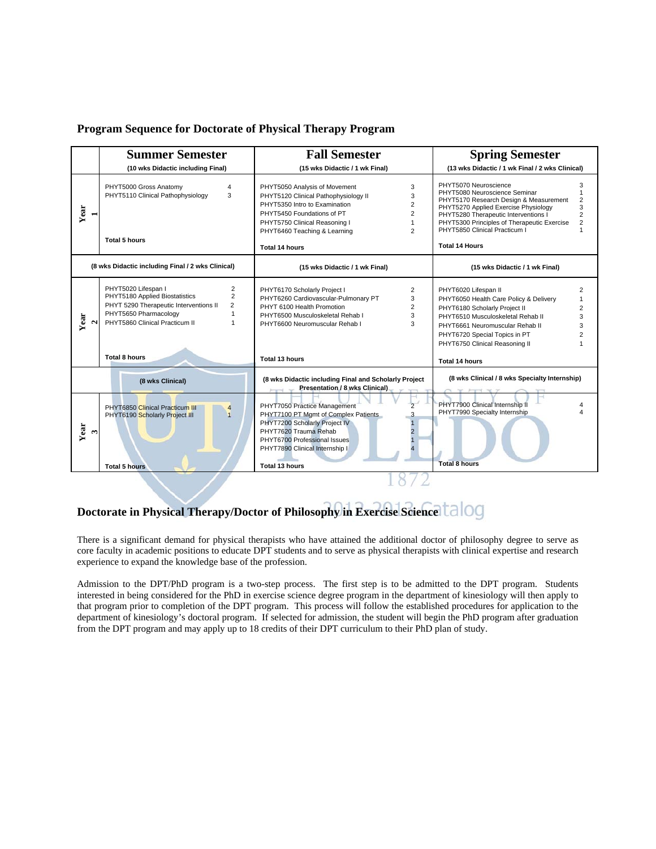#### **Program Sequence for Doctorate of Physical Therapy Program**

|                              | <b>Summer Semester</b>                                                                                                                                                                                        | <b>Fall Semester</b>                                                                                                                                                                                                                                                                           | <b>Spring Semester</b>                                                                                                                                                                                                                                                                                                                                       |  |  |
|------------------------------|---------------------------------------------------------------------------------------------------------------------------------------------------------------------------------------------------------------|------------------------------------------------------------------------------------------------------------------------------------------------------------------------------------------------------------------------------------------------------------------------------------------------|--------------------------------------------------------------------------------------------------------------------------------------------------------------------------------------------------------------------------------------------------------------------------------------------------------------------------------------------------------------|--|--|
|                              | (10 wks Didactic including Final)                                                                                                                                                                             | (15 wks Didactic / 1 wk Final)                                                                                                                                                                                                                                                                 | (13 wks Didactic / 1 wk Final / 2 wks Clinical)                                                                                                                                                                                                                                                                                                              |  |  |
| Year                         | PHYT5000 Gross Anatomy<br>$\overline{4}$<br>PHYT5110 Clinical Pathophysiology<br>3<br><b>Total 5 hours</b>                                                                                                    | PHYT5050 Analysis of Movement<br>3<br>PHYT5120 Clinical Pathophysiology II<br>3<br>PHYT5350 Intro to Examination<br>$\overline{2}$<br>PHYT5450 Foundations of PT<br>$\overline{2}$<br>PHYT5750 Clinical Reasoning I<br>$\overline{2}$<br>PHYT6460 Teaching & Learning<br><b>Total 14 hours</b> | PHYT5070 Neuroscience<br>3<br>PHYT5080 Neuroscience Seminar<br>$\mathbf{1}$<br>PHYT5170 Research Design & Measurement<br>2<br>PHYT5270 Applied Exercise Physiology<br>3<br>PHYT5280 Therapeutic Interventions I<br>$\overline{2}$<br>$\overline{2}$<br>PHYT5300 Principles of Therapeutic Exercise<br>PHYT5850 Clinical Practicum I<br><b>Total 14 Hours</b> |  |  |
|                              | (8 wks Didactic including Final / 2 wks Clinical)                                                                                                                                                             | (15 wks Didactic / 1 wk Final)                                                                                                                                                                                                                                                                 | (15 wks Didactic / 1 wk Final)                                                                                                                                                                                                                                                                                                                               |  |  |
| Year<br>$\mathbf{\Omega}$    | PHYT5020 Lifespan I<br>2<br>$\overline{2}$<br>PHYT5180 Applied Biostatistics<br>PHYT 5290 Therapeutic Interventions II<br>$\overline{2}$<br>PHYT5650 Pharmacology<br>1<br>PHYT5860 Clinical Practicum II<br>1 | PHYT6170 Scholarly Project I<br>2<br>PHYT6260 Cardiovascular-Pulmonary PT<br>3<br>PHYT 6100 Health Promotion<br>2<br>PHYT6500 Musculoskeletal Rehab I<br>3<br>PHYT6600 Neuromuscular Rehab I<br>3                                                                                              | PHYT6020 Lifespan II<br>2<br>PHYT6050 Health Care Policy & Delivery<br>$\mathbf{1}$<br>PHYT6180 Scholarly Project II<br>$\overline{2}$<br>PHYT6510 Musculoskeletal Rehab II<br>3<br>PHYT6661 Neuromuscular Rehab II<br>3<br>PHYT6720 Special Topics in PT<br>$\overline{2}$<br>PHYT6750 Clinical Reasoning II                                                |  |  |
|                              | Total 8 hours                                                                                                                                                                                                 | Total 13 hours                                                                                                                                                                                                                                                                                 | <b>Total 14 hours</b>                                                                                                                                                                                                                                                                                                                                        |  |  |
|                              | (8 wks Clinical)                                                                                                                                                                                              | (8 wks Didactic including Final and Scholarly Project<br>Presentation / 8 wks Clinical)                                                                                                                                                                                                        | (8 wks Clinical / 8 wks Specialty Internship)                                                                                                                                                                                                                                                                                                                |  |  |
| Year<br>$\mathbf{\tilde{z}}$ | <b>PHYT6850 Clinical Practicum III</b><br>$\overline{4}$<br>PHYT6190 Scholarly Project III<br>$\overline{1}$<br><b>Total 5 hours</b>                                                                          | PHYT7050 Practice Management<br>PHYT7100 PT Mgmt of Complex Patients<br>PHYT7200 Scholarly Project IV<br>PHYT7620 Trauma Rehab<br>PHYT6700 Professional Issues<br>PHYT7890 Clinical Internship I<br>Total 13 hours                                                                             | PHYT7900 Clinical Internship II<br>PHYT7990 Specialty Internship<br><b>Total 8 hours</b>                                                                                                                                                                                                                                                                     |  |  |
|                              |                                                                                                                                                                                                               |                                                                                                                                                                                                                                                                                                |                                                                                                                                                                                                                                                                                                                                                              |  |  |

# **Doctorate in Physical Therapy/Doctor of Philosophy in Exercise Science**

There is a significant demand for physical therapists who have attained the additional doctor of philosophy degree to serve as core faculty in academic positions to educate DPT students and to serve as physical therapists with clinical expertise and research experience to expand the knowledge base of the profession.

Admission to the DPT/PhD program is a two-step process. The first step is to be admitted to the DPT program. Students interested in being considered for the PhD in exercise science degree program in the department of kinesiology will then apply to that program prior to completion of the DPT program. This process will follow the established procedures for application to the department of kinesiology's doctoral program. If selected for admission, the student will begin the PhD program after graduation from the DPT program and may apply up to 18 credits of their DPT curriculum to their PhD plan of study.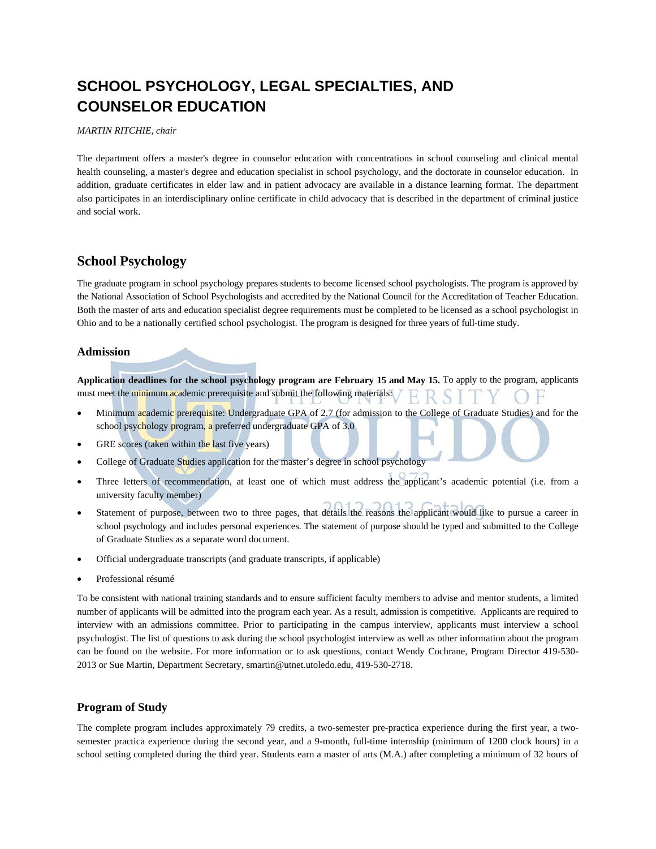# **SCHOOL PSYCHOLOGY, LEGAL SPECIALTIES, AND COUNSELOR EDUCATION**

#### *MARTIN RITCHIE, chair*

The department offers a master's degree in counselor education with concentrations in school counseling and clinical mental health counseling, a master's degree and education specialist in school psychology, and the doctorate in counselor education. In addition, graduate certificates in elder law and in patient advocacy are available in a distance learning format. The department also participates in an interdisciplinary online certificate in child advocacy that is described in the department of criminal justice and social work.

# **School Psychology**

The graduate program in school psychology prepares students to become licensed school psychologists. The program is approved by the National Association of School Psychologists and accredited by the National Council for the Accreditation of Teacher Education. Both the master of arts and education specialist degree requirements must be completed to be licensed as a school psychologist in Ohio and to be a nationally certified school psychologist. The program is designed for three years of full-time study.

#### **Admission**

**Application deadlines for the school psychology program are February 15 and May 15.** To apply to the program, applicants must meet the minimum academic prerequisite and submit the following materials:

- Minimum academic prerequisite: Undergraduate GPA of 2.7 (for admission to the College of Graduate Studies) and for the school psychology program, a preferred undergraduate GPA of 3.0
- GRE scores (taken within the last five years)
- College of Graduate Studies application for the master's degree in school psychology
- Three letters of recommendation, at least one of which must address the applicant's academic potential (i.e. from a university faculty member)
- Statement of purpose, between two to three pages, that details the reasons the applicant would like to pursue a career in school psychology and includes personal experiences. The statement of purpose should be typed and submitted to the College of Graduate Studies as a separate word document.
- Official undergraduate transcripts (and graduate transcripts, if applicable)
- Professional résumé

To be consistent with national training standards and to ensure sufficient faculty members to advise and mentor students, a limited number of applicants will be admitted into the program each year. As a result, admission is competitive. Applicants are required to interview with an admissions committee. Prior to participating in the campus interview, applicants must interview a school psychologist. The list of questions to ask during the school psychologist interview as well as other information about the program can be found on the website. For more information or to ask questions, contact Wendy Cochrane, Program Director 419-530- 2013 or Sue Martin, Department Secretary, smartin@utnet.utoledo.edu, 419-530-2718.

#### **Program of Study**

The complete program includes approximately 79 credits, a two-semester pre-practica experience during the first year, a twosemester practica experience during the second year, and a 9-month, full-time internship (minimum of 1200 clock hours) in a school setting completed during the third year. Students earn a master of arts (M.A.) after completing a minimum of 32 hours of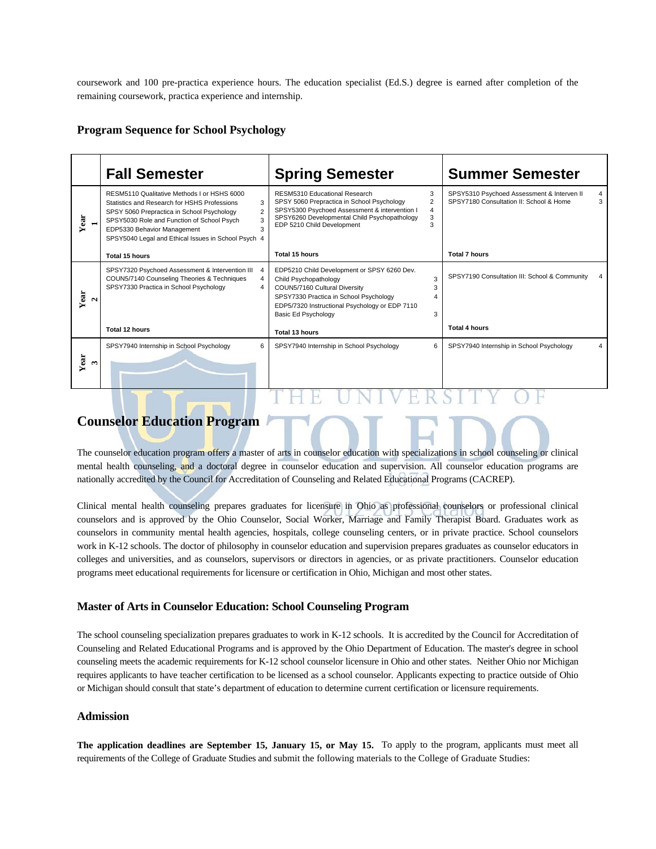coursework and 100 pre-practica experience hours. The education specialist (Ed.S.) degree is earned after completion of the remaining coursework, practica experience and internship.

#### **Program Sequence for School Psychology**

|                      | <b>Fall Semester</b>                                                                                                                                                                                                                                                                                           | <b>Spring Semester</b>                                                                                                                                                                                                                                        | <b>Summer Semester</b>                                                                          |
|----------------------|----------------------------------------------------------------------------------------------------------------------------------------------------------------------------------------------------------------------------------------------------------------------------------------------------------------|---------------------------------------------------------------------------------------------------------------------------------------------------------------------------------------------------------------------------------------------------------------|-------------------------------------------------------------------------------------------------|
| Year                 | RESM5110 Qualitative Methods I or HSHS 6000<br>Statistics and Research for HSHS Professions<br>3<br>$\overline{2}$<br>SPSY 5060 Prepractica in School Psychology<br>SPSY5030 Role and Function of School Psych<br>3<br>3<br>EDP5330 Behavior Management<br>SPSY5040 Legal and Ethical Issues in School Psych 4 | 3<br>RESM5310 Educational Research<br>$\overline{2}$<br>SPSY 5060 Prepractica in School Psychology<br>SPSY5300 Psychoed Assessment & intervention I<br>$\overline{4}$<br>3<br>SPSY6260 Developmental Child Psychopathology<br>3<br>EDP 5210 Child Development | SPSY5310 Psychoed Assessment & Interven II<br>4<br>3<br>SPSY7180 Consultation II: School & Home |
|                      | Total 15 hours                                                                                                                                                                                                                                                                                                 | Total 15 hours                                                                                                                                                                                                                                                | <b>Total 7 hours</b>                                                                            |
| Year<br>$\mathbf{a}$ | SPSY7320 Psychoed Assessment & Intervention III<br>COUN5/7140 Counseling Theories & Techniques<br>4<br>SPSY7330 Practica in School Psychology<br>4                                                                                                                                                             | EDP5210 Child Development or SPSY 6260 Dev.<br>3<br>Child Psychopathology<br>COUN5/7160 Cultural Diversity<br>3<br>SPSY7330 Practica in School Psychology<br>EDP5/7320 Instructional Psychology or EDP 7110<br>Basic Ed Psychology<br>3                       | SPSY7190 Consultation III: School & Community                                                   |
|                      | Total 12 hours                                                                                                                                                                                                                                                                                                 | Total 13 hours                                                                                                                                                                                                                                                | <b>Total 4 hours</b>                                                                            |
| Year<br>ొ            | SPSY7940 Internship in School Psychology<br>6                                                                                                                                                                                                                                                                  | SPSY7940 Internship in School Psychology<br>6                                                                                                                                                                                                                 | SPSY7940 Internship in School Psychology<br>4                                                   |
|                      |                                                                                                                                                                                                                                                                                                                |                                                                                                                                                                                                                                                               |                                                                                                 |

# **Counselor Education Program**

The counselor education program offers a master of arts in counselor education with specializations in school counseling or clinical mental health counseling, and a doctoral degree in counselor education and supervision. All counselor education programs are nationally accredited by the Council for Accreditation of Counseling and Related Educational Programs (CACREP).

Clinical mental health counseling prepares graduates for licensure in Ohio as professional counselors or professional clinical counselors and is approved by the Ohio Counselor, Social Worker, Marriage and Family Therapist Board. Graduates work as counselors in community mental health agencies, hospitals, college counseling centers, or in private practice. School counselors work in K-12 schools. The doctor of philosophy in counselor education and supervision prepares graduates as counselor educators in colleges and universities, and as counselors, supervisors or directors in agencies, or as private practitioners. Counselor education programs meet educational requirements for licensure or certification in Ohio, Michigan and most other states.

#### **Master of Arts in Counselor Education: School Counseling Program**

The school counseling specialization prepares graduates to work in K-12 schools. It is accredited by the Council for Accreditation of Counseling and Related Educational Programs and is approved by the Ohio Department of Education. The master's degree in school counseling meets the academic requirements for K-12 school counselor licensure in Ohio and other states. Neither Ohio nor Michigan requires applicants to have teacher certification to be licensed as a school counselor. Applicants expecting to practice outside of Ohio or Michigan should consult that state's department of education to determine current certification or licensure requirements.

#### **Admission**

**The application deadlines are September 15, January 15, or May 15.** To apply to the program, applicants must meet all requirements of the College of Graduate Studies and submit the following materials to the College of Graduate Studies: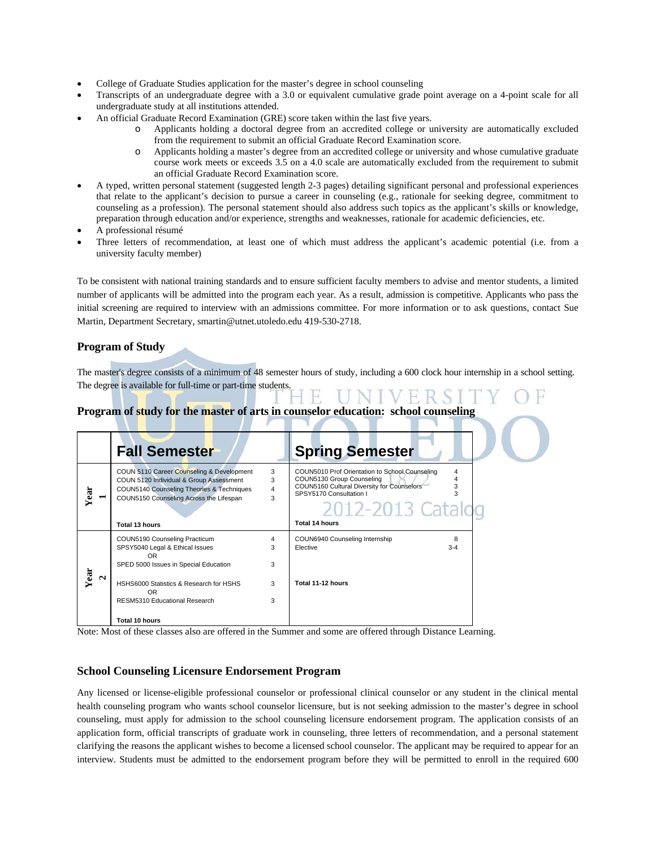- College of Graduate Studies application for the master's degree in school counseling
- Transcripts of an undergraduate degree with a 3.0 or equivalent cumulative grade point average on a 4-point scale for all undergraduate study at all institutions attended.
- An official Graduate Record Examination (GRE) score taken within the last five years.
	- Applicants holding a doctoral degree from an accredited college or university are automatically excluded from the requirement to submit an official Graduate Record Examination score.
	- o Applicants holding a master's degree from an accredited college or university and whose cumulative graduate course work meets or exceeds 3.5 on a 4.0 scale are automatically excluded from the requirement to submit an official Graduate Record Examination score.
- A typed, written personal statement (suggested length 2-3 pages) detailing significant personal and professional experiences that relate to the applicant's decision to pursue a career in counseling (e.g., rationale for seeking degree, commitment to counseling as a profession). The personal statement should also address such topics as the applicant's skills or knowledge, preparation through education and/or experience, strengths and weaknesses, rationale for academic deficiencies, etc.
- A professional résumé
- Three letters of recommendation, at least one of which must address the applicant's academic potential (i.e. from a university faculty member)

To be consistent with national training standards and to ensure sufficient faculty members to advise and mentor students, a limited number of applicants will be admitted into the program each year. As a result, admission is competitive. Applicants who pass the initial screening are required to interview with an admissions committee. For more information or to ask questions, contact Sue Martin, Department Secretary, smartin@utnet.utoledo.edu 419-530-2718.

#### **Program of Study**

The master's degree consists of a minimum of 48 semester hours of study, including a 600 clock hour internship in a school setting. The degree is available for full-time or part-time students.

## **Program of study for the master of arts in counselor education: school counseling**

|           | <b>Fall Semester</b>                                                                                                                                                                           |                               | <b>Spring Semester</b>                                                                                                                                                                                                                |  |
|-----------|------------------------------------------------------------------------------------------------------------------------------------------------------------------------------------------------|-------------------------------|---------------------------------------------------------------------------------------------------------------------------------------------------------------------------------------------------------------------------------------|--|
| Year      | COUN 5110 Career Counseling & Development<br>COUN 5120 Individual & Group Assessment<br>COUN5140 Counseling Theories & Techniques<br>COUN5150 Counseling Across the Lifespan<br>Total 13 hours | 3<br>3<br>$\overline{4}$<br>3 | COUN5010 Prof Orientation to School Counseling<br>4<br>$\overline{\mathbf{4}}$<br>COUN5130 Group Counseling<br>3<br>COUN5160 Cultural Diversity for Counselors<br>SPSY5170 Consultation I<br>3<br>2012-2013 Catalog<br>Total 14 hours |  |
|           | COUN5190 Counseling Practicum                                                                                                                                                                  | 4                             | COUN6940 Counseling Internship<br>8                                                                                                                                                                                                   |  |
|           | SPSY5040 Legal & Ethical Issues<br>OR.                                                                                                                                                         | 3                             | Elective<br>$3 - 4$                                                                                                                                                                                                                   |  |
|           | SPED 5000 Issues in Special Education                                                                                                                                                          | 3                             |                                                                                                                                                                                                                                       |  |
| Year<br>N | HSHS6000 Statistics & Research for HSHS<br>OR.                                                                                                                                                 | 3                             | Total 11-12 hours                                                                                                                                                                                                                     |  |
|           | RESM5310 Educational Research                                                                                                                                                                  | 3                             |                                                                                                                                                                                                                                       |  |
|           | Total 10 hours                                                                                                                                                                                 |                               |                                                                                                                                                                                                                                       |  |

Note: Most of these classes also are offered in the Summer and some are offered through Distance Learning.

#### **School Counseling Licensure Endorsement Program**

Any licensed or license-eligible professional counselor or professional clinical counselor or any student in the clinical mental health counseling program who wants school counselor licensure, but is not seeking admission to the master's degree in school counseling, must apply for admission to the school counseling licensure endorsement program. The application consists of an application form, official transcripts of graduate work in counseling, three letters of recommendation, and a personal statement clarifying the reasons the applicant wishes to become a licensed school counselor. The applicant may be required to appear for an interview. Students must be admitted to the endorsement program before they will be permitted to enroll in the required 600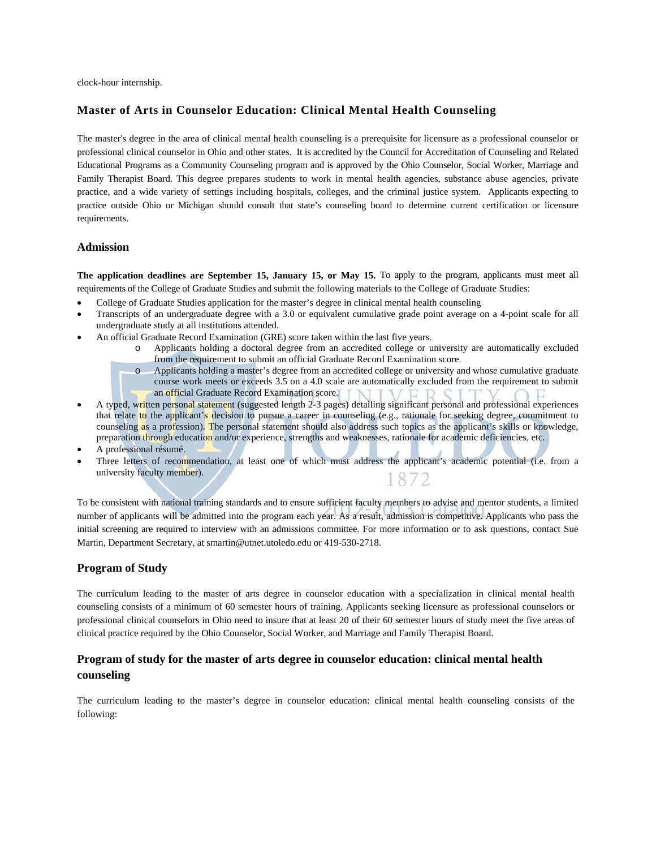clock-hour internship.

#### **Master of Arts in Counselor Education: Clinical Mental Health Counseling**

The master's degree in the area of clinical mental health counseling is a prerequisite for licensure as a professional counselor or professional clinical counselor in Ohio and other states. It is accredited by the Council for Accreditation of Counseling and Related Educational Programs as a Community Counseling program and is approved by the Ohio Counselor, Social Worker, Marriage and Family Therapist Board. This degree prepares students to work in mental health agencies, substance abuse agencies, private practice, and a wide variety of settings including hospitals, colleges, and the criminal justice system. Applicants expecting to practice outside Ohio or Michigan should consult that state's counseling board to determine current certification or licensure requirements.

#### **Admission**

**The application deadlines are September 15, January 15, or May 15.** To apply to the program, applicants must meet all requirements of the College of Graduate Studies and submit the following materials to the College of Graduate Studies:

- College of Graduate Studies application for the master's degree in clinical mental health counseling
- Transcripts of an undergraduate degree with a 3.0 or equivalent cumulative grade point average on a 4-point scale for all undergraduate study at all institutions attended.
- An official Graduate Record Examination (GRE) score taken within the last five years.
	- o Applicants holding a doctoral degree from an accredited college or university are automatically excluded from the requirement to submit an official Graduate Record Examination score.
	- o Applicants holding a master's degree from an accredited college or university and whose cumulative graduate course work meets or exceeds 3.5 on a 4.0 scale are automatically excluded from the requirement to submit an official Graduate Record Examination score.
- A typed, written personal statement (suggested length 2-3 pages) detailing significant personal and professional experiences that relate to the applicant's decision to pursue a career in counseling (e.g., rationale for seeking degree, commitment to counseling as a profession). The personal statement should also address such topics as the applicant's skills or knowledge, preparation through education and/or experience, strengths and weaknesses, rationale for academic deficiencies, etc.
- A professional résumé.
- Three letters of recommendation, at least one of which must address the applicant's academic potential (i.e. from a university faculty member). 1872

To be consistent with national training standards and to ensure sufficient faculty members to advise and mentor students, a limited number of applicants will be admitted into the program each year. As a result, admission is competitive. Applicants who pass the initial screening are required to interview with an admissions committee. For more information or to ask questions, contact Sue Martin, Department Secretary, at smartin@utnet.utoledo.edu or 419-530-2718.

#### **Program of Study**

The curriculum leading to the master of arts degree in counselor education with a specialization in clinical mental health counseling consists of a minimum of 60 semester hours of training. Applicants seeking licensure as professional counselors or professional clinical counselors in Ohio need to insure that at least 20 of their 60 semester hours of study meet the five areas of clinical practice required by the Ohio Counselor, Social Worker, and Marriage and Family Therapist Board.

# **Program of study for the master of arts degree in counselor education: clinical mental health counseling**

The curriculum leading to the master's degree in counselor education: clinical mental health counseling consists of the following: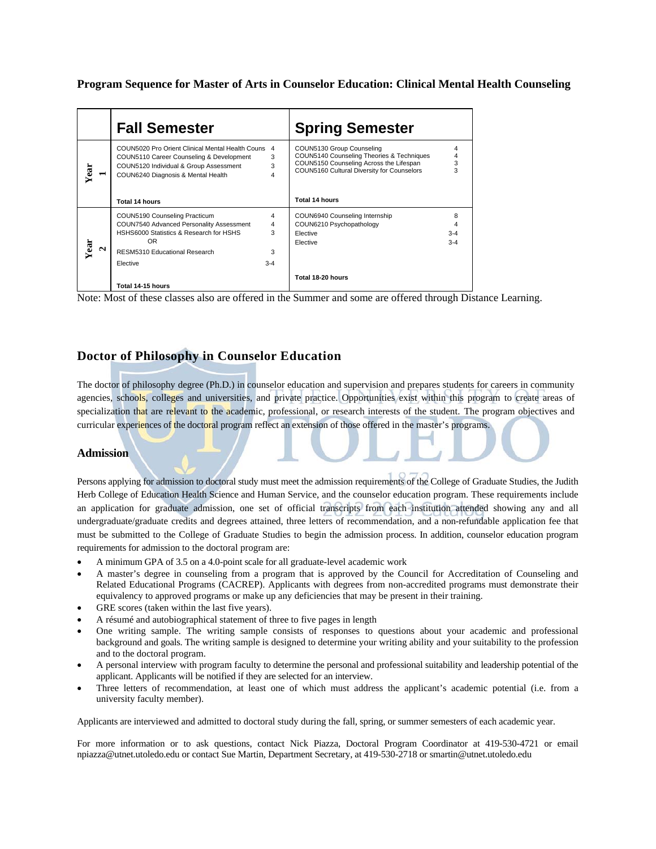**Program Sequence for Master of Arts in Counselor Education: Clinical Mental Health Counseling** 

|           | <b>Fall Semester</b>                                                                                                                                                         |                                          | <b>Spring Semester</b>                                                                                                                                          |                              |
|-----------|------------------------------------------------------------------------------------------------------------------------------------------------------------------------------|------------------------------------------|-----------------------------------------------------------------------------------------------------------------------------------------------------------------|------------------------------|
| Year      | COUN5020 Pro Orient Clinical Mental Health Couns<br>COUN5110 Career Counseling & Development<br>COUN5120 Individual & Group Assessment<br>COUN6240 Diagnosis & Mental Health | 4<br>3<br>3<br>4                         | COUN5130 Group Counseling<br>COUN5140 Counseling Theories & Techniques<br>COUN5150 Counseling Across the Lifespan<br>COUN5160 Cultural Diversity for Counselors | 4<br>3                       |
|           | <b>Total 14 hours</b>                                                                                                                                                        |                                          | Total 14 hours                                                                                                                                                  |                              |
| Year<br>Ν | COUN5190 Counseling Practicum<br>COUN7540 Advanced Personality Assessment<br>HSHS6000 Statistics & Research for HSHS<br>OR.<br>RESM5310 Educational Research<br>Elective     | 4<br>$\overline{4}$<br>3<br>3<br>$3 - 4$ | COUN6940 Counseling Internship<br>COUN6210 Psychopathology<br>Elective<br>Elective                                                                              | 8<br>4<br>$3 - 4$<br>$3 - 4$ |
|           | Total 14-15 hours                                                                                                                                                            |                                          | Total 18-20 hours                                                                                                                                               |                              |

Note: Most of these classes also are offered in the Summer and some are offered through Distance Learning.

# **Doctor of Philosophy in Counselor Education**

The doctor of philosophy degree (Ph.D.) in counselor education and supervision and prepares students for careers in community agencies, schools, colleges and universities, and private practice. Opportunities exist within this program to create areas of specialization that are relevant to the academic, professional, or research interests of the student. The program objectives and curricular experiences of the doctoral program reflect an extension of those offered in the master's programs.

#### **Admission**

Persons applying for admission to doctoral study must meet the admission requirements of the College of Graduate Studies, the Judith Herb College of Education Health Science and Human Service, and the counselor education program. These requirements include an application for graduate admission, one set of official transcripts from each institution attended showing any and all undergraduate/graduate credits and degrees attained, three letters of recommendation, and a non-refundable application fee that must be submitted to the College of Graduate Studies to begin the admission process. In addition, counselor education program requirements for admission to the doctoral program are:

- A minimum GPA of 3.5 on a 4.0-point scale for all graduate-level academic work
- A master's degree in counseling from a program that is approved by the Council for Accreditation of Counseling and Related Educational Programs (CACREP). Applicants with degrees from non-accredited programs must demonstrate their equivalency to approved programs or make up any deficiencies that may be present in their training.
- GRE scores (taken within the last five years).
- A résumé and autobiographical statement of three to five pages in length
- One writing sample. The writing sample consists of responses to questions about your academic and professional background and goals. The writing sample is designed to determine your writing ability and your suitability to the profession and to the doctoral program.
- A personal interview with program faculty to determine the personal and professional suitability and leadership potential of the applicant. Applicants will be notified if they are selected for an interview.
- Three letters of recommendation, at least one of which must address the applicant's academic potential (i.e. from a university faculty member).

Applicants are interviewed and admitted to doctoral study during the fall, spring, or summer semesters of each academic year.

For more information or to ask questions, contact Nick Piazza, Doctoral Program Coordinator at 419-530-4721 or email npiazza@utnet.utoledo.edu or contact Sue Martin, Department Secretary, at 419-530-2718 or smartin@utnet.utoledo.edu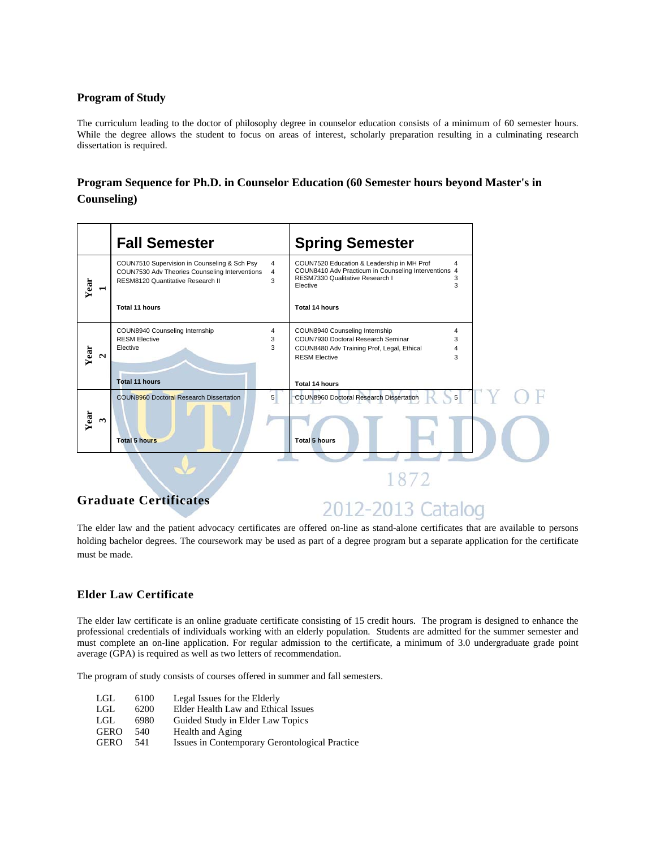#### **Program of Study**

The curriculum leading to the doctor of philosophy degree in counselor education consists of a minimum of 60 semester hours. While the degree allows the student to focus on areas of interest, scholarly preparation resulting in a culminating research dissertation is required.

# **Program Sequence for Ph.D. in Counselor Education (60 Semester hours beyond Master's in Counseling)**



The elder law and the patient advocacy certificates are offered on-line as stand-alone certificates that are available to persons holding bachelor degrees. The coursework may be used as part of a degree program but a separate application for the certificate must be made.

# **Elder Law Certificate**

The elder law certificate is an online graduate certificate consisting of 15 credit hours. The program is designed to enhance the professional credentials of individuals working with an elderly population. Students are admitted for the summer semester and must complete an on-line application. For regular admission to the certificate, a minimum of 3.0 undergraduate grade point average (GPA) is required as well as two letters of recommendation.

The program of study consists of courses offered in summer and fall semesters.

| LGL.        | 6100 | Legal Issues for the Elderly                   |
|-------------|------|------------------------------------------------|
| LGL.        | 6200 | Elder Health Law and Ethical Issues            |
| LGL.        | 6980 | Guided Study in Elder Law Topics               |
| <b>GERO</b> | 540  | Health and Aging                               |
| <b>GERO</b> | 541  | Issues in Contemporary Gerontological Practice |
|             |      |                                                |